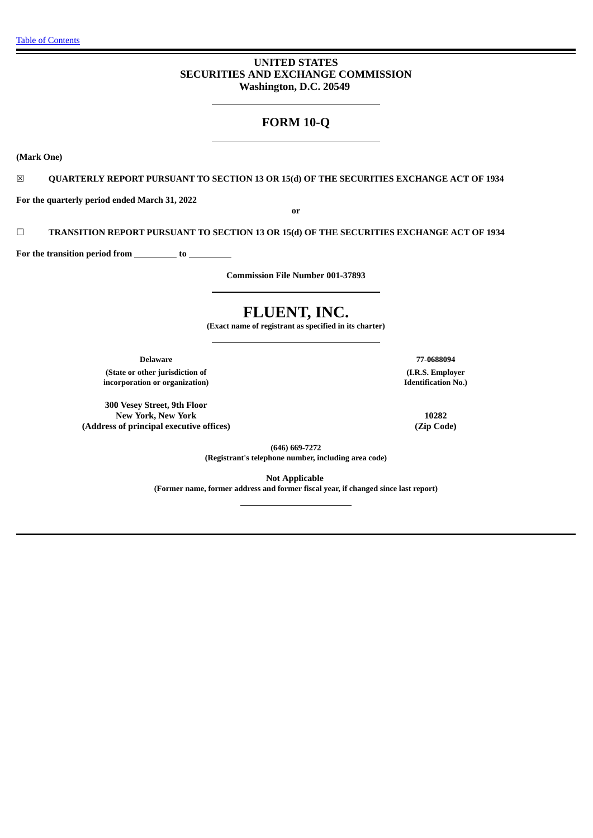## **UNITED STATES SECURITIES AND EXCHANGE COMMISSION Washington, D.C. 20549**

## **FORM 10-Q**

**(Mark One)**

☒ **QUARTERLY REPORT PURSUANT TO SECTION 13 OR 15(d) OF THE SECURITIES EXCHANGE ACT OF 1934**

**For the quarterly period ended March 31, 2022**

**or**

☐ **TRANSITION REPORT PURSUANT TO SECTION 13 OR 15(d) OF THE SECURITIES EXCHANGE ACT OF 1934**

**For** the transition period from \_\_\_\_\_\_\_\_\_\_ to \_\_\_\_\_

**Commission File Number 001-37893**

# **FLUENT, INC.**

**(Exact name of registrant as specified in its charter)**

**Delaware 77-0688094**

**(State or other jurisdiction of incorporation or organization)**

**300 Vesey Street, 9th Floor New York, New York 10282 (Address of principal executive offices) (Zip Code)**

**(I.R.S. Employer Identification No.)**

**(646) 669-7272 (Registrant's telephone number, including area code)**

**Not Applicable (Former name, former address and former fiscal year, if changed since last report)**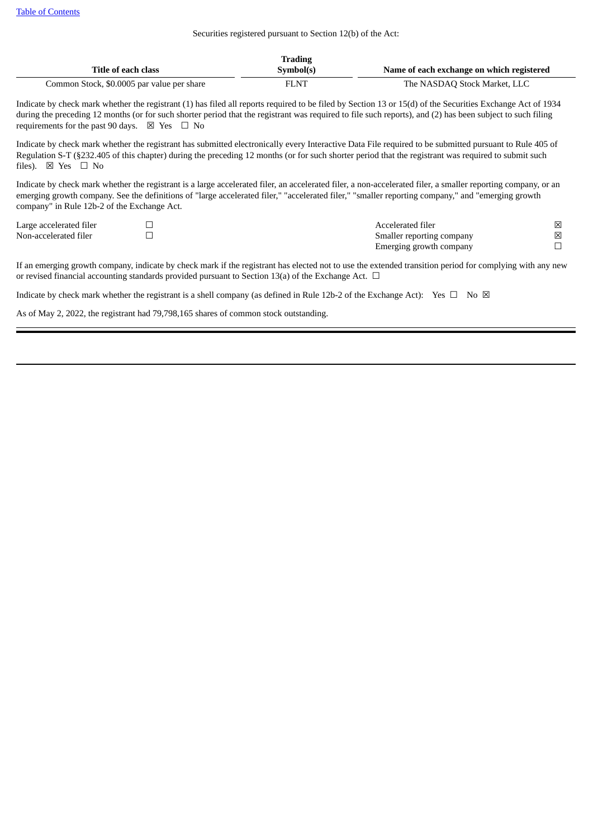#### Securities registered pursuant to Section 12(b) of the Act:

|                                            | <b>Trading</b> |                                           |
|--------------------------------------------|----------------|-------------------------------------------|
| Title of each class                        | Symbol(s)      | Name of each exchange on which registered |
| Common Stock, \$0.0005 par value per share | FLNT           | The NASDAQ Stock Market, LLC              |

Indicate by check mark whether the registrant (1) has filed all reports required to be filed by Section 13 or 15(d) of the Securities Exchange Act of 1934 during the preceding 12 months (or for such shorter period that the registrant was required to file such reports), and (2) has been subject to such filing requirements for the past 90 days.  $\boxtimes$  Yes  $\Box$  No

Indicate by check mark whether the registrant has submitted electronically every Interactive Data File required to be submitted pursuant to Rule 405 of Regulation S-T (§232.405 of this chapter) during the preceding 12 months (or for such shorter period that the registrant was required to submit such files). ⊠ Yes □ No

Indicate by check mark whether the registrant is a large accelerated filer, an accelerated filer, a non-accelerated filer, a smaller reporting company, or an emerging growth company. See the definitions of "large accelerated filer," "accelerated filer," "smaller reporting company," and "emerging growth company" in Rule 12b-2 of the Exchange Act.

Large accelerated filer  $□$ <br>  $□$ <br>
Non-accelerated filer  $□$ Smaller reporting company  $\boxtimes$ <br>Emerging growth company  $\Box$ Emerging growth company

If an emerging growth company, indicate by check mark if the registrant has elected not to use the extended transition period for complying with any new or revised financial accounting standards provided pursuant to Section 13(a) of the Exchange Act.  $\Box$ 

Indicate by check mark whether the registrant is a shell company (as defined in Rule 12b-2 of the Exchange Act): Yes  $\Box$  No  $\boxtimes$ 

As of May 2, 2022, the registrant had 79,798,165 shares of common stock outstanding.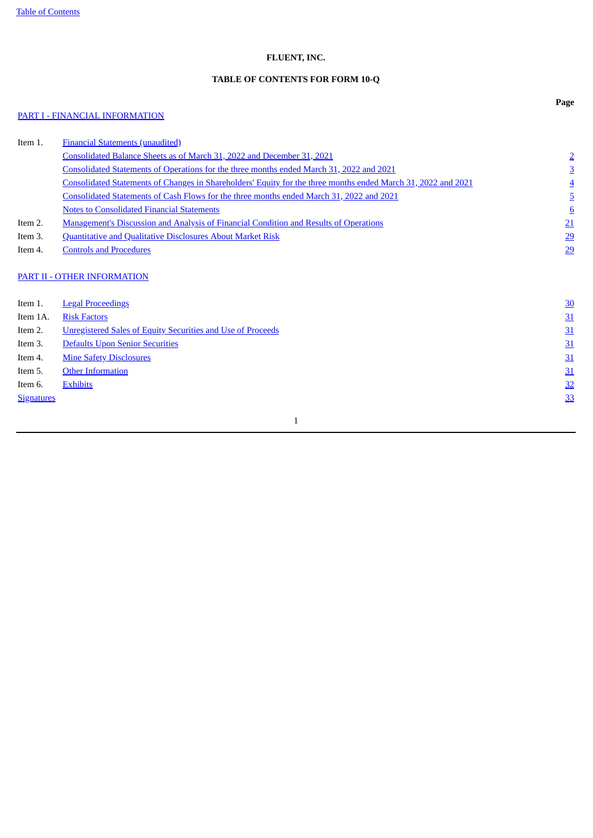## **FLUENT, INC.**

## **TABLE OF CONTENTS FOR FORM 10-Q**

## <span id="page-2-0"></span>PART I - FINANCIAL [INFORMATION](#page-3-0)

**Page**

| Item 1.           | <b>Financial Statements (unaudited)</b>                                                                       |                 |
|-------------------|---------------------------------------------------------------------------------------------------------------|-----------------|
|                   | Consolidated Balance Sheets as of March 31, 2022 and December 31, 2021                                        | $\overline{2}$  |
|                   | Consolidated Statements of Operations for the three months ended March 31, 2022 and 2021                      | $\overline{3}$  |
|                   | Consolidated Statements of Changes in Shareholders' Equity for the three months ended March 31, 2022 and 2021 | <u>4</u>        |
|                   | Consolidated Statements of Cash Flows for the three months ended March 31, 2022 and 2021                      | <u>5</u>        |
|                   | <b>Notes to Consolidated Financial Statements</b>                                                             | $6\overline{6}$ |
| Item 2.           | <b>Management's Discussion and Analysis of Financial Condition and Results of Operations</b>                  | 21              |
| Item 3.           | Quantitative and Qualitative Disclosures About Market Risk                                                    | <u>29</u>       |
| Item 4.           | <b>Controls and Procedures</b>                                                                                | 29              |
|                   | PART II - OTHER INFORMATION                                                                                   |                 |
| Item 1.           | <b>Legal Proceedings</b>                                                                                      | <u>30</u>       |
| Item 1A.          | <b>Risk Factors</b>                                                                                           | 31              |
| Item 2.           | <b>Unregistered Sales of Equity Securities and Use of Proceeds</b>                                            | 31              |
| Item 3.           | <b>Defaults Upon Senior Securities</b>                                                                        | 31              |
| Item 4.           | <b>Mine Safety Disclosures</b>                                                                                | 31              |
| Item 5.           | <b>Other Information</b>                                                                                      | 31              |
| Item 6.           | <b>Exhibits</b>                                                                                               | 32              |
| <b>Signatures</b> |                                                                                                               | 33              |
|                   |                                                                                                               |                 |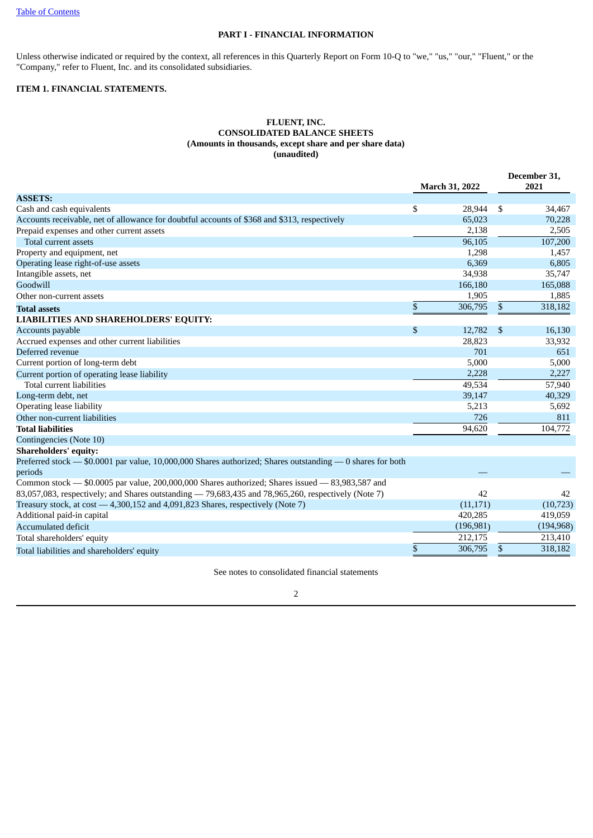## **PART I - FINANCIAL INFORMATION**

<span id="page-3-0"></span>Unless otherwise indicated or required by the context, all references in this Quarterly Report on Form 10-Q to "we," "us," "our," "Fluent," or the "Company," refer to Fluent, Inc. and its consolidated subsidiaries.

## <span id="page-3-2"></span><span id="page-3-1"></span>**ITEM 1. FINANCIAL STATEMENTS.**

## **FLUENT, INC. CONSOLIDATED BALANCE SHEETS (Amounts in thousands, except share and per share data) (unaudited)**

|                                                                                                            | <b>March 31, 2022</b> |            | December 31,<br>2021 |  |  |
|------------------------------------------------------------------------------------------------------------|-----------------------|------------|----------------------|--|--|
| <b>ASSETS:</b>                                                                                             |                       |            |                      |  |  |
| Cash and cash equivalents                                                                                  | \$<br>28,944          | -\$        | 34,467               |  |  |
| Accounts receivable, net of allowance for doubtful accounts of \$368 and \$313, respectively               | 65,023                |            | 70,228               |  |  |
| Prepaid expenses and other current assets                                                                  | 2,138                 |            | 2,505                |  |  |
| Total current assets                                                                                       | 96,105                |            | 107,200              |  |  |
| Property and equipment, net                                                                                | 1,298                 |            | 1,457                |  |  |
| Operating lease right-of-use assets                                                                        | 6,369                 |            | 6,805                |  |  |
| Intangible assets, net                                                                                     | 34,938                |            | 35,747               |  |  |
| Goodwill                                                                                                   | 166,180               |            | 165,088              |  |  |
| Other non-current assets                                                                                   | 1,905                 |            | 1,885                |  |  |
| <b>Total assets</b>                                                                                        | \$<br>306,795         | \$         | 318,182              |  |  |
| <b>LIABILITIES AND SHAREHOLDERS' EQUITY:</b>                                                               |                       |            |                      |  |  |
| Accounts payable                                                                                           | \$<br>12,782          | $\sqrt{3}$ | 16,130               |  |  |
| Accrued expenses and other current liabilities                                                             | 28,823                |            | 33,932               |  |  |
| Deferred revenue                                                                                           | 701                   |            | 651                  |  |  |
| Current portion of long-term debt                                                                          | 5,000                 |            | 5,000                |  |  |
| Current portion of operating lease liability                                                               | 2,228                 |            | 2,227                |  |  |
| Total current liabilities                                                                                  | 49,534                |            | 57,940               |  |  |
| Long-term debt, net                                                                                        | 39,147                |            | 40,329               |  |  |
| Operating lease liability                                                                                  | 5,213                 |            | 5,692                |  |  |
| Other non-current liabilities                                                                              | 726                   |            | 811                  |  |  |
| <b>Total liabilities</b>                                                                                   | 94,620                |            | 104,772              |  |  |
| Contingencies (Note 10)                                                                                    |                       |            |                      |  |  |
| <b>Shareholders' equity:</b>                                                                               |                       |            |                      |  |  |
| Preferred stock - \$0.0001 par value, 10,000,000 Shares authorized; Shares outstanding - 0 shares for both |                       |            |                      |  |  |
| periods                                                                                                    |                       |            |                      |  |  |
| Common stock - \$0.0005 par value, 200,000,000 Shares authorized; Shares issued - 83,983,587 and           |                       |            |                      |  |  |
| 83,057,083, respectively; and Shares outstanding - 79,683,435 and 78,965,260, respectively (Note 7)        | 42                    |            | 42                   |  |  |
| Treasury stock, at cost - 4,300,152 and 4,091,823 Shares, respectively (Note 7)                            | (11, 171)             |            | (10, 723)            |  |  |
| Additional paid-in capital                                                                                 | 420,285               |            | 419,059              |  |  |
| <b>Accumulated deficit</b>                                                                                 | (196, 981)            |            | (194, 968)           |  |  |
| Total shareholders' equity                                                                                 | 212,175               |            | 213,410              |  |  |
| Total liabilities and shareholders' equity                                                                 | \$<br>306,795         | \$         | 318,182              |  |  |

See notes to consolidated financial statements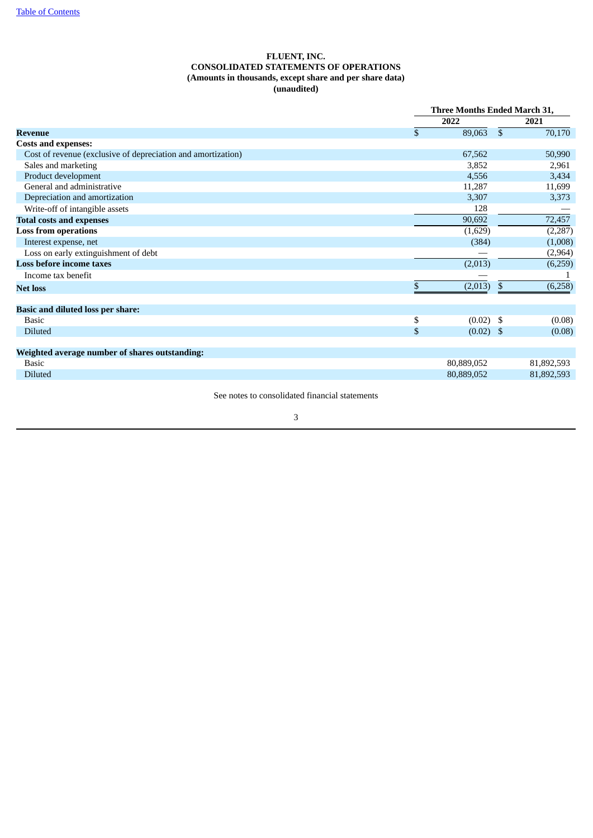## **FLUENT, INC. CONSOLIDATED STATEMENTS OF OPERATIONS (Amounts in thousands, except share and per share data) (unaudited)**

<span id="page-4-0"></span>

|                                                              | Three Months Ended March 31, |              |            |  |  |
|--------------------------------------------------------------|------------------------------|--------------|------------|--|--|
|                                                              | 2022                         |              | 2021       |  |  |
| Revenue                                                      | \$<br>89,063                 | $\mathbb{S}$ | 70,170     |  |  |
| <b>Costs and expenses:</b>                                   |                              |              |            |  |  |
| Cost of revenue (exclusive of depreciation and amortization) | 67,562                       |              | 50,990     |  |  |
| Sales and marketing                                          | 3,852                        |              | 2,961      |  |  |
| Product development                                          | 4,556                        |              | 3,434      |  |  |
| General and administrative                                   | 11,287                       |              | 11,699     |  |  |
| Depreciation and amortization                                | 3,307                        |              | 3,373      |  |  |
| Write-off of intangible assets                               | 128                          |              |            |  |  |
| <b>Total costs and expenses</b>                              | 90,692                       |              | 72,457     |  |  |
| <b>Loss from operations</b>                                  | (1,629)                      |              | (2, 287)   |  |  |
| Interest expense, net                                        | (384)                        |              | (1,008)    |  |  |
| Loss on early extinguishment of debt                         |                              |              | (2,964)    |  |  |
| <b>Loss before income taxes</b>                              | (2,013)                      |              | (6,259)    |  |  |
| Income tax benefit                                           |                              |              |            |  |  |
| <b>Net loss</b>                                              | \$<br>(2,013)                | \$           | (6,258)    |  |  |
|                                                              |                              |              |            |  |  |
| <b>Basic and diluted loss per share:</b>                     |                              |              |            |  |  |
| <b>Basic</b>                                                 | \$<br>$(0.02)$ \$            |              | (0.08)     |  |  |
| Diluted                                                      | \$<br>$(0.02)$ \$            |              | (0.08)     |  |  |
| Weighted average number of shares outstanding:               |                              |              |            |  |  |
| <b>Basic</b>                                                 | 80,889,052                   |              | 81,892,593 |  |  |
| <b>Diluted</b>                                               | 80,889,052                   |              | 81,892,593 |  |  |
|                                                              |                              |              |            |  |  |

See notes to consolidated financial statements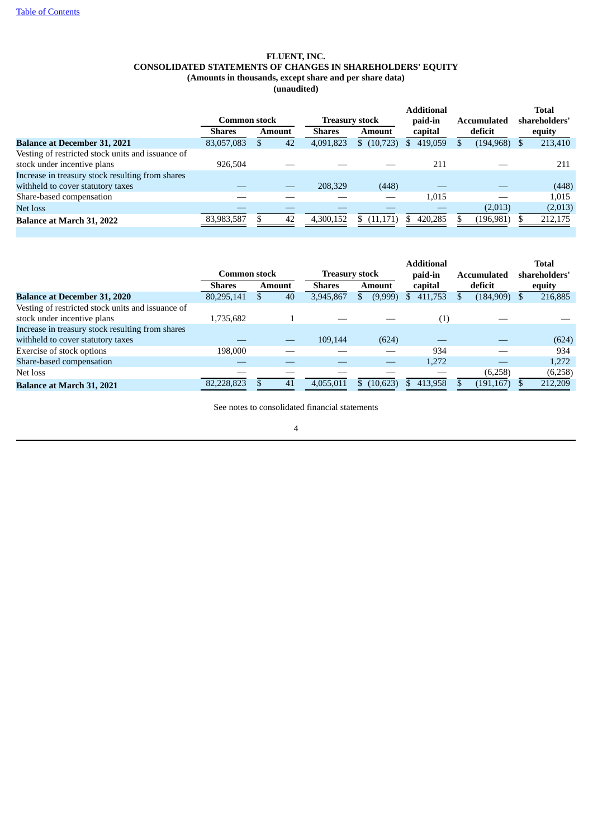## **FLUENT, INC. CONSOLIDATED STATEMENTS OF CHANGES IN SHAREHOLDERS' EQUITY (Amounts in thousands, except share and per share data) (unaudited)**

<span id="page-5-0"></span>

|                                                   | <b>Common stock</b> |        | <b>Treasury stock</b> | <b>Additional</b><br>paid-in | <b>Accumulated</b> |  | Total<br>shareholders' |  |         |
|---------------------------------------------------|---------------------|--------|-----------------------|------------------------------|--------------------|--|------------------------|--|---------|
|                                                   | <b>Shares</b>       | Amount | <b>Shares</b>         | <b>Amount</b>                | capital            |  | deficit                |  | equity  |
| <b>Balance at December 31, 2021</b>               | 83,057,083          | 42     | 4,091,823             | \$(10,723)                   | 419.059<br>S       |  | $(194, 968)$ \$        |  | 213,410 |
| Vesting of restricted stock units and issuance of |                     |        |                       |                              |                    |  |                        |  |         |
| stock under incentive plans                       | 926.504             |        |                       |                              | 211                |  |                        |  | 211     |
| Increase in treasury stock resulting from shares  |                     |        |                       |                              |                    |  |                        |  |         |
| withheld to cover statutory taxes                 |                     |        | 208,329               | (448)                        |                    |  |                        |  | (448)   |
| Share-based compensation                          |                     |        |                       |                              | 1,015              |  |                        |  | 1,015   |
| Net loss                                          |                     |        |                       |                              |                    |  | (2,013)                |  | (2,013) |
| <b>Balance at March 31, 2022</b>                  | 83,983,587          | 42     | 4.300.152             | (11, 171)<br>S.              | 420,285            |  | (196, 981)             |  | 212,175 |

|                                                   | <b>Common stock</b> |  | <b>Treasury stock</b> |               |  | <b>Additional</b><br>paid-in | <b>Accumulated</b>  |  | Total<br>shareholders' |  |         |
|---------------------------------------------------|---------------------|--|-----------------------|---------------|--|------------------------------|---------------------|--|------------------------|--|---------|
|                                                   | <b>Shares</b>       |  | <b>Amount</b>         | <b>Shares</b> |  | Amount                       | capital             |  | deficit                |  | equity  |
| <b>Balance at December 31, 2020</b>               | 80,295,141          |  | 40                    | 3,945,867     |  | (9,999)                      | 411,753<br>S        |  | (184,909)              |  | 216,885 |
| Vesting of restricted stock units and issuance of |                     |  |                       |               |  |                              |                     |  |                        |  |         |
| stock under incentive plans                       | 1,735,682           |  |                       |               |  |                              | $\scriptstyle{(1)}$ |  |                        |  |         |
| Increase in treasury stock resulting from shares  |                     |  |                       |               |  |                              |                     |  |                        |  |         |
| withheld to cover statutory taxes                 |                     |  |                       | 109.144       |  | (624)                        |                     |  |                        |  | (624)   |
| Exercise of stock options                         | 198.000             |  |                       |               |  |                              | 934                 |  |                        |  | 934     |
| Share-based compensation                          |                     |  |                       |               |  |                              | 1,272               |  |                        |  | 1,272   |
| Net loss                                          |                     |  |                       |               |  |                              |                     |  | (6,258)                |  | (6,258) |
| <b>Balance at March 31, 2021</b>                  | 82,228,823          |  | 41                    | 4.055.011     |  | \$(10,623)                   | 413,958             |  | (191, 167)             |  | 212,209 |

See notes to consolidated financial statements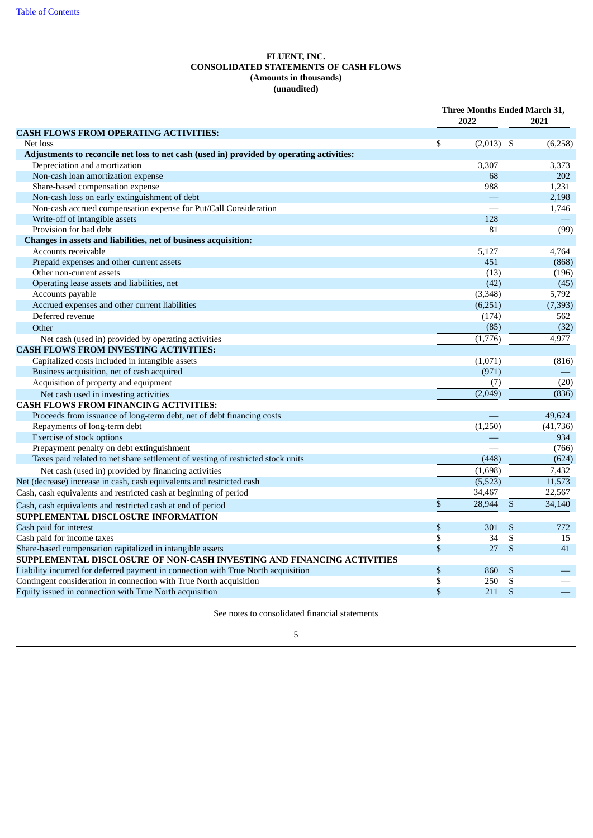## **FLUENT, INC. CONSOLIDATED STATEMENTS OF CASH FLOWS (Amounts in thousands) (unaudited)**

<span id="page-6-0"></span>

|                                                                                           | Three Months Ended March 31, |              |                           |           |
|-------------------------------------------------------------------------------------------|------------------------------|--------------|---------------------------|-----------|
|                                                                                           |                              | 2022         |                           | 2021      |
| <b>CASH FLOWS FROM OPERATING ACTIVITIES:</b>                                              |                              |              |                           |           |
| Net loss                                                                                  | \$                           | $(2,013)$ \$ |                           | (6,258)   |
| Adjustments to reconcile net loss to net cash (used in) provided by operating activities: |                              |              |                           |           |
| Depreciation and amortization                                                             |                              | 3,307        |                           | 3,373     |
| Non-cash loan amortization expense                                                        |                              | 68           |                           | 202       |
| Share-based compensation expense                                                          |                              | 988          |                           | 1,231     |
| Non-cash loss on early extinguishment of debt                                             |                              |              |                           | 2,198     |
| Non-cash accrued compensation expense for Put/Call Consideration                          |                              |              |                           | 1,746     |
| Write-off of intangible assets                                                            |                              | 128          |                           |           |
| Provision for bad debt                                                                    |                              | 81           |                           | (99)      |
| Changes in assets and liabilities, net of business acquisition:                           |                              |              |                           |           |
| Accounts receivable                                                                       |                              | 5,127        |                           | 4,764     |
| Prepaid expenses and other current assets                                                 |                              | 451          |                           | (868)     |
| Other non-current assets                                                                  |                              | (13)         |                           | (196)     |
| Operating lease assets and liabilities, net                                               |                              | (42)         |                           | (45)      |
| Accounts payable                                                                          |                              | (3, 348)     |                           | 5,792     |
| Accrued expenses and other current liabilities                                            |                              | (6,251)      |                           | (7, 393)  |
| Deferred revenue                                                                          |                              | (174)        |                           | 562       |
| Other                                                                                     |                              | (85)         |                           | (32)      |
| Net cash (used in) provided by operating activities                                       |                              | (1,776)      |                           | 4,977     |
| <b>CASH FLOWS FROM INVESTING ACTIVITIES:</b>                                              |                              |              |                           |           |
| Capitalized costs included in intangible assets                                           |                              | (1,071)      |                           | (816)     |
| Business acquisition, net of cash acquired                                                |                              | (971)        |                           |           |
| Acquisition of property and equipment                                                     |                              | (7)          |                           | (20)      |
| Net cash used in investing activities                                                     |                              | (2,049)      |                           | (836)     |
| <b>CASH FLOWS FROM FINANCING ACTIVITIES:</b>                                              |                              |              |                           |           |
| Proceeds from issuance of long-term debt, net of debt financing costs                     |                              |              |                           | 49.624    |
| Repayments of long-term debt                                                              |                              | (1,250)      |                           | (41, 736) |
| Exercise of stock options                                                                 |                              |              |                           | 934       |
| Prepayment penalty on debt extinguishment                                                 |                              |              |                           | (766)     |
| Taxes paid related to net share settlement of vesting of restricted stock units           |                              | (448)        |                           | (624)     |
| Net cash (used in) provided by financing activities                                       |                              | (1,698)      |                           | 7,432     |
| Net (decrease) increase in cash, cash equivalents and restricted cash                     |                              | (5, 523)     |                           | 11,573    |
| Cash, cash equivalents and restricted cash at beginning of period                         |                              | 34,467       |                           | 22,567    |
| Cash, cash equivalents and restricted cash at end of period                               | \$                           | 28,944       | $\boldsymbol{\mathsf{S}}$ | 34,140    |
| SUPPLEMENTAL DISCLOSURE INFORMATION                                                       |                              |              |                           |           |
| Cash paid for interest                                                                    | \$                           | 301          | \$                        | 772       |
| Cash paid for income taxes                                                                | \$                           | 34           | \$                        | 15        |
| Share-based compensation capitalized in intangible assets                                 | \$                           | 27           | \$                        | 41        |
| SUPPLEMENTAL DISCLOSURE OF NON-CASH INVESTING AND FINANCING ACTIVITIES                    |                              |              |                           |           |
| Liability incurred for deferred payment in connection with True North acquisition         | \$                           | 860          | \$                        |           |
| Contingent consideration in connection with True North acquisition                        | \$                           | 250          | \$                        |           |
| Equity issued in connection with True North acquisition                                   | \$                           | 211          | \$                        |           |

See notes to consolidated financial statements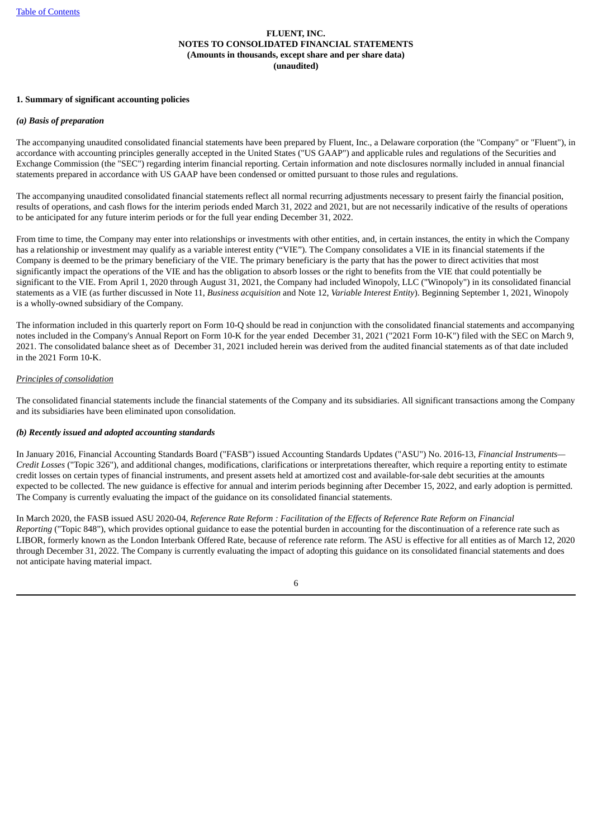## <span id="page-7-0"></span>**1. Summary of significant accounting policies**

## *(a) Basis of preparation*

The accompanying unaudited consolidated financial statements have been prepared by Fluent, Inc., a Delaware corporation (the "Company" or "Fluent"), in accordance with accounting principles generally accepted in the United States ("US GAAP") and applicable rules and regulations of the Securities and Exchange Commission (the "SEC") regarding interim financial reporting. Certain information and note disclosures normally included in annual financial statements prepared in accordance with US GAAP have been condensed or omitted pursuant to those rules and regulations.

The accompanying unaudited consolidated financial statements reflect all normal recurring adjustments necessary to present fairly the financial position, results of operations, and cash flows for the interim periods ended March 31, 2022 and 2021, but are not necessarily indicative of the results of operations to be anticipated for any future interim periods or for the full year ending December 31, 2022.

From time to time, the Company may enter into relationships or investments with other entities, and, in certain instances, the entity in which the Company has a relationship or investment may qualify as a variable interest entity ("VIE"). The Company consolidates a VIE in its financial statements if the Company is deemed to be the primary beneficiary of the VIE. The primary beneficiary is the party that has the power to direct activities that most significantly impact the operations of the VIE and has the obligation to absorb losses or the right to benefits from the VIE that could potentially be significant to the VIE. From April 1, 2020 through August 31, 2021, the Company had included Winopoly, LLC ("Winopoly") in its consolidated financial statements as a VIE (as further discussed in Note 11, *Business acquisition* and Note 12, *Variable Interest Entity*). Beginning September 1, 2021, Winopoly is a wholly-owned subsidiary of the Company.

The information included in this quarterly report on Form 10-Q should be read in conjunction with the consolidated financial statements and accompanying notes included in the Company's Annual Report on Form 10-K for the year ended December 31, 2021 ("2021 Form 10-K") filed with the SEC on March 9, 2021. The consolidated balance sheet as of December 31, 2021 included herein was derived from the audited financial statements as of that date included in the 2021 Form 10-K.

## *Principles of consolidation*

The consolidated financial statements include the financial statements of the Company and its subsidiaries. All significant transactions among the Company and its subsidiaries have been eliminated upon consolidation.

## *(b) Recently issued and adopted accounting standards*

In January 2016, Financial Accounting Standards Board ("FASB") issued Accounting Standards Updates ("ASU") No. 2016-13, *Financial Instruments— Credit Losses* ("Topic 326")*,* and additional changes, modifications, clarifications or interpretations thereafter, which require a reporting entity to estimate credit losses on certain types of financial instruments, and present assets held at amortized cost and available-for-sale debt securities at the amounts expected to be collected. The new guidance is effective for annual and interim periods beginning after December 15, 2022, and early adoption is permitted. The Company is currently evaluating the impact of the guidance on its consolidated financial statements.

In March 2020, the FASB issued ASU 2020-04, Reference Rate Reform : Facilitation of the Effects of Reference Rate Reform on Financial *Reporting* ("Topic 848"), which provides optional guidance to ease the potential burden in accounting for the discontinuation of a reference rate such as LIBOR, formerly known as the London Interbank Offered Rate, because of reference rate reform. The ASU is effective for all entities as of March 12, 2020 through December 31, 2022. The Company is currently evaluating the impact of adopting this guidance on its consolidated financial statements and does not anticipate having material impact.

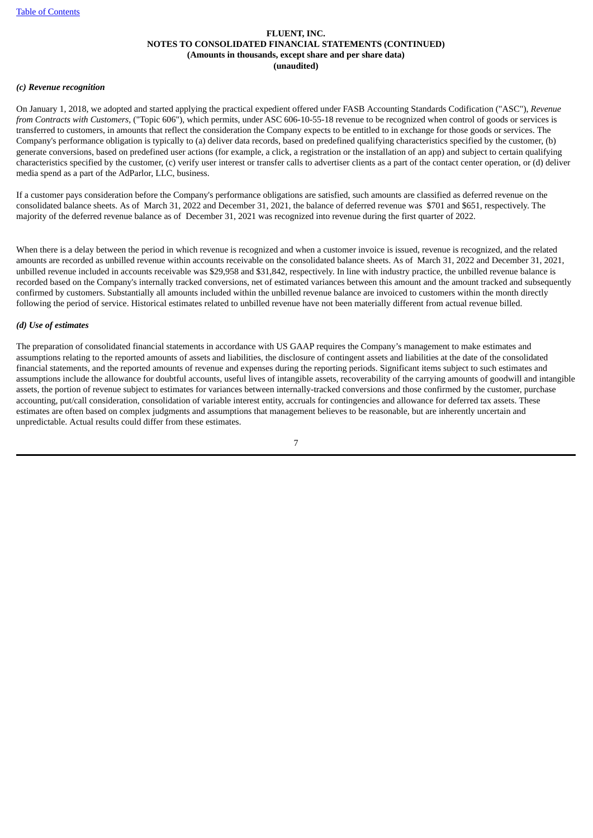## *(c) Revenue recognition*

On January 1, 2018, we adopted and started applying the practical expedient offered under FASB Accounting Standards Codification ("ASC"), *Revenue from Contracts with Customers,* ("Topic 606"), which permits, under ASC 606-10-55-18 revenue to be recognized when control of goods or services is transferred to customers, in amounts that reflect the consideration the Company expects to be entitled to in exchange for those goods or services. The Company's performance obligation is typically to (a) deliver data records, based on predefined qualifying characteristics specified by the customer, (b) generate conversions, based on predefined user actions (for example, a click, a registration or the installation of an app) and subject to certain qualifying characteristics specified by the customer, (c) verify user interest or transfer calls to advertiser clients as a part of the contact center operation, or (d) deliver media spend as a part of the AdParlor, LLC, business.

If a customer pays consideration before the Company's performance obligations are satisfied, such amounts are classified as deferred revenue on the consolidated balance sheets. As of March 31, 2022 and December 31, 2021, the balance of deferred revenue was \$701 and \$651, respectively. The majority of the deferred revenue balance as of December 31, 2021 was recognized into revenue during the first quarter of 2022.

When there is a delay between the period in which revenue is recognized and when a customer invoice is issued, revenue is recognized, and the related amounts are recorded as unbilled revenue within accounts receivable on the consolidated balance sheets. As of March 31, 2022 and December 31, 2021, unbilled revenue included in accounts receivable was \$29,958 and \$31,842, respectively. In line with industry practice, the unbilled revenue balance is recorded based on the Company's internally tracked conversions, net of estimated variances between this amount and the amount tracked and subsequently confirmed by customers. Substantially all amounts included within the unbilled revenue balance are invoiced to customers within the month directly following the period of service. Historical estimates related to unbilled revenue have not been materially different from actual revenue billed.

#### *(d) Use of estimates*

The preparation of consolidated financial statements in accordance with US GAAP requires the Company's management to make estimates and assumptions relating to the reported amounts of assets and liabilities, the disclosure of contingent assets and liabilities at the date of the consolidated financial statements, and the reported amounts of revenue and expenses during the reporting periods. Significant items subject to such estimates and assumptions include the allowance for doubtful accounts, useful lives of intangible assets, recoverability of the carrying amounts of goodwill and intangible assets, the portion of revenue subject to estimates for variances between internally-tracked conversions and those confirmed by the customer, purchase accounting, put/call consideration, consolidation of variable interest entity, accruals for contingencies and allowance for deferred tax assets. These estimates are often based on complex judgments and assumptions that management believes to be reasonable, but are inherently uncertain and unpredictable. Actual results could differ from these estimates.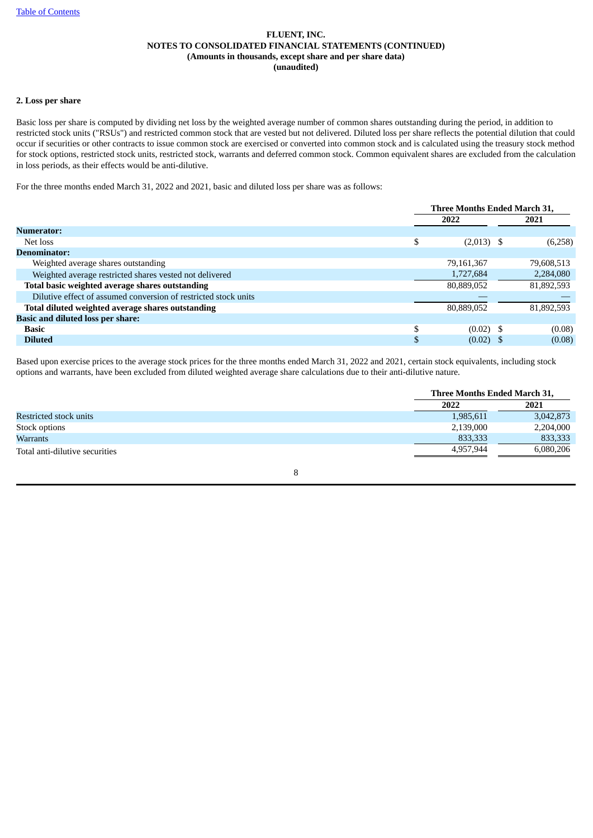## **2. Loss per share**

Basic loss per share is computed by dividing net loss by the weighted average number of common shares outstanding during the period, in addition to restricted stock units ("RSUs") and restricted common stock that are vested but not delivered. Diluted loss per share reflects the potential dilution that could occur if securities or other contracts to issue common stock are exercised or converted into common stock and is calculated using the treasury stock method for stock options, restricted stock units, restricted stock, warrants and deferred common stock. Common equivalent shares are excluded from the calculation in loss periods, as their effects would be anti-dilutive.

For the three months ended March 31, 2022 and 2021, basic and diluted loss per share was as follows:

|                                                                 | Three Months Ended March 31, |  |            |  |  |
|-----------------------------------------------------------------|------------------------------|--|------------|--|--|
|                                                                 | 2022                         |  | 2021       |  |  |
| Numerator:                                                      |                              |  |            |  |  |
| Net loss                                                        | \$<br>$(2,013)$ \$           |  | (6,258)    |  |  |
| <b>Denominator:</b>                                             |                              |  |            |  |  |
| Weighted average shares outstanding                             | 79,161,367                   |  | 79,608,513 |  |  |
| Weighted average restricted shares vested not delivered         | 1,727,684                    |  | 2,284,080  |  |  |
| Total basic weighted average shares outstanding                 | 80,889,052                   |  | 81,892,593 |  |  |
| Dilutive effect of assumed conversion of restricted stock units |                              |  |            |  |  |
| Total diluted weighted average shares outstanding               | 80,889,052                   |  | 81,892,593 |  |  |
| <b>Basic and diluted loss per share:</b>                        |                              |  |            |  |  |
| <b>Basic</b>                                                    | \$<br>$(0.02)$ \$            |  | (0.08)     |  |  |
| <b>Diluted</b>                                                  | $(0.02)$ \$                  |  | (0.08)     |  |  |

Based upon exercise prices to the average stock prices for the three months ended March 31, 2022 and 2021, certain stock equivalents, including stock options and warrants, have been excluded from diluted weighted average share calculations due to their anti-dilutive nature.

|                                | Three Months Ended March 31, |           |
|--------------------------------|------------------------------|-----------|
|                                | 2022                         | 2021      |
| Restricted stock units         | 1,985,611                    | 3,042,873 |
| Stock options                  | 2,139,000                    | 2,204,000 |
| Warrants                       | 833,333                      | 833,333   |
| Total anti-dilutive securities | 4.957.944                    | 6,080,206 |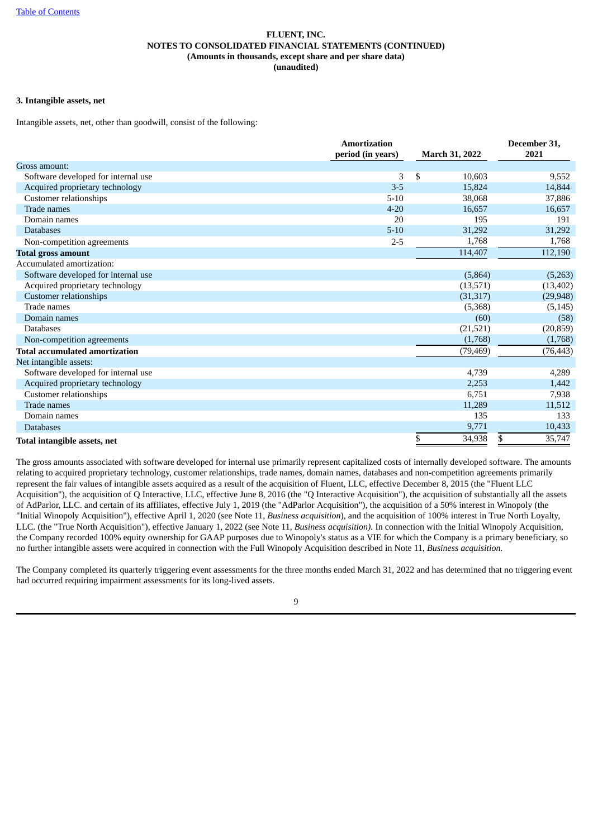## **3. Intangible assets, net**

Intangible assets, net, other than goodwill, consist of the following:

|                                       | <b>Amortization</b> |                       | December 31, |
|---------------------------------------|---------------------|-----------------------|--------------|
|                                       | period (in years)   | <b>March 31, 2022</b> | 2021         |
| Gross amount:                         |                     |                       |              |
| Software developed for internal use   | 3                   | \$<br>10,603          | 9,552        |
| Acquired proprietary technology       | $3 - 5$             | 15.824                | 14,844       |
| Customer relationships                | $5 - 10$            | 38,068                | 37,886       |
| Trade names                           | $4 - 20$            | 16,657                | 16,657       |
| Domain names                          | 20                  | 195                   | 191          |
| <b>Databases</b>                      | $5 - 10$            | 31,292                | 31,292       |
| Non-competition agreements            | $2 - 5$             | 1,768                 | 1,768        |
| <b>Total gross amount</b>             |                     | 114,407               | 112,190      |
| Accumulated amortization:             |                     |                       |              |
| Software developed for internal use   |                     | (5,864)               | (5,263)      |
| Acquired proprietary technology       |                     | (13,571)              | (13, 402)    |
| <b>Customer relationships</b>         |                     | (31, 317)             | (29, 948)    |
| Trade names                           |                     | (5,368)               | (5, 145)     |
| Domain names                          |                     | (60)                  | (58)         |
| <b>Databases</b>                      |                     | (21,521)              | (20, 859)    |
| Non-competition agreements            |                     | (1,768)               | (1,768)      |
| <b>Total accumulated amortization</b> |                     | (79, 469)             | (76, 443)    |
| Net intangible assets:                |                     |                       |              |
| Software developed for internal use   |                     | 4,739                 | 4,289        |
| Acquired proprietary technology       |                     | 2,253                 | 1,442        |
| Customer relationships                |                     | 6,751                 | 7,938        |
| Trade names                           |                     | 11,289                | 11,512       |
| Domain names                          |                     | 135                   | 133          |
| <b>Databases</b>                      |                     | 9,771                 | 10,433       |
| Total intangible assets, net          |                     | \$<br>34,938          | \$<br>35,747 |

The gross amounts associated with software developed for internal use primarily represent capitalized costs of internally developed software. The amounts relating to acquired proprietary technology, customer relationships, trade names, domain names, databases and non-competition agreements primarily represent the fair values of intangible assets acquired as a result of the acquisition of Fluent, LLC, effective December 8, 2015 (the "Fluent LLC Acquisition"), the acquisition of Q Interactive, LLC, effective June 8, 2016 (the "Q Interactive Acquisition"), the acquisition of substantially all the assets of AdParlor, LLC. and certain of its affiliates, effective July 1, 2019 (the "AdParlor Acquisition"), the acquisition of a 50% interest in Winopoly (the "Initial Winopoly Acquisition"), effective April 1, 2020 (see Note 11, *Business acquisition*), and the acquisition of 100% interest in True North Loyalty, LLC. (the "True North Acquisition"), effective January 1, 2022 (see Note 11*, Business acquisition).* In connection with the Initial Winopoly Acquisition, the Company recorded 100% equity ownership for GAAP purposes due to Winopoly's status as a VIE for which the Company is a primary beneficiary, so no further intangible assets were acquired in connection with the Full Winopoly Acquisition described in Note 11, *Business acquisition.*

The Company completed its quarterly triggering event assessments for the three months ended March 31, 2022 and has determined that no triggering event had occurred requiring impairment assessments for its long-lived assets.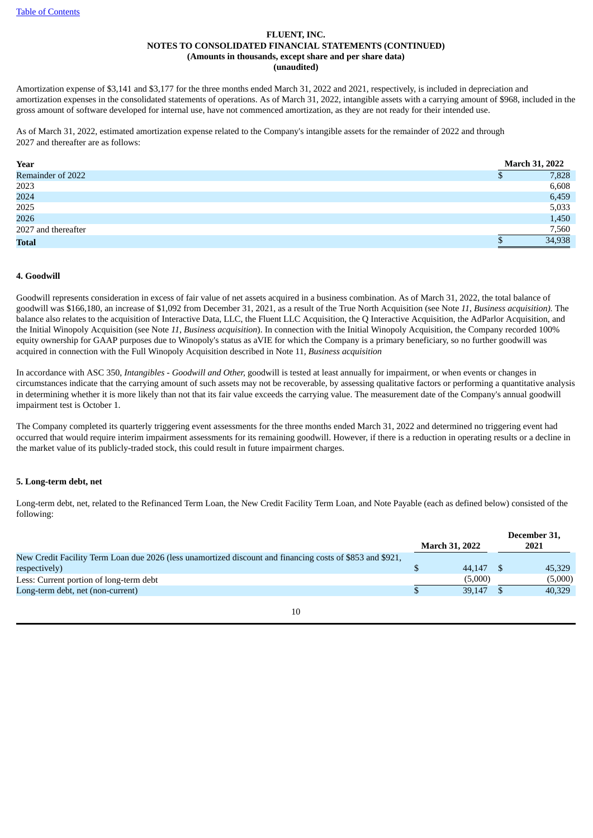Amortization expense of \$3,141 and \$3,177 for the three months ended March 31, 2022 and 2021, respectively, is included in depreciation and amortization expenses in the consolidated statements of operations. As of March 31, 2022, intangible assets with a carrying amount of \$968, included in the gross amount of software developed for internal use, have not commenced amortization, as they are not ready for their intended use.

As of March 31, 2022, estimated amortization expense related to the Company's intangible assets for the remainder of 2022 and through 2027 and thereafter are as follows:

| Year                | <b>March 31, 2022</b> |
|---------------------|-----------------------|
| Remainder of 2022   | 7,828<br>۵D           |
| 2023                | 6,608                 |
| 2024                | 6,459                 |
| 2025                | 5,033                 |
| 2026                | 1,450                 |
| 2027 and thereafter | 7,560                 |
| <b>Total</b>        | 34,938                |

#### **4. Goodwill**

Goodwill represents consideration in excess of fair value of net assets acquired in a business combination. As of March 31, 2022, the total balance of goodwill was \$166,180, an increase of \$1,092 from December 31, 2021, as a result of the True North Acquisition (see Note *11*, *Business acquisition).* The balance also relates to the acquisition of Interactive Data, LLC, the Fluent LLC Acquisition, the Q Interactive Acquisition, the AdParlor Acquisition, and the Initial Winopoly Acquisition (see Note *11*, *Business acquisition*). In connection with the Initial Winopoly Acquisition, the Company recorded 100% equity ownership for GAAP purposes due to Winopoly's status as aVIE for which the Company is a primary beneficiary, so no further goodwill was acquired in connection with the Full Winopoly Acquisition described in Note 11, *Business acquisition*

In accordance with ASC 350, *Intangibles - Goodwill and Other,* goodwill is tested at least annually for impairment, or when events or changes in circumstances indicate that the carrying amount of such assets may not be recoverable, by assessing qualitative factors or performing a quantitative analysis in determining whether it is more likely than not that its fair value exceeds the carrying value. The measurement date of the Company's annual goodwill impairment test is October 1.

The Company completed its quarterly triggering event assessments for the three months ended March 31, 2022 and determined no triggering event had occurred that would require interim impairment assessments for its remaining goodwill. However, if there is a reduction in operating results or a decline in the market value of its publicly-traded stock, this could result in future impairment charges.

## **5. Long-term debt, net**

Long-term debt, net, related to the Refinanced Term Loan, the New Credit Facility Term Loan, and Note Payable (each as defined below) consisted of the following:

|                                                                                                           | <b>March 31, 2022</b> | December 31,<br>2021 |
|-----------------------------------------------------------------------------------------------------------|-----------------------|----------------------|
|                                                                                                           |                       |                      |
| New Credit Facility Term Loan due 2026 (less unamortized discount and financing costs of \$853 and \$921, |                       |                      |
| respectively)                                                                                             | 44,147                | 45.329               |
| Less: Current portion of long-term debt                                                                   | (5,000)               | (5,000)              |
| Long-term debt, net (non-current)                                                                         | 39.147                | 40,329               |
|                                                                                                           |                       |                      |

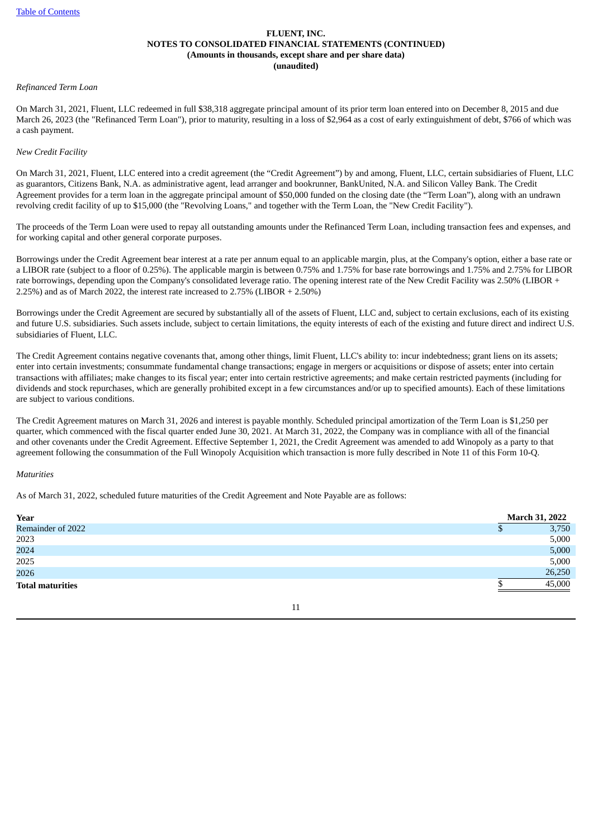#### *Refinanced Term Loan*

On March 31, 2021, Fluent, LLC redeemed in full \$38,318 aggregate principal amount of its prior term loan entered into on December 8, 2015 and due March 26, 2023 (the "Refinanced Term Loan"), prior to maturity, resulting in a loss of \$2,964 as a cost of early extinguishment of debt, \$766 of which was a cash payment.

#### *New Credit Facility*

On March 31, 2021, Fluent, LLC entered into a credit agreement (the "Credit Agreement") by and among, Fluent, LLC, certain subsidiaries of Fluent, LLC as guarantors, Citizens Bank, N.A. as administrative agent, lead arranger and bookrunner, BankUnited, N.A. and Silicon Valley Bank. The Credit Agreement provides for a term loan in the aggregate principal amount of \$50,000 funded on the closing date (the "Term Loan"), along with an undrawn revolving credit facility of up to \$15,000 (the "Revolving Loans," and together with the Term Loan, the "New Credit Facility").

The proceeds of the Term Loan were used to repay all outstanding amounts under the Refinanced Term Loan, including transaction fees and expenses, and for working capital and other general corporate purposes.

Borrowings under the Credit Agreement bear interest at a rate per annum equal to an applicable margin, plus, at the Company's option, either a base rate or a LIBOR rate (subject to a floor of 0.25%). The applicable margin is between 0.75% and 1.75% for base rate borrowings and 1.75% and 2.75% for LIBOR rate borrowings, depending upon the Company's consolidated leverage ratio. The opening interest rate of the New Credit Facility was 2.50% (LIBOR + 2.25%) and as of March 2022, the interest rate increased to 2.75% (LIBOR + 2.50%)

Borrowings under the Credit Agreement are secured by substantially all of the assets of Fluent, LLC and, subject to certain exclusions, each of its existing and future U.S. subsidiaries. Such assets include, subject to certain limitations, the equity interests of each of the existing and future direct and indirect U.S. subsidiaries of Fluent, LLC.

The Credit Agreement contains negative covenants that, among other things, limit Fluent, LLC's ability to: incur indebtedness; grant liens on its assets; enter into certain investments; consummate fundamental change transactions; engage in mergers or acquisitions or dispose of assets; enter into certain transactions with affiliates; make changes to its fiscal year; enter into certain restrictive agreements; and make certain restricted payments (including for dividends and stock repurchases, which are generally prohibited except in a few circumstances and/or up to specified amounts). Each of these limitations are subject to various conditions.

The Credit Agreement matures on March 31, 2026 and interest is payable monthly. Scheduled principal amortization of the Term Loan is \$1,250 per quarter, which commenced with the fiscal quarter ended June 30, 2021. At March 31, 2022, the Company was in compliance with all of the financial and other covenants under the Credit Agreement. Effective September 1, 2021, the Credit Agreement was amended to add Winopoly as a party to that agreement following the consummation of the Full Winopoly Acquisition which transaction is more fully described in Note 11 of this Form 10-Q.

#### *Maturities*

As of March 31, 2022, scheduled future maturities of the Credit Agreement and Note Payable are as follows:

| Year                    | <b>March 31, 2022</b> |
|-------------------------|-----------------------|
| Remainder of 2022       | 3,750                 |
| 2023                    | 5,000                 |
| 2024                    | 5,000                 |
| 2025                    | 5,000                 |
| 2026                    | 26,250                |
| <b>Total maturities</b> | 45,000                |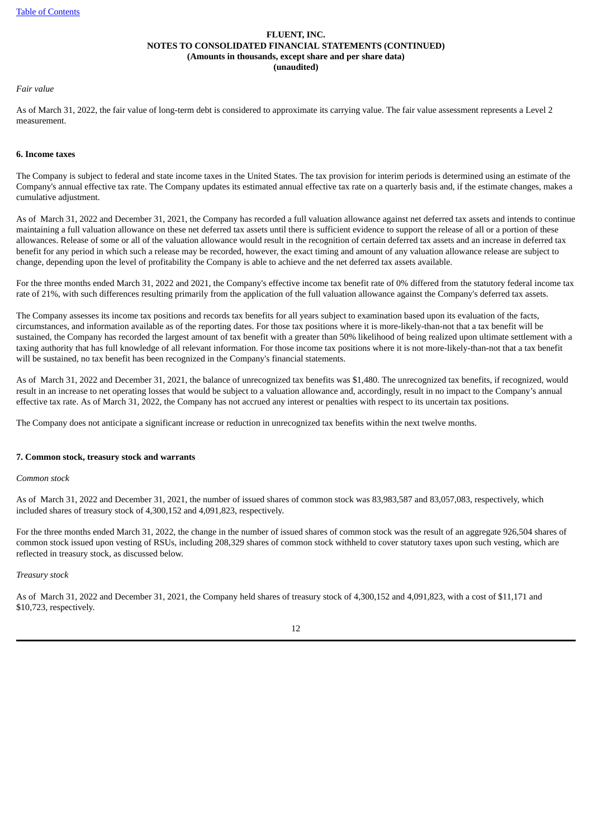#### *Fair value*

As of March 31, 2022, the fair value of long-term debt is considered to approximate its carrying value. The fair value assessment represents a Level 2 measurement.

#### **6. Income taxes**

The Company is subject to federal and state income taxes in the United States. The tax provision for interim periods is determined using an estimate of the Company's annual effective tax rate. The Company updates its estimated annual effective tax rate on a quarterly basis and, if the estimate changes, makes a cumulative adjustment.

As of March 31, 2022 and December 31, 2021, the Company has recorded a full valuation allowance against net deferred tax assets and intends to continue maintaining a full valuation allowance on these net deferred tax assets until there is sufficient evidence to support the release of all or a portion of these allowances. Release of some or all of the valuation allowance would result in the recognition of certain deferred tax assets and an increase in deferred tax benefit for any period in which such a release may be recorded, however, the exact timing and amount of any valuation allowance release are subject to change, depending upon the level of profitability the Company is able to achieve and the net deferred tax assets available.

For the three months ended March 31, 2022 and 2021, the Company's effective income tax benefit rate of 0% differed from the statutory federal income tax rate of 21%, with such differences resulting primarily from the application of the full valuation allowance against the Company's deferred tax assets.

The Company assesses its income tax positions and records tax benefits for all years subject to examination based upon its evaluation of the facts, circumstances, and information available as of the reporting dates. For those tax positions where it is more-likely-than-not that a tax benefit will be sustained, the Company has recorded the largest amount of tax benefit with a greater than 50% likelihood of being realized upon ultimate settlement with a taxing authority that has full knowledge of all relevant information. For those income tax positions where it is not more-likely-than-not that a tax benefit will be sustained, no tax benefit has been recognized in the Company's financial statements.

As of March 31, 2022 and December 31, 2021, the balance of unrecognized tax benefits was \$1,480. The unrecognized tax benefits, if recognized, would result in an increase to net operating losses that would be subject to a valuation allowance and, accordingly, result in no impact to the Company's annual effective tax rate. As of March 31, 2022, the Company has not accrued any interest or penalties with respect to its uncertain tax positions.

The Company does not anticipate a significant increase or reduction in unrecognized tax benefits within the next twelve months.

## **7. Common stock, treasury stock and warrants**

*Common stock*

As of March 31, 2022 and December 31, 2021, the number of issued shares of common stock was 83,983,587 and 83,057,083, respectively, which included shares of treasury stock of 4,300,152 and 4,091,823, respectively.

For the three months ended March 31, 2022, the change in the number of issued shares of common stock was the result of an aggregate 926,504 shares of common stock issued upon vesting of RSUs, including 208,329 shares of common stock withheld to cover statutory taxes upon such vesting, which are reflected in treasury stock, as discussed below.

#### *Treasury stock*

As of March 31, 2022 and December 31, 2021, the Company held shares of treasury stock of 4,300,152 and 4,091,823, with a cost of \$11,171 and \$10,723, respectively.

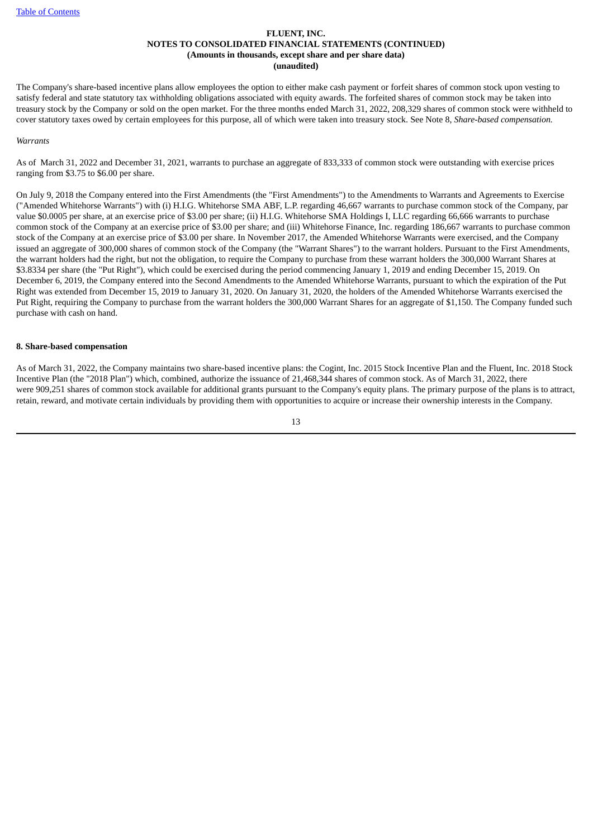The Company's share-based incentive plans allow employees the option to either make cash payment or forfeit shares of common stock upon vesting to satisfy federal and state statutory tax withholding obligations associated with equity awards. The forfeited shares of common stock may be taken into treasury stock by the Company or sold on the open market. For the three months ended March 31, 2022, 208,329 shares of common stock were withheld to cover statutory taxes owed by certain employees for this purpose, all of which were taken into treasury stock. See Note 8, *Share-based compensation.*

#### *Warrants*

As of March 31, 2022 and December 31, 2021, warrants to purchase an aggregate of 833,333 of common stock were outstanding with exercise prices ranging from \$3.75 to \$6.00 per share.

On July 9, 2018 the Company entered into the First Amendments (the "First Amendments") to the Amendments to Warrants and Agreements to Exercise ("Amended Whitehorse Warrants") with (i) H.I.G. Whitehorse SMA ABF, L.P. regarding 46,667 warrants to purchase common stock of the Company, par value \$0.0005 per share, at an exercise price of \$3.00 per share; (ii) H.I.G. Whitehorse SMA Holdings I, LLC regarding 66,666 warrants to purchase common stock of the Company at an exercise price of \$3.00 per share; and (iii) Whitehorse Finance, Inc. regarding 186,667 warrants to purchase common stock of the Company at an exercise price of \$3.00 per share. In November 2017, the Amended Whitehorse Warrants were exercised, and the Company issued an aggregate of 300,000 shares of common stock of the Company (the "Warrant Shares") to the warrant holders. Pursuant to the First Amendments, the warrant holders had the right, but not the obligation, to require the Company to purchase from these warrant holders the 300,000 Warrant Shares at \$3.8334 per share (the "Put Right"), which could be exercised during the period commencing January 1, 2019 and ending December 15, 2019. On December 6, 2019, the Company entered into the Second Amendments to the Amended Whitehorse Warrants, pursuant to which the expiration of the Put Right was extended from December 15, 2019 to January 31, 2020. On January 31, 2020, the holders of the Amended Whitehorse Warrants exercised the Put Right, requiring the Company to purchase from the warrant holders the 300,000 Warrant Shares for an aggregate of \$1,150. The Company funded such purchase with cash on hand.

#### **8. Share-based compensation**

As of March 31, 2022, the Company maintains two share-based incentive plans: the Cogint, Inc. 2015 Stock Incentive Plan and the Fluent, Inc. 2018 Stock Incentive Plan (the "2018 Plan") which, combined, authorize the issuance of 21,468,344 shares of common stock. As of March 31, 2022, there were 909,251 shares of common stock available for additional grants pursuant to the Company's equity plans. The primary purpose of the plans is to attract, retain, reward, and motivate certain individuals by providing them with opportunities to acquire or increase their ownership interests in the Company.

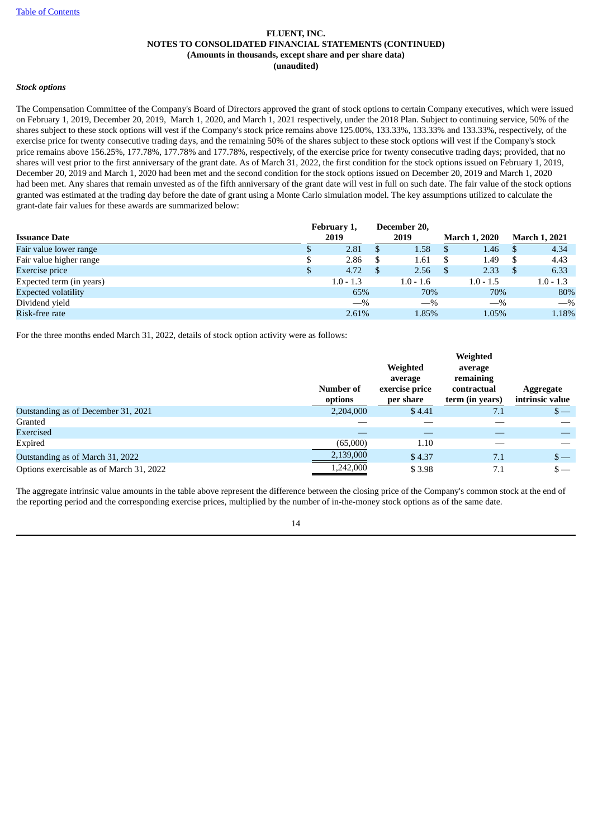## *Stock options*

The Compensation Committee of the Company's Board of Directors approved the grant of stock options to certain Company executives, which were issued on February 1, 2019, December 20, 2019, March 1, 2020, and March 1, 2021 respectively, under the 2018 Plan. Subject to continuing service, 50% of the shares subject to these stock options will vest if the Company's stock price remains above 125.00%, 133.33%, 133.33% and 133.33%, respectively, of the exercise price for twenty consecutive trading days, and the remaining 50% of the shares subject to these stock options will vest if the Company's stock price remains above 156.25%, 177.78%, 177.78% and 177.78%, respectively, of the exercise price for twenty consecutive trading days; provided, that no shares will vest prior to the first anniversary of the grant date. As of March 31, 2022, the first condition for the stock options issued on February 1, 2019, December 20, 2019 and March 1, 2020 had been met and the second condition for the stock options issued on December 20, 2019 and March 1, 2020 had been met. Any shares that remain unvested as of the fifth anniversary of the grant date will vest in full on such date. The fair value of the stock options granted was estimated at the trading day before the date of grant using a Monte Carlo simulation model. The key assumptions utilized to calculate the grant-date fair values for these awards are summarized below:

|                            | February 1, | December 20, |                      |     |                      |
|----------------------------|-------------|--------------|----------------------|-----|----------------------|
| <b>Issuance Date</b>       | 2019        | 2019         | <b>March 1, 2020</b> |     | <b>March 1, 2021</b> |
| Fair value lower range     | 2.81        | 1.58         | 1.46                 | -S  | 4.34                 |
| Fair value higher range    | 2.86        | 1.61         | 1.49                 |     | 4.43                 |
| <b>Exercise</b> price      | 4.72        | 2.56         | 2.33                 | -\$ | 6.33                 |
| Expected term (in years)   | $1.0 - 1.3$ | $1.0 - 1.6$  | $1.0 - 1.5$          |     | $1.0 - 1.3$          |
| <b>Expected volatility</b> | 65%         | 70%          | 70%                  |     | 80%                  |
| Dividend yield             | $-$ %       | $-$ %        | $-$ %                |     | $-$ %                |
| Risk-free rate             | 2.61%       | 1.85%        | 1.05%                |     | 1.18%                |

For the three months ended March 31, 2022, details of stock option activity were as follows:

|                                          |           |                     | Weighted             |                 |
|------------------------------------------|-----------|---------------------|----------------------|-----------------|
|                                          |           | Weighted<br>average | average<br>remaining |                 |
|                                          | Number of | exercise price      | contractual          | Aggregate       |
|                                          | options   | per share           | term (in years)      | intrinsic value |
| Outstanding as of December 31, 2021      | 2,204,000 | \$4.41              | 7.1                  | $s-$            |
| Granted                                  |           |                     |                      |                 |
| Exercised                                |           |                     |                      |                 |
| Expired                                  | (65,000)  | 1.10                |                      |                 |
| Outstanding as of March 31, 2022         | 2,139,000 | \$4.37              | 7.1                  | $s-$            |
| Options exercisable as of March 31, 2022 | 1,242,000 | \$3.98              | 7.1                  | $\mathsf{s}-$   |

The aggregate intrinsic value amounts in the table above represent the difference between the closing price of the Company's common stock at the end of the reporting period and the corresponding exercise prices, multiplied by the number of in-the-money stock options as of the same date.

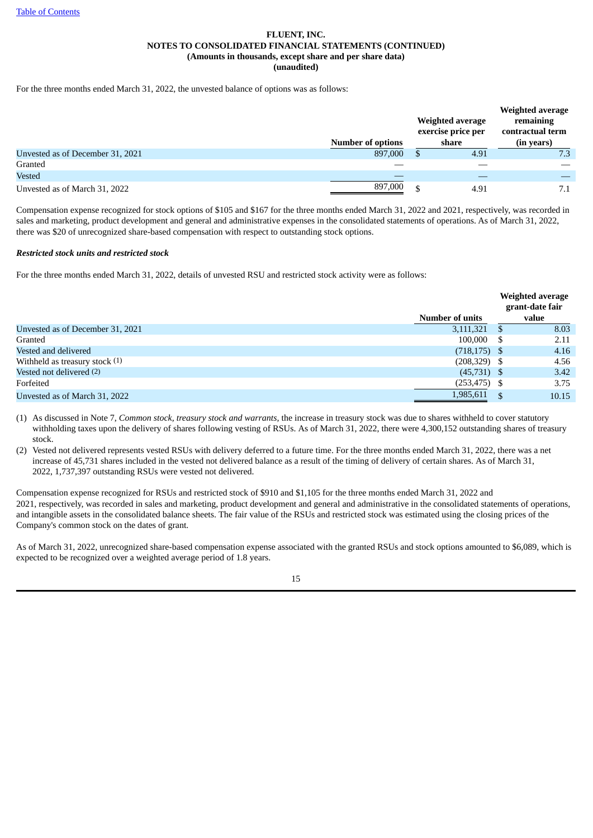For the three months ended March 31, 2022, the unvested balance of options was as follows:

|                                  | <b>Number of options</b> | Weighted average<br>exercise price per<br>share | Weighted average<br>remaining<br>contractual term<br>(in years) |
|----------------------------------|--------------------------|-------------------------------------------------|-----------------------------------------------------------------|
| Unvested as of December 31, 2021 | 897,000                  | 4.91                                            | 7.3                                                             |
| Granted                          |                          |                                                 |                                                                 |
| Vested                           |                          |                                                 |                                                                 |
| Unvested as of March 31, 2022    | 897,000                  | 4.91                                            | 7.1                                                             |

Compensation expense recognized for stock options of \$105 and \$167 for the three months ended March 31, 2022 and 2021, respectively, was recorded in sales and marketing, product development and general and administrative expenses in the consolidated statements of operations. As of March 31, 2022, there was \$20 of unrecognized share-based compensation with respect to outstanding stock options.

## *Restricted stock units and restricted stock*

For the three months ended March 31, 2022, details of unvested RSU and restricted stock activity were as follows:

|                                  |                        | <b>Weighted average</b><br>grant-date fair |       |
|----------------------------------|------------------------|--------------------------------------------|-------|
|                                  | <b>Number of units</b> | value                                      |       |
| Unvested as of December 31, 2021 | 3,111,321              |                                            | 8.03  |
| Granted                          | $100,000$ \$           |                                            | 2.11  |
| Vested and delivered             | $(718, 175)$ \$        |                                            | 4.16  |
| Withheld as treasury stock $(1)$ | $(208,329)$ \$         |                                            | 4.56  |
| Vested not delivered (2)         | $(45,731)$ \$          |                                            | 3.42  |
| Forfeited                        | $(253, 475)$ \$        |                                            | 3.75  |
| Unvested as of March 31, 2022    | 1,985,611              |                                            | 10.15 |

(1) As discussed in Note 7, *Common stock, treasury stock and warrants,* the increase in treasury stock was due to shares withheld to cover statutory withholding taxes upon the delivery of shares following vesting of RSUs. As of March 31, 2022, there were 4,300,152 outstanding shares of treasury stock.

(2) Vested not delivered represents vested RSUs with delivery deferred to a future time. For the three months ended March 31, 2022, there was a net increase of 45,731 shares included in the vested not delivered balance as a result of the timing of delivery of certain shares. As of March 31, 2022, 1,737,397 outstanding RSUs were vested not delivered.

Compensation expense recognized for RSUs and restricted stock of \$910 and \$1,105 for the three months ended March 31, 2022 and 2021, respectively, was recorded in sales and marketing, product development and general and administrative in the consolidated statements of operations, and intangible assets in the consolidated balance sheets. The fair value of the RSUs and restricted stock was estimated using the closing prices of the Company's common stock on the dates of grant.

As of March 31, 2022, unrecognized share-based compensation expense associated with the granted RSUs and stock options amounted to \$6,089, which is expected to be recognized over a weighted average period of 1.8 years.

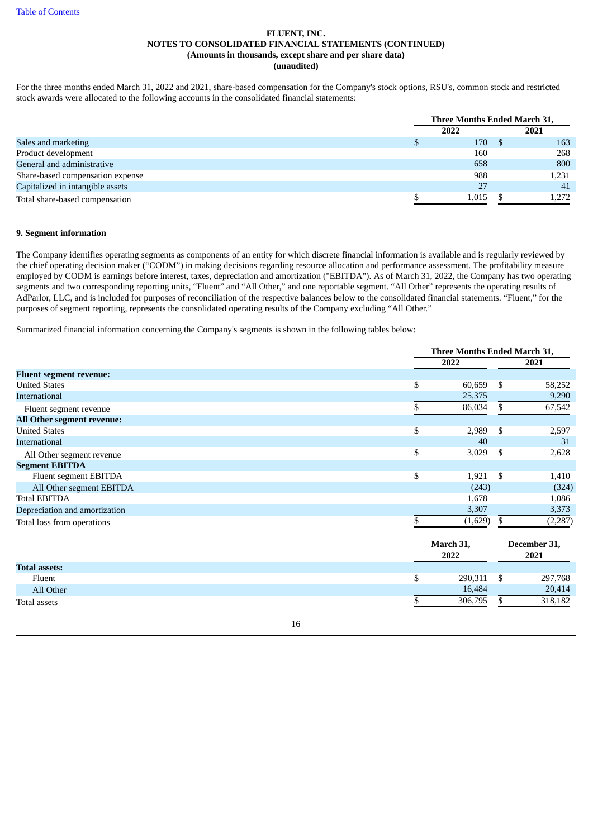For the three months ended March 31, 2022 and 2021, share-based compensation for the Company's stock options, RSU's, common stock and restricted stock awards were allocated to the following accounts in the consolidated financial statements:

|                                  | <b>Three Months Ended March 31,</b> |       |  |       |
|----------------------------------|-------------------------------------|-------|--|-------|
|                                  | 2022                                |       |  | 2021  |
| Sales and marketing              |                                     | 170   |  | 163   |
| Product development              |                                     | 160   |  | 268   |
| General and administrative       |                                     | 658   |  | 800   |
| Share-based compensation expense |                                     | 988   |  | 1,231 |
| Capitalized in intangible assets |                                     |       |  | 41    |
| Total share-based compensation   |                                     | 1.015 |  | 1.272 |

#### **9. Segment information**

The Company identifies operating segments as components of an entity for which discrete financial information is available and is regularly reviewed by the chief operating decision maker ("CODM") in making decisions regarding resource allocation and performance assessment. The profitability measure employed by CODM is earnings before interest, taxes, depreciation and amortization ("EBITDA"). As of March 31, 2022, the Company has two operating segments and two corresponding reporting units, "Fluent" and "All Other," and one reportable segment. "All Other" represents the operating results of AdParlor, LLC, and is included for purposes of reconciliation of the respective balances below to the consolidated financial statements. "Fluent," for the purposes of segment reporting, represents the consolidated operating results of the Company excluding "All Other."

Summarized financial information concerning the Company's segments is shown in the following tables below:

|                                | Three Months Ended March 31, |    |              |  |  |
|--------------------------------|------------------------------|----|--------------|--|--|
|                                | 2022                         |    | 2021         |  |  |
| <b>Fluent segment revenue:</b> |                              |    |              |  |  |
| <b>United States</b>           | \$<br>60,659                 | \$ | 58,252       |  |  |
| <b>International</b>           | 25,375                       |    | 9,290        |  |  |
| Fluent segment revenue         | \$<br>86,034                 | \$ | 67,542       |  |  |
| All Other segment revenue:     |                              |    |              |  |  |
| <b>United States</b>           | \$<br>2,989                  | \$ | 2,597        |  |  |
| <b>International</b>           | 40                           |    | 31           |  |  |
| All Other segment revenue      | 3,029                        | \$ | 2,628        |  |  |
| <b>Segment EBITDA</b>          |                              |    |              |  |  |
| Fluent segment EBITDA          | \$<br>1,921                  | \$ | 1,410        |  |  |
| All Other segment EBITDA       | (243)                        |    | (324)        |  |  |
| <b>Total EBITDA</b>            | 1,678                        |    | 1,086        |  |  |
| Depreciation and amortization  | 3,307                        |    | 3,373        |  |  |
| Total loss from operations     | \$<br>(1,629)                | \$ | (2, 287)     |  |  |
|                                | March 31,                    |    | December 31, |  |  |
|                                | 2022                         |    | 2021         |  |  |
| <b>Total assets:</b>           |                              |    |              |  |  |
| Fluent                         | \$<br>290,311                | \$ | 297,768      |  |  |
| All Other                      | 16,484                       |    | 20,414       |  |  |
| <b>Total assets</b>            | \$<br>306,795                | \$ | 318,182      |  |  |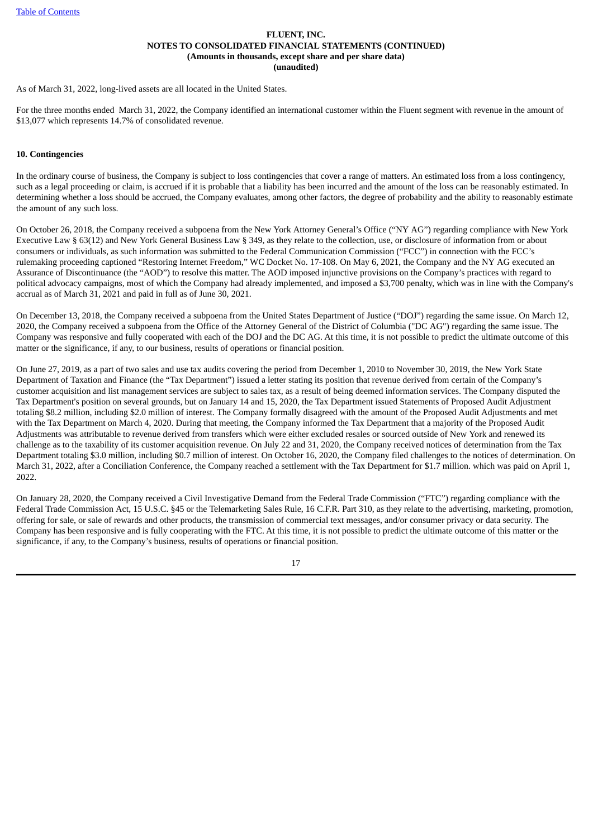As of March 31, 2022, long-lived assets are all located in the United States.

For the three months ended March 31, 2022, the Company identified an international customer within the Fluent segment with revenue in the amount of \$13,077 which represents 14.7% of consolidated revenue.

## **10. Contingencies**

In the ordinary course of business, the Company is subject to loss contingencies that cover a range of matters. An estimated loss from a loss contingency, such as a legal proceeding or claim, is accrued if it is probable that a liability has been incurred and the amount of the loss can be reasonably estimated. In determining whether a loss should be accrued, the Company evaluates, among other factors, the degree of probability and the ability to reasonably estimate the amount of any such loss.

On October 26, 2018, the Company received a subpoena from the New York Attorney General's Office ("NY AG") regarding compliance with New York Executive Law § 63(12) and New York General Business Law § 349, as they relate to the collection, use, or disclosure of information from or about consumers or individuals, as such information was submitted to the Federal Communication Commission ("FCC") in connection with the FCC's rulemaking proceeding captioned "Restoring Internet Freedom," WC Docket No. 17-108. On May 6, 2021, the Company and the NY AG executed an Assurance of Discontinuance (the "AOD") to resolve this matter. The AOD imposed injunctive provisions on the Company's practices with regard to political advocacy campaigns, most of which the Company had already implemented, and imposed a \$3,700 penalty, which was in line with the Company's accrual as of March 31, 2021 and paid in full as of June 30, 2021.

On December 13, 2018, the Company received a subpoena from the United States Department of Justice ("DOJ") regarding the same issue. On March 12, 2020, the Company received a subpoena from the Office of the Attorney General of the District of Columbia ("DC AG") regarding the same issue. The Company was responsive and fully cooperated with each of the DOJ and the DC AG. At this time, it is not possible to predict the ultimate outcome of this matter or the significance, if any, to our business, results of operations or financial position.

On June 27, 2019, as a part of two sales and use tax audits covering the period from December 1, 2010 to November 30, 2019, the New York State Department of Taxation and Finance (the "Tax Department") issued a letter stating its position that revenue derived from certain of the Company's customer acquisition and list management services are subject to sales tax, as a result of being deemed information services. The Company disputed the Tax Department's position on several grounds, but on January 14 and 15, 2020, the Tax Department issued Statements of Proposed Audit Adjustment totaling \$8.2 million, including \$2.0 million of interest. The Company formally disagreed with the amount of the Proposed Audit Adjustments and met with the Tax Department on March 4, 2020. During that meeting, the Company informed the Tax Department that a majority of the Proposed Audit Adjustments was attributable to revenue derived from transfers which were either excluded resales or sourced outside of New York and renewed its challenge as to the taxability of its customer acquisition revenue. On July 22 and 31, 2020, the Company received notices of determination from the Tax Department totaling \$3.0 million, including \$0.7 million of interest. On October 16, 2020, the Company filed challenges to the notices of determination. On March 31, 2022, after a Conciliation Conference, the Company reached a settlement with the Tax Department for \$1.7 million. which was paid on April 1, 2022.

On January 28, 2020, the Company received a Civil Investigative Demand from the Federal Trade Commission ("FTC") regarding compliance with the Federal Trade Commission Act, 15 U.S.C. §45 or the Telemarketing Sales Rule, 16 C.F.R. Part 310, as they relate to the advertising, marketing, promotion, offering for sale, or sale of rewards and other products, the transmission of commercial text messages, and/or consumer privacy or data security. The Company has been responsive and is fully cooperating with the FTC. At this time, it is not possible to predict the ultimate outcome of this matter or the significance, if any, to the Company's business, results of operations or financial position.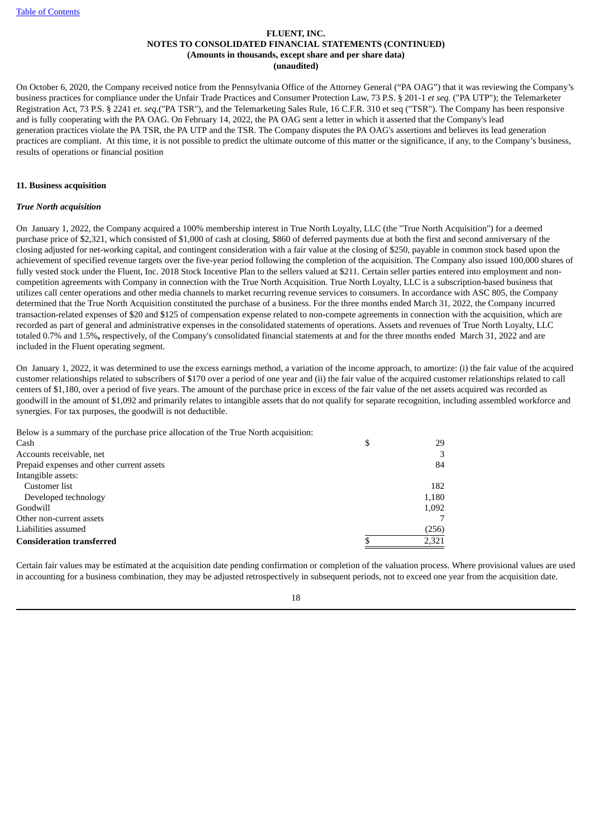On October 6, 2020, the Company received notice from the Pennsylvania Office of the Attorney General ("PA OAG") that it was reviewing the Company's business practices for compliance under the Unfair Trade Practices and Consumer Protection Law, 73 P.S. § 201-1 *et seq.* ("PA UTP"); the Telemarketer Registration Act, 73 P.S. § 2241 *et. seq.*("PA TSR"), and the Telemarketing Sales Rule, 16 C.F.R. 310 et seq ("TSR"). The Company has been responsive and is fully cooperating with the PA OAG. On February 14, 2022, the PA OAG sent a letter in which it asserted that the Company's lead generation practices violate the PA TSR, the PA UTP and the TSR. The Company disputes the PA OAG's assertions and believes its lead generation practices are compliant. At this time, it is not possible to predict the ultimate outcome of this matter or the significance, if any, to the Company's business, results of operations or financial position

### **11. Business acquisition**

#### *True North acquisition*

On January 1, 2022*,* the Company acquired a 100% membership interest in True North Loyalty, LLC (the "True North Acquisition") for a deemed purchase price of \$2,321, which consisted of \$1,000 of cash at closing, \$860 of deferred payments due at both the first and second anniversary of the closing adjusted for net-working capital, and contingent consideration with a fair value at the closing of \$250, payable in common stock based upon the achievement of specified revenue targets over the five-year period following the completion of the acquisition. The Company also issued 100,000 shares of fully vested stock under the Fluent. Inc. 2018 Stock Incentive Plan to the sellers valued at \$211. Certain seller parties entered into employment and noncompetition agreements with Company in connection with the True North Acquisition. True North Loyalty, LLC is a subscription-based business that utilizes call center operations and other media channels to market recurring revenue services to consumers. In accordance with ASC 805, the Company determined that the True North Acquisition constituted the purchase of a business. For the three months ended March 31, 2022*,* the Company incurred transaction-related expenses of \$20 and \$125 of compensation expense related to non-compete agreements in connection with the acquisition, which are recorded as part of general and administrative expenses in the consolidated statements of operations. Assets and revenues of True North Loyalty, LLC totaled 0.7% and 1.5%**,** respectively, of the Company's consolidated financial statements at and for the three months ended March 31, 2022 and are included in the Fluent operating segment.

On January 1, 2022, it was determined to use the excess earnings method, a variation of the income approach, to amortize: (i) the fair value of the acquired customer relationships related to subscribers of \$170 over a period of one year and (ii) the fair value of the acquired customer relationships related to call centers of \$1,180, over a period of five years. The amount of the purchase price in excess of the fair value of the net assets acquired was recorded as goodwill in the amount of \$1,092 and primarily relates to intangible assets that do not qualify for separate recognition, including assembled workforce and synergies. For tax purposes, the goodwill is not deductible.

Below is a summary of the purchase price allocation of the True North acquisition:

| Cash                                      | J | 29    |
|-------------------------------------------|---|-------|
| Accounts receivable, net                  |   | 3     |
| Prepaid expenses and other current assets |   | 84    |
| Intangible assets:                        |   |       |
| Customer list                             |   | 182   |
| Developed technology                      |   | 1,180 |
| Goodwill                                  |   | 1,092 |
| Other non-current assets                  |   |       |
| Liabilities assumed                       |   | (256) |
| <b>Consideration transferred</b>          |   | 2,321 |

Certain fair values may be estimated at the acquisition date pending confirmation or completion of the valuation process. Where provisional values are used in accounting for a business combination, they may be adjusted retrospectively in subsequent periods, not to exceed one year from the acquisition date.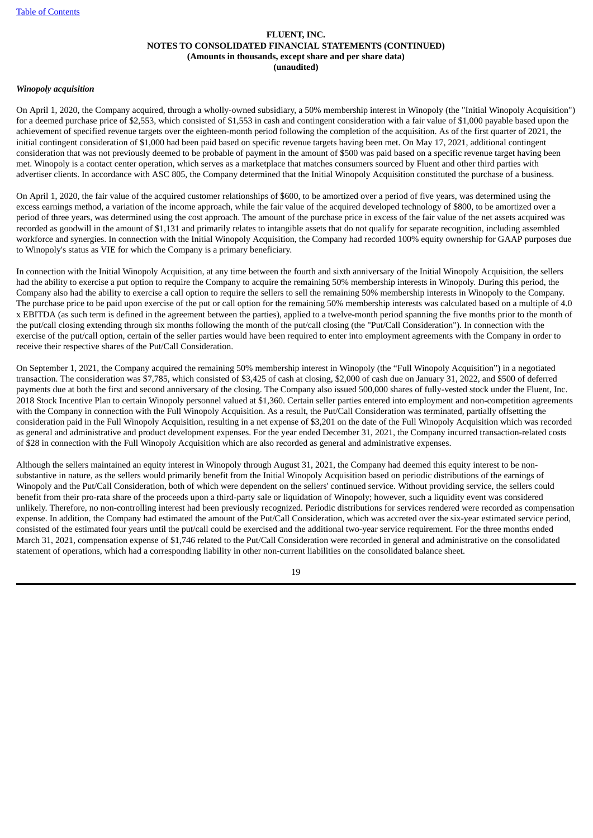#### *Winopoly acquisition*

On April 1, 2020, the Company acquired, through a wholly-owned subsidiary, a 50% membership interest in Winopoly (the "Initial Winopoly Acquisition") for a deemed purchase price of \$2,553, which consisted of \$1,553 in cash and contingent consideration with a fair value of \$1,000 payable based upon the achievement of specified revenue targets over the eighteen-month period following the completion of the acquisition. As of the first quarter of 2021, the initial contingent consideration of \$1,000 had been paid based on specific revenue targets having been met. On May 17, 2021, additional contingent consideration that was not previously deemed to be probable of payment in the amount of \$500 was paid based on a specific revenue target having been met. Winopoly is a contact center operation, which serves as a marketplace that matches consumers sourced by Fluent and other third parties with advertiser clients. In accordance with ASC 805, the Company determined that the Initial Winopoly Acquisition constituted the purchase of a business.

On April 1, 2020, the fair value of the acquired customer relationships of \$600, to be amortized over a period of five years, was determined using the excess earnings method, a variation of the income approach, while the fair value of the acquired developed technology of \$800, to be amortized over a period of three years, was determined using the cost approach. The amount of the purchase price in excess of the fair value of the net assets acquired was recorded as goodwill in the amount of \$1,131 and primarily relates to intangible assets that do not qualify for separate recognition, including assembled workforce and synergies. In connection with the Initial Winopoly Acquisition, the Company had recorded 100% equity ownership for GAAP purposes due to Winopoly's status as VIE for which the Company is a primary beneficiary.

In connection with the Initial Winopoly Acquisition, at any time between the fourth and sixth anniversary of the Initial Winopoly Acquisition, the sellers had the ability to exercise a put option to require the Company to acquire the remaining 50% membership interests in Winopoly. During this period, the Company also had the ability to exercise a call option to require the sellers to sell the remaining 50% membership interests in Winopoly to the Company. The purchase price to be paid upon exercise of the put or call option for the remaining 50% membership interests was calculated based on a multiple of 4.0 x EBITDA (as such term is defined in the agreement between the parties), applied to a twelve-month period spanning the five months prior to the month of the put/call closing extending through six months following the month of the put/call closing (the "Put/Call Consideration"). In connection with the exercise of the put/call option, certain of the seller parties would have been required to enter into employment agreements with the Company in order to receive their respective shares of the Put/Call Consideration.

On September 1, 2021, the Company acquired the remaining 50% membership interest in Winopoly (the "Full Winopoly Acquisition") in a negotiated transaction. The consideration was \$7,785, which consisted of \$3,425 of cash at closing, \$2,000 of cash due on January 31, 2022, and \$500 of deferred payments due at both the first and second anniversary of the closing. The Company also issued 500,000 shares of fully-vested stock under the Fluent, Inc. 2018 Stock Incentive Plan to certain Winopoly personnel valued at \$1,360. Certain seller parties entered into employment and non-competition agreements with the Company in connection with the Full Winopoly Acquisition. As a result, the Put/Call Consideration was terminated, partially offsetting the consideration paid in the Full Winopoly Acquisition, resulting in a net expense of \$3,201 on the date of the Full Winopoly Acquisition which was recorded as general and administrative and product development expenses. For the year ended December 31, 2021, the Company incurred transaction-related costs of \$28 in connection with the Full Winopoly Acquisition which are also recorded as general and administrative expenses.

Although the sellers maintained an equity interest in Winopoly through August 31, 2021, the Company had deemed this equity interest to be nonsubstantive in nature, as the sellers would primarily benefit from the Initial Winopoly Acquisition based on periodic distributions of the earnings of Winopoly and the Put/Call Consideration, both of which were dependent on the sellers' continued service. Without providing service, the sellers could benefit from their pro-rata share of the proceeds upon a third-party sale or liquidation of Winopoly; however, such a liquidity event was considered unlikely. Therefore, no non-controlling interest had been previously recognized. Periodic distributions for services rendered were recorded as compensation expense. In addition, the Company had estimated the amount of the Put/Call Consideration, which was accreted over the six-year estimated service period, consisted of the estimated four years until the put/call could be exercised and the additional two-year service requirement. For the three months ended March 31, 2021, compensation expense of \$1,746 related to the Put/Call Consideration were recorded in general and administrative on the consolidated statement of operations, which had a corresponding liability in other non-current liabilities on the consolidated balance sheet.

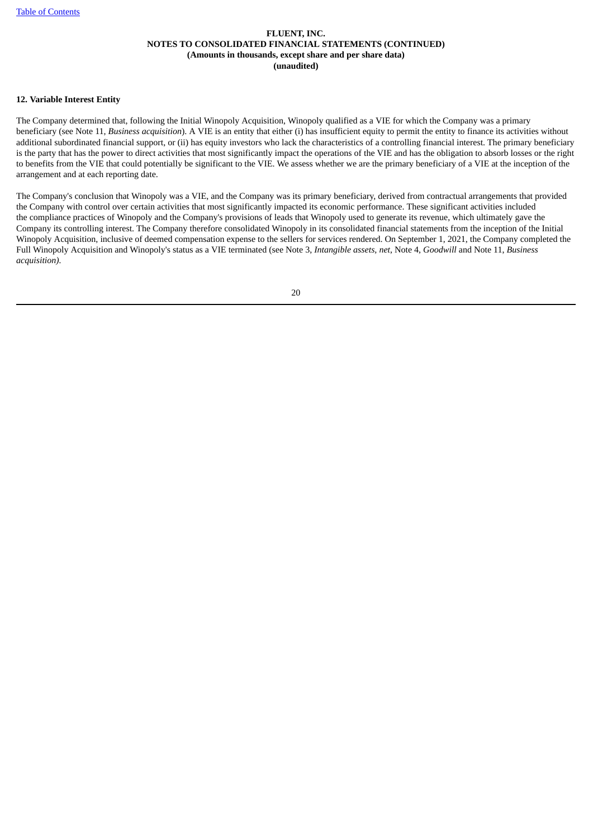### **12. Variable Interest Entity**

The Company determined that, following the Initial Winopoly Acquisition, Winopoly qualified as a VIE for which the Company was a primary beneficiary (see Note 11, *Business acquisition*). A VIE is an entity that either (i) has insufficient equity to permit the entity to finance its activities without additional subordinated financial support, or (ii) has equity investors who lack the characteristics of a controlling financial interest. The primary beneficiary is the party that has the power to direct activities that most significantly impact the operations of the VIE and has the obligation to absorb losses or the right to benefits from the VIE that could potentially be significant to the VIE. We assess whether we are the primary beneficiary of a VIE at the inception of the arrangement and at each reporting date.

The Company's conclusion that Winopoly was a VIE, and the Company was its primary beneficiary, derived from contractual arrangements that provided the Company with control over certain activities that most significantly impacted its economic performance. These significant activities included the compliance practices of Winopoly and the Company's provisions of leads that Winopoly used to generate its revenue, which ultimately gave the Company its controlling interest. The Company therefore consolidated Winopoly in its consolidated financial statements from the inception of the Initial Winopoly Acquisition, inclusive of deemed compensation expense to the sellers for services rendered. On September 1, 2021, the Company completed the Full Winopoly Acquisition and Winopoly's status as a VIE terminated (see Note 3, *Intangible assets, net*, Note 4, *Goodwill* and Note 11, *Business acquisition).*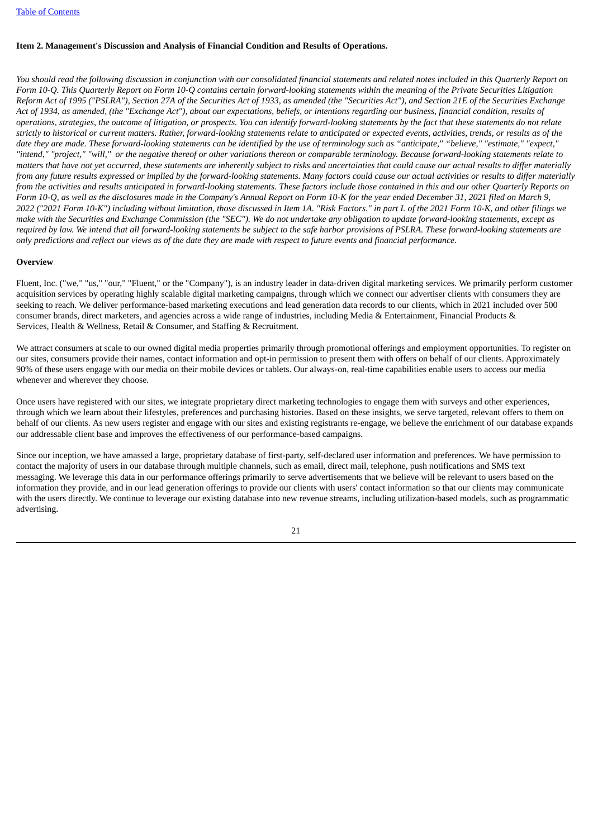## <span id="page-22-0"></span>**Item 2. Management's Discussion and Analysis of Financial Condition and Results of Operations.**

You should read the following discussion in conjunction with our consolidated financial statements and related notes included in this Quarterly Report on Form 10-Q. This Quarterly Report on Form 10-Q contains certain forward-looking statements within the meaning of the Private Securities Litigation Reform Act of 1995 ("PSLRA"), Section 27A of the Securities Act of 1933, as amended (the "Securities Act"), and Section 21E of the Securities Exchange Act of 1934, as amended, (the "Exchange Act"), about our expectations, beliefs, or intentions regarding our business, financial condition, results of operations, strategies, the outcome of litigation, or prospects. You can identify forward-looking statements by the fact that these statements do not relate strictly to historical or current matters. Rather, forward-looking statements relate to anticipated or expected events, activities, trends, or results as of the date they are made. These forward-looking statements can be identified by the use of terminology such as "anticipate," "believe," "estimate," "expect," "intend," "project," "will," or the negative thereof or other variations thereon or comparable terminology. Because forward-looking statements relate to matters that have not vet occurred, these statements are inherently subject to risks and uncertainties that could cause our actual results to differ materially from any future results expressed or implied by the forward-looking statements. Many factors could cause our actual activities or results to differ materially from the activities and results anticipated in forward-looking statements. These factors include those contained in this and our other Quarterly Reports on Form 10-Q, as well as the disclosures made in the Company's Annual Report on Form 10-K for the year ended December 31, 2021 filed on March 9, 2022 ("2021 Form 10-K") including without limitation, those discussed in Item 1A. "Risk Factors." in part I. of the 2021 Form 10-K, and other filings we make with the Securities and Exchange Commission (the "SEC"). We do not undertake any obligation to update forward-looking statements, except as required by law. We intend that all forward-looking statements be subject to the safe harbor provisions of PSLRA. These forward-looking statements are only predictions and reflect our views as of the date they are made with respect to future events and financial performance.

#### **Overview**

Fluent, Inc. ("we," "us," "our," "Fluent," or the "Company"), is an industry leader in data-driven digital marketing services. We primarily perform customer acquisition services by operating highly scalable digital marketing campaigns, through which we connect our advertiser clients with consumers they are seeking to reach. We deliver performance-based marketing executions and lead generation data records to our clients, which in 2021 included over 500 consumer brands, direct marketers, and agencies across a wide range of industries, including Media & Entertainment, Financial Products & Services, Health & Wellness, Retail & Consumer, and Staffing & Recruitment.

We attract consumers at scale to our owned digital media properties primarily through promotional offerings and employment opportunities. To register on our sites, consumers provide their names, contact information and opt-in permission to present them with offers on behalf of our clients. Approximately 90% of these users engage with our media on their mobile devices or tablets. Our always-on, real-time capabilities enable users to access our media whenever and wherever they choose.

Once users have registered with our sites, we integrate proprietary direct marketing technologies to engage them with surveys and other experiences, through which we learn about their lifestyles, preferences and purchasing histories. Based on these insights, we serve targeted, relevant offers to them on behalf of our clients. As new users register and engage with our sites and existing registrants re-engage, we believe the enrichment of our database expands our addressable client base and improves the effectiveness of our performance-based campaigns.

Since our inception, we have amassed a large, proprietary database of first-party, self-declared user information and preferences. We have permission to contact the majority of users in our database through multiple channels, such as email, direct mail, telephone, push notifications and SMS text messaging. We leverage this data in our performance offerings primarily to serve advertisements that we believe will be relevant to users based on the information they provide, and in our lead generation offerings to provide our clients with users' contact information so that our clients may communicate with the users directly. We continue to leverage our existing database into new revenue streams, including utilization-based models, such as programmatic advertising.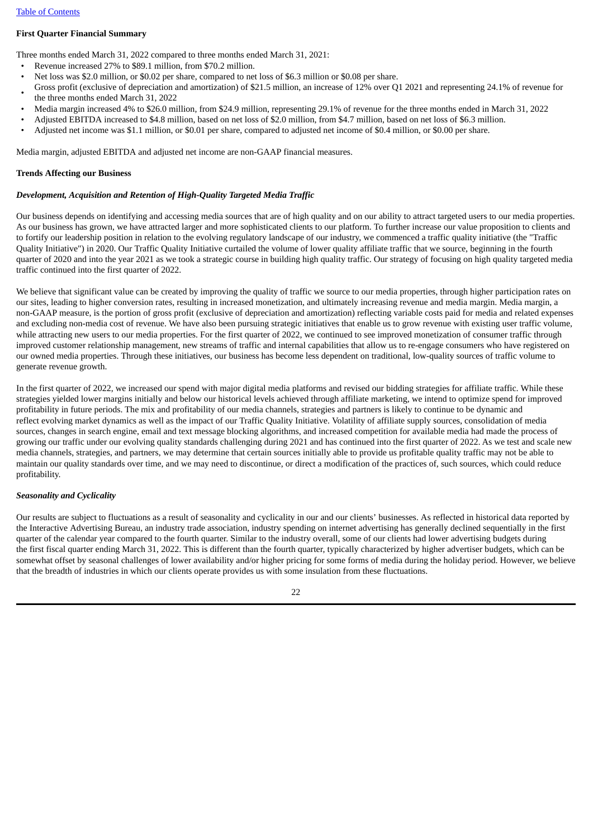## **First Quarter Financial Summary**

Three months ended March 31, 2022 compared to three months ended March 31, 2021:

- Revenue increased 27% to \$89.1 million, from \$70.2 million.
- Net loss was \$2.0 million, or \$0.02 per share, compared to net loss of \$6.3 million or \$0.08 per share.
- Gross profit (exclusive of depreciation and amortization) of \$21.5 million, an increase of 12% over Q1 2021 and representing 24.1% of revenue for the three months ended March 31, 2022
- Media margin increased 4% to \$26.0 million, from \$24.9 million, representing 29.1% of revenue for the three months ended in March 31, 2022
- Adjusted EBITDA increased to \$4.8 million, based on net loss of \$2.0 million, from \$4.7 million, based on net loss of \$6.3 million.
- Adjusted net income was \$1.1 million, or \$0.01 per share, compared to adjusted net income of \$0.4 million, or \$0.00 per share.

Media margin, adjusted EBITDA and adjusted net income are non-GAAP financial measures.

#### **Trends Affecting our Business**

### *Development, Acquisition and Retention of High-Quality Targeted Media Traffic*

Our business depends on identifying and accessing media sources that are of high quality and on our ability to attract targeted users to our media properties. As our business has grown, we have attracted larger and more sophisticated clients to our platform. To further increase our value proposition to clients and to fortify our leadership position in relation to the evolving regulatory landscape of our industry, we commenced a traffic quality initiative (the "Traffic Quality Initiative") in 2020. Our Traffic Quality Initiative curtailed the volume of lower quality affiliate traffic that we source, beginning in the fourth quarter of 2020 and into the year 2021 as we took a strategic course in building high quality traffic. Our strategy of focusing on high quality targeted media traffic continued into the first quarter of 2022.

We believe that significant value can be created by improving the quality of traffic we source to our media properties, through higher participation rates on our sites, leading to higher conversion rates, resulting in increased monetization, and ultimately increasing revenue and media margin. Media margin, a non-GAAP measure, is the portion of gross profit (exclusive of depreciation and amortization) reflecting variable costs paid for media and related expenses and excluding non-media cost of revenue. We have also been pursuing strategic initiatives that enable us to grow revenue with existing user traffic volume, while attracting new users to our media properties. For the first quarter of 2022, we continued to see improved monetization of consumer traffic through improved customer relationship management, new streams of traffic and internal capabilities that allow us to re-engage consumers who have registered on our owned media properties. Through these initiatives, our business has become less dependent on traditional, low-quality sources of traffic volume to generate revenue growth.

In the first quarter of 2022, we increased our spend with major digital media platforms and revised our bidding strategies for affiliate traffic. While these strategies yielded lower margins initially and below our historical levels achieved through affiliate marketing, we intend to optimize spend for improved profitability in future periods. The mix and profitability of our media channels, strategies and partners is likely to continue to be dynamic and reflect evolving market dynamics as well as the impact of our Traffic Quality Initiative. Volatility of affiliate supply sources, consolidation of media sources, changes in search engine, email and text message blocking algorithms, and increased competition for available media had made the process of growing our traffic under our evolving quality standards challenging during 2021 and has continued into the first quarter of 2022. As we test and scale new media channels, strategies, and partners, we may determine that certain sources initially able to provide us profitable quality traffic may not be able to maintain our quality standards over time, and we may need to discontinue, or direct a modification of the practices of, such sources, which could reduce profitability.

## *Seasonality and Cyclicality*

Our results are subject to fluctuations as a result of seasonality and cyclicality in our and our clients' businesses. As reflected in historical data reported by the Interactive Advertising Bureau, an industry trade association, industry spending on internet advertising has generally declined sequentially in the first quarter of the calendar year compared to the fourth quarter. Similar to the industry overall, some of our clients had lower advertising budgets during the first fiscal quarter ending March 31, 2022. This is different than the fourth quarter, typically characterized by higher advertiser budgets, which can be somewhat offset by seasonal challenges of lower availability and/or higher pricing for some forms of media during the holiday period. However, we believe that the breadth of industries in which our clients operate provides us with some insulation from these fluctuations.

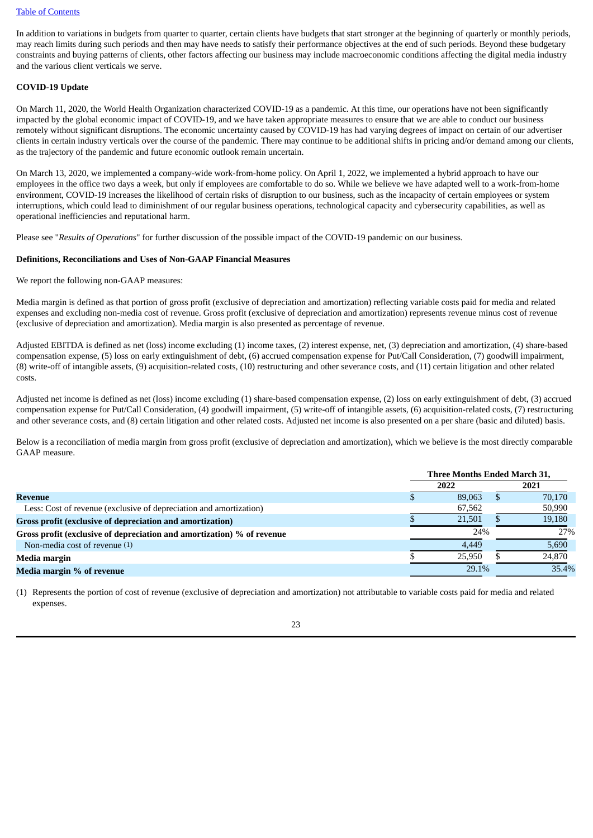#### Table of [Contents](#page-2-0)

In addition to variations in budgets from quarter to quarter, certain clients have budgets that start stronger at the beginning of quarterly or monthly periods, may reach limits during such periods and then may have needs to satisfy their performance objectives at the end of such periods. Beyond these budgetary constraints and buying patterns of clients, other factors affecting our business may include macroeconomic conditions affecting the digital media industry and the various client verticals we serve.

#### **COVID-19 Update**

On March 11, 2020, the World Health Organization characterized COVID-19 as a pandemic. At this time, our operations have not been significantly impacted by the global economic impact of COVID-19, and we have taken appropriate measures to ensure that we are able to conduct our business remotely without significant disruptions. The economic uncertainty caused by COVID-19 has had varying degrees of impact on certain of our advertiser clients in certain industry verticals over the course of the pandemic. There may continue to be additional shifts in pricing and/or demand among our clients, as the trajectory of the pandemic and future economic outlook remain uncertain.

On March 13, 2020, we implemented a company-wide work-from-home policy. On April 1, 2022, we implemented a hybrid approach to have our employees in the office two days a week, but only if employees are comfortable to do so. While we believe we have adapted well to a work-from-home environment, COVID-19 increases the likelihood of certain risks of disruption to our business, such as the incapacity of certain employees or system interruptions, which could lead to diminishment of our regular business operations, technological capacity and cybersecurity capabilities, as well as operational inefficiencies and reputational harm.

Please see "*Results of Operations*" for further discussion of the possible impact of the COVID-19 pandemic on our business.

#### **Definitions, Reconciliations and Uses of Non-GAAP Financial Measures**

We report the following non-GAAP measures:

Media margin is defined as that portion of gross profit (exclusive of depreciation and amortization) reflecting variable costs paid for media and related expenses and excluding non-media cost of revenue. Gross profit (exclusive of depreciation and amortization) represents revenue minus cost of revenue (exclusive of depreciation and amortization). Media margin is also presented as percentage of revenue.

Adjusted EBITDA is defined as net (loss) income excluding (1) income taxes, (2) interest expense, net, (3) depreciation and amortization, (4) share-based compensation expense, (5) loss on early extinguishment of debt, (6) accrued compensation expense for Put/Call Consideration, (7) goodwill impairment, (8) write-off of intangible assets, (9) acquisition-related costs, (10) restructuring and other severance costs, and (11) certain litigation and other related costs.

Adjusted net income is defined as net (loss) income excluding (1) share-based compensation expense, (2) loss on early extinguishment of debt, (3) accrued compensation expense for Put/Call Consideration, (4) goodwill impairment, (5) write-off of intangible assets, (6) acquisition-related costs, (7) restructuring and other severance costs, and (8) certain litigation and other related costs. Adjusted net income is also presented on a per share (basic and diluted) basis.

Below is a reconciliation of media margin from gross profit (exclusive of depreciation and amortization), which we believe is the most directly comparable GAAP measure.

|                                                                        | <b>Three Months Ended March 31,</b> |        |  |        |
|------------------------------------------------------------------------|-------------------------------------|--------|--|--------|
|                                                                        |                                     | 2022   |  | 2021   |
| Revenue                                                                |                                     | 89,063 |  | 70,170 |
| Less: Cost of revenue (exclusive of depreciation and amortization)     |                                     | 67,562 |  | 50,990 |
| Gross profit (exclusive of depreciation and amortization)              |                                     | 21.501 |  | 19,180 |
| Gross profit (exclusive of depreciation and amortization) % of revenue |                                     | 24%    |  | 27%    |
| Non-media cost of revenue $(1)$                                        |                                     | 4.449  |  | 5,690  |
| Media margin                                                           |                                     | 25.950 |  | 24,870 |
| Media margin % of revenue                                              |                                     | 29.1%  |  | 35.4%  |

(1) Represents the portion of cost of revenue (exclusive of depreciation and amortization) not attributable to variable costs paid for media and related expenses.

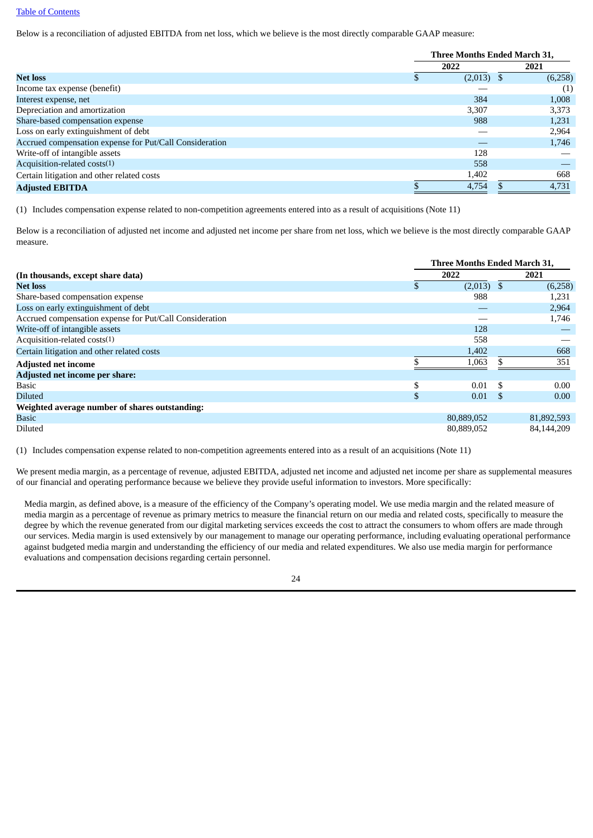### Table of [Contents](#page-2-0)

Below is a reconciliation of adjusted EBITDA from net loss, which we believe is the most directly comparable GAAP measure:

|                                                         | Three Months Ended March 31, |              |  |         |
|---------------------------------------------------------|------------------------------|--------------|--|---------|
|                                                         |                              | 2022         |  | 2021    |
| <b>Net loss</b>                                         |                              | $(2,013)$ \$ |  | (6,258) |
| Income tax expense (benefit)                            |                              |              |  | (1)     |
| Interest expense, net                                   |                              | 384          |  | 1,008   |
| Depreciation and amortization                           |                              | 3,307        |  | 3,373   |
| Share-based compensation expense                        |                              | 988          |  | 1,231   |
| Loss on early extinguishment of debt                    |                              |              |  | 2,964   |
| Accrued compensation expense for Put/Call Consideration |                              |              |  | 1,746   |
| Write-off of intangible assets                          |                              | 128          |  |         |
| Acquisition-related costs(1)                            |                              | 558          |  |         |
| Certain litigation and other related costs              |                              | 1,402        |  | 668     |
| <b>Adjusted EBITDA</b>                                  |                              | 4,754        |  | 4,731   |

(1) Includes compensation expense related to non-competition agreements entered into as a result of acquisitions (Note 11)

Below is a reconciliation of adjusted net income and adjusted net income per share from net loss, which we believe is the most directly comparable GAAP measure.

|                                                         |     |              | Three Months Ended March 31, |            |
|---------------------------------------------------------|-----|--------------|------------------------------|------------|
| (In thousands, except share data)                       |     | 2022         |                              | 2021       |
| <b>Net loss</b>                                         |     | $(2,013)$ \$ |                              | (6,258)    |
| Share-based compensation expense                        |     | 988          |                              | 1,231      |
| Loss on early extinguishment of debt                    |     |              |                              | 2,964      |
| Accrued compensation expense for Put/Call Consideration |     |              |                              | 1,746      |
| Write-off of intangible assets                          |     | 128          |                              |            |
| Acquisition-related costs(1)                            |     | 558          |                              |            |
| Certain litigation and other related costs              |     | 1,402        |                              | 668        |
| <b>Adjusted net income</b>                              |     | 1,063        |                              | 351        |
| Adjusted net income per share:                          |     |              |                              |            |
| <b>Basic</b>                                            |     | 0.01         | .S                           | 0.00       |
| <b>Diluted</b>                                          | \$. | 0.01         | -S                           | 0.00       |
| Weighted average number of shares outstanding:          |     |              |                              |            |
| <b>Basic</b>                                            |     | 80,889,052   |                              | 81,892,593 |
| Diluted                                                 |     | 80,889,052   |                              | 84.144.209 |

(1) Includes compensation expense related to non-competition agreements entered into as a result of an acquisitions (Note 11)

We present media margin, as a percentage of revenue, adjusted EBITDA, adjusted net income and adjusted net income per share as supplemental measures of our financial and operating performance because we believe they provide useful information to investors. More specifically:

Media margin, as defined above, is a measure of the efficiency of the Company's operating model. We use media margin and the related measure of media margin as a percentage of revenue as primary metrics to measure the financial return on our media and related costs, specifically to measure the degree by which the revenue generated from our digital marketing services exceeds the cost to attract the consumers to whom offers are made through our services. Media margin is used extensively by our management to manage our operating performance, including evaluating operational performance against budgeted media margin and understanding the efficiency of our media and related expenditures. We also use media margin for performance evaluations and compensation decisions regarding certain personnel.

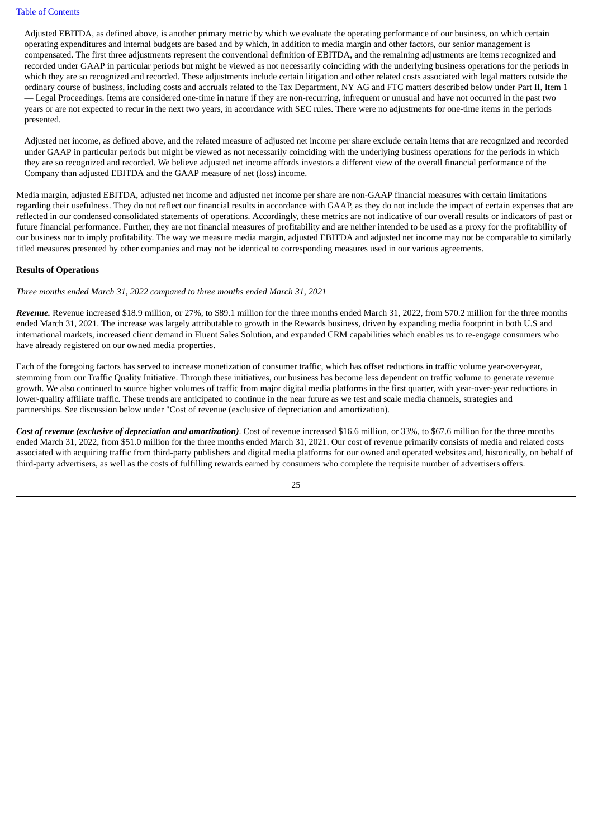Adjusted EBITDA, as defined above, is another primary metric by which we evaluate the operating performance of our business, on which certain operating expenditures and internal budgets are based and by which, in addition to media margin and other factors, our senior management is compensated. The first three adjustments represent the conventional definition of EBITDA, and the remaining adjustments are items recognized and recorded under GAAP in particular periods but might be viewed as not necessarily coinciding with the underlying business operations for the periods in which they are so recognized and recorded. These adjustments include certain litigation and other related costs associated with legal matters outside the ordinary course of business, including costs and accruals related to the Tax Department, NY AG and FTC matters described below under Part II, Item 1 — Legal Proceedings. Items are considered one-time in nature if they are non-recurring, infrequent or unusual and have not occurred in the past two years or are not expected to recur in the next two years, in accordance with SEC rules. There were no adjustments for one-time items in the periods presented.

Adjusted net income, as defined above, and the related measure of adjusted net income per share exclude certain items that are recognized and recorded under GAAP in particular periods but might be viewed as not necessarily coinciding with the underlying business operations for the periods in which they are so recognized and recorded. We believe adjusted net income affords investors a different view of the overall financial performance of the Company than adjusted EBITDA and the GAAP measure of net (loss) income.

Media margin, adjusted EBITDA, adjusted net income and adjusted net income per share are non-GAAP financial measures with certain limitations regarding their usefulness. They do not reflect our financial results in accordance with GAAP, as they do not include the impact of certain expenses that are reflected in our condensed consolidated statements of operations. Accordingly, these metrics are not indicative of our overall results or indicators of past or future financial performance. Further, they are not financial measures of profitability and are neither intended to be used as a proxy for the profitability of our business nor to imply profitability. The way we measure media margin, adjusted EBITDA and adjusted net income may not be comparable to similarly titled measures presented by other companies and may not be identical to corresponding measures used in our various agreements.

#### **Results of Operations**

*Three months ended March 31, 2022 compared to three months ended March 31, 2021*

*Revenue.* Revenue increased \$18.9 million, or 27%, to \$89.1 million for the three months ended March 31, 2022, from \$70.2 million for the three months ended March 31, 2021. The increase was largely attributable to growth in the Rewards business, driven by expanding media footprint in both U.S and international markets, increased client demand in Fluent Sales Solution, and expanded CRM capabilities which enables us to re-engage consumers who have already registered on our owned media properties.

Each of the foregoing factors has served to increase monetization of consumer traffic, which has offset reductions in traffic volume year-over-year, stemming from our Traffic Quality Initiative. Through these initiatives, our business has become less dependent on traffic volume to generate revenue growth. We also continued to source higher volumes of traffic from major digital media platforms in the first quarter, with year-over-year reductions in lower-quality affiliate traffic. These trends are anticipated to continue in the near future as we test and scale media channels, strategies and partnerships. See discussion below under "Cost of revenue (exclusive of depreciation and amortization).

*Cost of revenue (exclusive of depreciation and amortization)*. Cost of revenue increased \$16.6 million, or 33%, to \$67.6 million for the three months ended March 31, 2022, from \$51.0 million for the three months ended March 31, 2021. Our cost of revenue primarily consists of media and related costs associated with acquiring traffic from third-party publishers and digital media platforms for our owned and operated websites and, historically, on behalf of third-party advertisers, as well as the costs of fulfilling rewards earned by consumers who complete the requisite number of advertisers offers.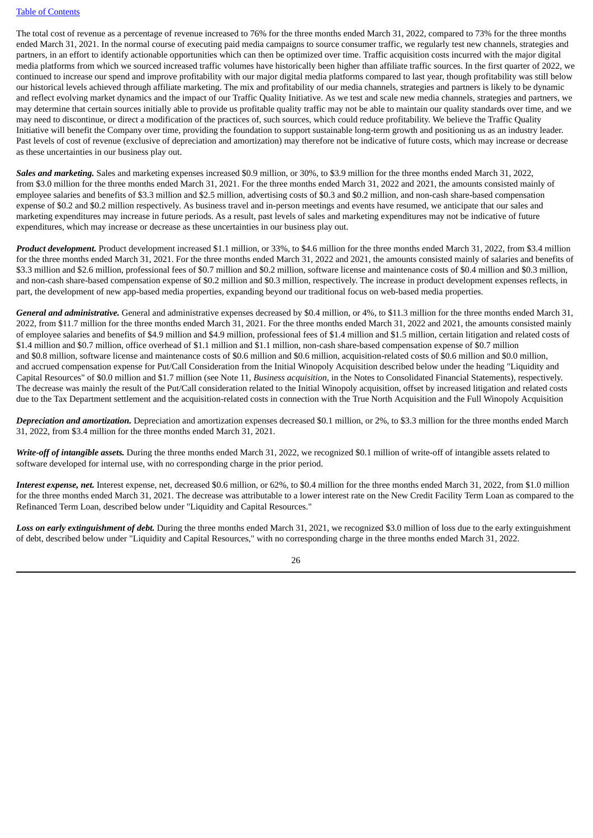The total cost of revenue as a percentage of revenue increased to 76% for the three months ended March 31, 2022, compared to 73% for the three months ended March 31, 2021. In the normal course of executing paid media campaigns to source consumer traffic, we regularly test new channels, strategies and partners, in an effort to identify actionable opportunities which can then be optimized over time. Traffic acquisition costs incurred with the major digital media platforms from which we sourced increased traffic volumes have historically been higher than affiliate traffic sources. In the first quarter of 2022, we continued to increase our spend and improve profitability with our major digital media platforms compared to last year, though profitability was still below our historical levels achieved through affiliate marketing. The mix and profitability of our media channels, strategies and partners is likely to be dynamic and reflect evolving market dynamics and the impact of our Traffic Quality Initiative. As we test and scale new media channels, strategies and partners, we may determine that certain sources initially able to provide us profitable quality traffic may not be able to maintain our quality standards over time, and we may need to discontinue, or direct a modification of the practices of, such sources, which could reduce profitability. We believe the Traffic Quality Initiative will benefit the Company over time, providing the foundation to support sustainable long-term growth and positioning us as an industry leader. Past levels of cost of revenue (exclusive of depreciation and amortization) may therefore not be indicative of future costs, which may increase or decrease as these uncertainties in our business play out.

*Sales and marketing.* Sales and marketing expenses increased \$0.9 million, or 30%, to \$3.9 million for the three months ended March 31, 2022, from \$3.0 million for the three months ended March 31, 2021. For the three months ended March 31, 2022 and 2021, the amounts consisted mainly of employee salaries and benefits of \$3.3 million and \$2.5 million, advertising costs of \$0.3 and \$0.2 million, and non-cash share-based compensation expense of \$0.2 and \$0.2 million respectively. As business travel and in-person meetings and events have resumed, we anticipate that our sales and marketing expenditures may increase in future periods. As a result, past levels of sales and marketing expenditures may not be indicative of future expenditures, which may increase or decrease as these uncertainties in our business play out.

*Product development.* Product development increased \$1.1 million, or 33%, to \$4.6 million for the three months ended March 31, 2022, from \$3.4 million for the three months ended March 31, 2021. For the three months ended March 31, 2022 and 2021, the amounts consisted mainly of salaries and benefits of \$3.3 million and \$2.6 million, professional fees of \$0.7 million and \$0.2 million, software license and maintenance costs of \$0.4 million and \$0.3 million, and non-cash share-based compensation expense of \$0.2 million and \$0.3 million, respectively. The increase in product development expenses reflects, in part, the development of new app-based media properties, expanding beyond our traditional focus on web-based media properties.

*General and administrative.* General and administrative expenses decreased by \$0.4 million, or 4%, to \$11.3 million for the three months ended March 31, 2022, from \$11.7 million for the three months ended March 31, 2021. For the three months ended March 31, 2022 and 2021, the amounts consisted mainly of employee salaries and benefits of \$4.9 million and \$4.9 million, professional fees of \$1.4 million and \$1.5 million, certain litigation and related costs of \$1.4 million and \$0.7 million, office overhead of \$1.1 million and \$1.1 million, non-cash share-based compensation expense of \$0.7 million and \$0.8 million, software license and maintenance costs of \$0.6 million and \$0.6 million, acquisition-related costs of \$0.6 million and \$0.0 million, and accrued compensation expense for Put/Call Consideration from the Initial Winopoly Acquisition described below under the heading "Liquidity and Capital Resources" of \$0.0 million and \$1.7 million (see Note 11, *Business acquisition,* in the Notes to Consolidated Financial Statements), respectively. The decrease was mainly the result of the Put/Call consideration related to the Initial Winopoly acquisition, offset by increased litigation and related costs due to the Tax Department settlement and the acquisition-related costs in connection with the True North Acquisition and the Full Winopoly Acquisition

*Depreciation and amortization.* Depreciation and amortization expenses decreased \$0.1 million, or 2%, to \$3.3 million for the three months ended March 31, 2022, from \$3.4 million for the three months ended March 31, 2021.

*Write-off of intangible assets.* During the three months ended March 31, 2022, we recognized \$0.1 million of write-off of intangible assets related to software developed for internal use, with no corresponding charge in the prior period.

*Interest expense, net.* Interest expense, net, decreased \$0.6 million, or 62%, to \$0.4 million for the three months ended March 31, 2022, from \$1.0 million for the three months ended March 31, 2021. The decrease was attributable to a lower interest rate on the New Credit Facility Term Loan as compared to the Refinanced Term Loan, described below under "Liquidity and Capital Resources."

*Loss on early extinguishment of debt.* During the three months ended March 31, 2021, we recognized \$3.0 million of loss due to the early extinguishment of debt, described below under "Liquidity and Capital Resources," with no corresponding charge in the three months ended March 31, 2022.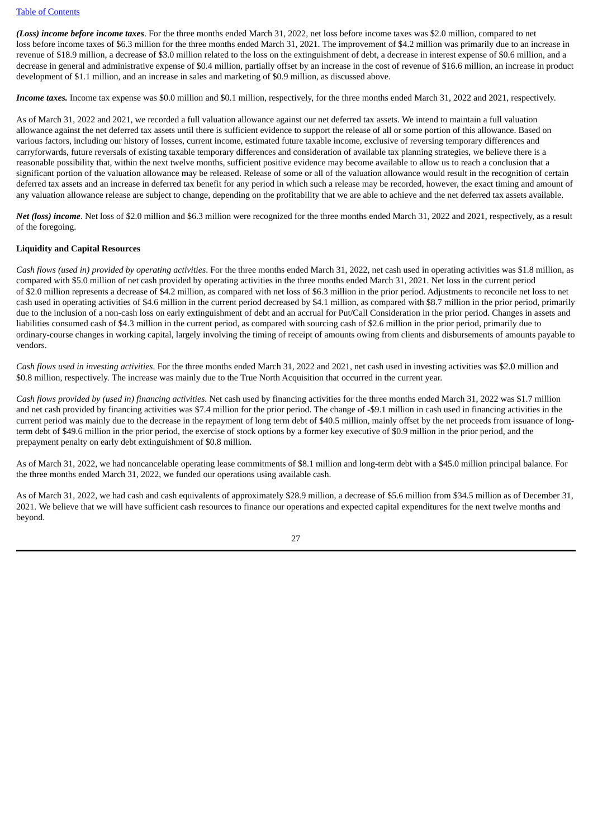*(Loss) income before income taxes*. For the three months ended March 31, 2022, net loss before income taxes was \$2.0 million, compared to net loss before income taxes of \$6.3 million for the three months ended March 31, 2021. The improvement of \$4.2 million was primarily due to an increase in revenue of \$18.9 million, a decrease of \$3.0 million related to the loss on the extinguishment of debt, a decrease in interest expense of \$0.6 million, and a decrease in general and administrative expense of \$0.4 million, partially offset by an increase in the cost of revenue of \$16.6 million, an increase in product development of \$1.1 million, and an increase in sales and marketing of \$0.9 million, as discussed above.

*Income taxes.* Income tax expense was \$0.0 million and \$0.1 million, respectively, for the three months ended March 31, 2022 and 2021, respectively.

As of March 31, 2022 and 2021, we recorded a full valuation allowance against our net deferred tax assets. We intend to maintain a full valuation allowance against the net deferred tax assets until there is sufficient evidence to support the release of all or some portion of this allowance. Based on various factors, including our history of losses, current income, estimated future taxable income, exclusive of reversing temporary differences and carryforwards, future reversals of existing taxable temporary differences and consideration of available tax planning strategies, we believe there is a reasonable possibility that, within the next twelve months, sufficient positive evidence may become available to allow us to reach a conclusion that a significant portion of the valuation allowance may be released. Release of some or all of the valuation allowance would result in the recognition of certain deferred tax assets and an increase in deferred tax benefit for any period in which such a release may be recorded, however, the exact timing and amount of any valuation allowance release are subject to change, depending on the profitability that we are able to achieve and the net deferred tax assets available.

*Net (loss) income*. Net loss of \$2.0 million and \$6.3 million were recognized for the three months ended March 31, 2022 and 2021, respectively, as a result of the foregoing.

### **Liquidity and Capital Resources**

*Cash flows (used in) provided by operating activities*. For the three months ended March 31, 2022, net cash used in operating activities was \$1.8 million, as compared with \$5.0 million of net cash provided by operating activities in the three months ended March 31, 2021. Net loss in the current period of \$2.0 million represents a decrease of \$4.2 million, as compared with net loss of \$6.3 million in the prior period. Adjustments to reconcile net loss to net cash used in operating activities of \$4.6 million in the current period decreased by \$4.1 million, as compared with \$8.7 million in the prior period, primarily due to the inclusion of a non-cash loss on early extinguishment of debt and an accrual for Put/Call Consideration in the prior period. Changes in assets and liabilities consumed cash of \$4.3 million in the current period, as compared with sourcing cash of \$2.6 million in the prior period, primarily due to ordinary-course changes in working capital, largely involving the timing of receipt of amounts owing from clients and disbursements of amounts payable to vendors.

*Cash flows used in investing activities*. For the three months ended March 31, 2022 and 2021, net cash used in investing activities was \$2.0 million and \$0.8 million, respectively. The increase was mainly due to the True North Acquisition that occurred in the current year.

*Cash flows provided by (used in) financing activities.* Net cash used by financing activities for the three months ended March 31, 2022 was \$1.7 million and net cash provided by financing activities was \$7.4 million for the prior period. The change of -\$9.1 million in cash used in financing activities in the current period was mainly due to the decrease in the repayment of long term debt of \$40.5 million, mainly offset by the net proceeds from issuance of longterm debt of \$49.6 million in the prior period, the exercise of stock options by a former key executive of \$0.9 million in the prior period, and the prepayment penalty on early debt extinguishment of \$0.8 million.

As of March 31, 2022, we had noncancelable operating lease commitments of \$8.1 million and long-term debt with a \$45.0 million principal balance. For the three months ended March 31, 2022, we funded our operations using available cash.

As of March 31, 2022, we had cash and cash equivalents of approximately \$28.9 million, a decrease of \$5.6 million from \$34.5 million as of December 31, 2021. We believe that we will have sufficient cash resources to finance our operations and expected capital expenditures for the next twelve months and beyond.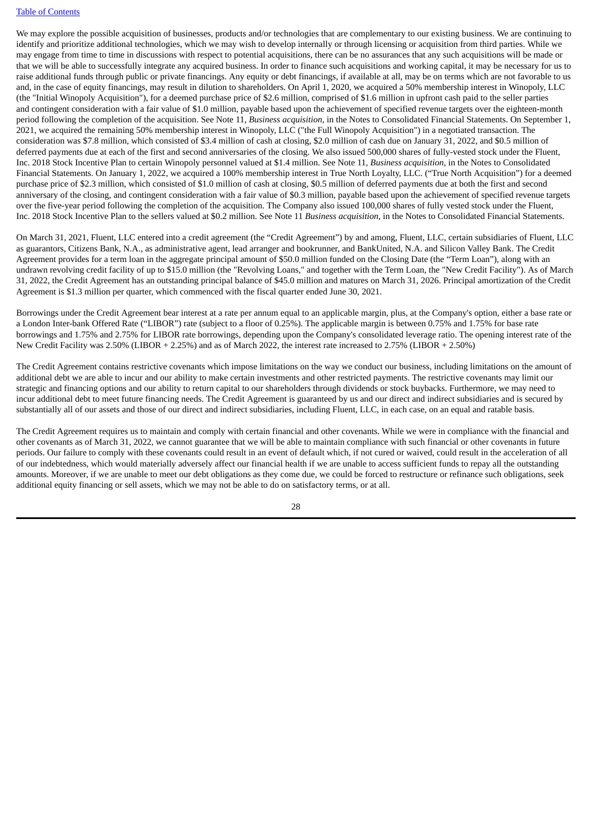#### Table of [Contents](#page-2-0)

We may explore the possible acquisition of businesses, products and/or technologies that are complementary to our existing business. We are continuing to identify and prioritize additional technologies, which we may wish to develop internally or through licensing or acquisition from third parties. While we may engage from time to time in discussions with respect to potential acquisitions, there can be no assurances that any such acquisitions will be made or that we will be able to successfully integrate any acquired business. In order to finance such acquisitions and working capital, it may be necessary for us to raise additional funds through public or private financings. Any equity or debt financings, if available at all, may be on terms which are not favorable to us and, in the case of equity financings, may result in dilution to shareholders. On April 1, 2020, we acquired a 50% membership interest in Winopoly, LLC (the "Initial Winopoly Acquisition"), for a deemed purchase price of \$2.6 million, comprised of \$1.6 million in upfront cash paid to the seller parties and contingent consideration with a fair value of \$1.0 million, payable based upon the achievement of specified revenue targets over the eighteen-month period following the completion of the acquisition. See Note 11, *Business acquisition,* in the Notes to Consolidated Financial Statements. On September 1, 2021, we acquired the remaining 50% membership interest in Winopoly, LLC ("the Full Winopoly Acquisition") in a negotiated transaction. The consideration was \$7.8 million, which consisted of \$3.4 million of cash at closing, \$2.0 million of cash due on January 31, 2022, and \$0.5 million of deferred payments due at each of the first and second anniversaries of the closing. We also issued 500,000 shares of fully-vested stock under the Fluent, Inc. 2018 Stock Incentive Plan to certain Winopoly personnel valued at \$1.4 million. See Note 11, *Business acquisition,* in the Notes to Consolidated Financial Statements. On January 1, 2022, we acquired a 100% membership interest in True North Loyalty, LLC. ("True North Acquisition") for a deemed purchase price of \$2.3 million, which consisted of \$1.0 million of cash at closing, \$0.5 million of deferred payments due at both the first and second anniversary of the closing, and contingent consideration with a fair value of \$0.3 million, payable based upon the achievement of specified revenue targets over the five-year period following the completion of the acquisition. The Company also issued 100,000 shares of fully vested stock under the Fluent, Inc. 2018 Stock Incentive Plan to the sellers valued at \$0.2 million. See Note 11 *Business acquisition,* in the Notes to Consolidated Financial Statements.

On March 31, 2021, Fluent, LLC entered into a credit agreement (the "Credit Agreement") by and among, Fluent, LLC, certain subsidiaries of Fluent, LLC as guarantors, Citizens Bank, N.A., as administrative agent, lead arranger and bookrunner, and BankUnited, N.A. and Silicon Valley Bank. The Credit Agreement provides for a term loan in the aggregate principal amount of \$50.0 million funded on the Closing Date (the "Term Loan"), along with an undrawn revolving credit facility of up to \$15.0 million (the "Revolving Loans," and together with the Term Loan, the "New Credit Facility"). As of March 31, 2022, the Credit Agreement has an outstanding principal balance of \$45.0 million and matures on March 31, 2026. Principal amortization of the Credit Agreement is \$1.3 million per quarter, which commenced with the fiscal quarter ended June 30, 2021.

Borrowings under the Credit Agreement bear interest at a rate per annum equal to an applicable margin, plus, at the Company's option, either a base rate or a London Inter-bank Offered Rate ("LIBOR") rate (subject to a floor of 0.25%). The applicable margin is between 0.75% and 1.75% for base rate borrowings and 1.75% and 2.75% for LIBOR rate borrowings, depending upon the Company's consolidated leverage ratio. The opening interest rate of the New Credit Facility was 2.50% (LIBOR + 2.25%) and as of March 2022, the interest rate increased to 2.75% (LIBOR + 2.50%)

The Credit Agreement contains restrictive covenants which impose limitations on the way we conduct our business, including limitations on the amount of additional debt we are able to incur and our ability to make certain investments and other restricted payments. The restrictive covenants may limit our strategic and financing options and our ability to return capital to our shareholders through dividends or stock buybacks. Furthermore, we may need to incur additional debt to meet future financing needs. The Credit Agreement is guaranteed by us and our direct and indirect subsidiaries and is secured by substantially all of our assets and those of our direct and indirect subsidiaries, including Fluent, LLC, in each case, on an equal and ratable basis.

The Credit Agreement requires us to maintain and comply with certain financial and other covenants. While we were in compliance with the financial and other covenants as of March 31, 2022, we cannot guarantee that we will be able to maintain compliance with such financial or other covenants in future periods. Our failure to comply with these covenants could result in an event of default which, if not cured or waived, could result in the acceleration of all of our indebtedness, which would materially adversely affect our financial health if we are unable to access sufficient funds to repay all the outstanding amounts. Moreover, if we are unable to meet our debt obligations as they come due, we could be forced to restructure or refinance such obligations, seek additional equity financing or sell assets, which we may not be able to do on satisfactory terms, or at all.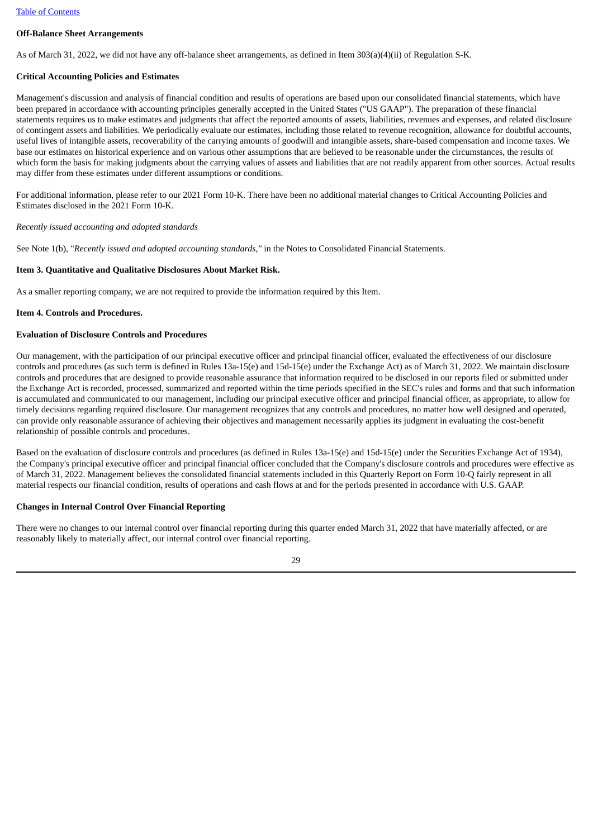## **Off-Balance Sheet Arrangements**

As of March 31, 2022, we did not have any off-balance sheet arrangements, as defined in Item 303(a)(4)(ii) of Regulation S-K.

## **Critical Accounting Policies and Estimates**

Management's discussion and analysis of financial condition and results of operations are based upon our consolidated financial statements, which have been prepared in accordance with accounting principles generally accepted in the United States ("US GAAP"). The preparation of these financial statements requires us to make estimates and judgments that affect the reported amounts of assets, liabilities, revenues and expenses, and related disclosure of contingent assets and liabilities. We periodically evaluate our estimates, including those related to revenue recognition, allowance for doubtful accounts, useful lives of intangible assets, recoverability of the carrying amounts of goodwill and intangible assets, share-based compensation and income taxes. We base our estimates on historical experience and on various other assumptions that are believed to be reasonable under the circumstances, the results of which form the basis for making judgments about the carrying values of assets and liabilities that are not readily apparent from other sources. Actual results may differ from these estimates under different assumptions or conditions.

For additional information, please refer to our 2021 Form 10-K. There have been no additional material changes to Critical Accounting Policies and Estimates disclosed in the 2021 Form 10-K.

*Recently issued accounting and adopted standards*

See Note 1(b), "*Recently issued and adopted accounting standards,"* in the Notes to Consolidated Financial Statements.

## <span id="page-30-0"></span>**Item 3. Quantitative and Qualitative Disclosures About Market Risk.**

As a smaller reporting company, we are not required to provide the information required by this Item.

## <span id="page-30-1"></span>**Item 4. Controls and Procedures.**

## **Evaluation of Disclosure Controls and Procedures**

Our management, with the participation of our principal executive officer and principal financial officer, evaluated the effectiveness of our disclosure controls and procedures (as such term is defined in Rules 13a-15(e) and 15d-15(e) under the Exchange Act) as of March 31, 2022. We maintain disclosure controls and procedures that are designed to provide reasonable assurance that information required to be disclosed in our reports filed or submitted under the Exchange Act is recorded, processed, summarized and reported within the time periods specified in the SEC's rules and forms and that such information is accumulated and communicated to our management, including our principal executive officer and principal financial officer, as appropriate, to allow for timely decisions regarding required disclosure. Our management recognizes that any controls and procedures, no matter how well designed and operated, can provide only reasonable assurance of achieving their objectives and management necessarily applies its judgment in evaluating the cost-benefit relationship of possible controls and procedures.

Based on the evaluation of disclosure controls and procedures (as defined in Rules 13a-15(e) and 15d-15(e) under the Securities Exchange Act of 1934), the Company's principal executive officer and principal financial officer concluded that the Company's disclosure controls and procedures were effective as of March 31, 2022. Management believes the consolidated financial statements included in this Quarterly Report on Form 10-Q fairly represent in all material respects our financial condition, results of operations and cash flows at and for the periods presented in accordance with U.S. GAAP.

## **Changes in Internal Control Over Financial Reporting**

There were no changes to our internal control over financial reporting during this quarter ended March 31, 2022 that have materially affected, or are reasonably likely to materially affect, our internal control over financial reporting.

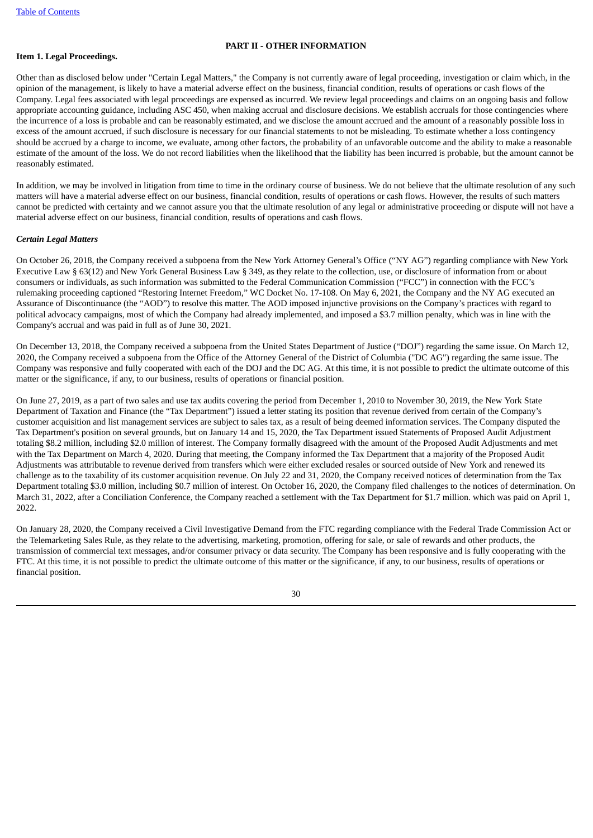## **PART II - OTHER INFORMATION**

## <span id="page-31-1"></span><span id="page-31-0"></span>**Item 1. Legal Proceedings.**

Other than as disclosed below under "Certain Legal Matters," the Company is not currently aware of legal proceeding, investigation or claim which, in the opinion of the management, is likely to have a material adverse effect on the business, financial condition, results of operations or cash flows of the Company. Legal fees associated with legal proceedings are expensed as incurred. We review legal proceedings and claims on an ongoing basis and follow appropriate accounting guidance, including ASC 450, when making accrual and disclosure decisions. We establish accruals for those contingencies where the incurrence of a loss is probable and can be reasonably estimated, and we disclose the amount accrued and the amount of a reasonably possible loss in excess of the amount accrued, if such disclosure is necessary for our financial statements to not be misleading. To estimate whether a loss contingency should be accrued by a charge to income, we evaluate, among other factors, the probability of an unfavorable outcome and the ability to make a reasonable estimate of the amount of the loss. We do not record liabilities when the likelihood that the liability has been incurred is probable, but the amount cannot be reasonably estimated.

In addition, we may be involved in litigation from time to time in the ordinary course of business. We do not believe that the ultimate resolution of any such matters will have a material adverse effect on our business, financial condition, results of operations or cash flows. However, the results of such matters cannot be predicted with certainty and we cannot assure you that the ultimate resolution of any legal or administrative proceeding or dispute will not have a material adverse effect on our business, financial condition, results of operations and cash flows.

## *Certain Legal Matters*

On October 26, 2018, the Company received a subpoena from the New York Attorney General's Office ("NY AG") regarding compliance with New York Executive Law § 63(12) and New York General Business Law § 349*,* as they relate to the collection, use, or disclosure of information from or about consumers or individuals, as such information was submitted to the Federal Communication Commission ("FCC") in connection with the FCC's rulemaking proceeding captioned "Restoring Internet Freedom," WC Docket No. 17-108. On May 6, 2021, the Company and the NY AG executed an Assurance of Discontinuance (the "AOD") to resolve this matter. The AOD imposed injunctive provisions on the Company's practices with regard to political advocacy campaigns, most of which the Company had already implemented, and imposed a \$3.7 million penalty, which was in line with the Company's accrual and was paid in full as of June 30, 2021.

On December 13, 2018, the Company received a subpoena from the United States Department of Justice ("DOJ") regarding the same issue. On March 12, 2020, the Company received a subpoena from the Office of the Attorney General of the District of Columbia ("DC AG") regarding the same issue. The Company was responsive and fully cooperated with each of the DOJ and the DC AG. At this time, it is not possible to predict the ultimate outcome of this matter or the significance, if any, to our business, results of operations or financial position.

On June 27, 2019, as a part of two sales and use tax audits covering the period from December 1, 2010 to November 30, 2019, the New York State Department of Taxation and Finance (the "Tax Department") issued a letter stating its position that revenue derived from certain of the Company's customer acquisition and list management services are subject to sales tax, as a result of being deemed information services. The Company disputed the Tax Department's position on several grounds, but on January 14 and 15, 2020, the Tax Department issued Statements of Proposed Audit Adjustment totaling \$8.2 million, including \$2.0 million of interest. The Company formally disagreed with the amount of the Proposed Audit Adjustments and met with the Tax Department on March 4, 2020. During that meeting, the Company informed the Tax Department that a majority of the Proposed Audit Adjustments was attributable to revenue derived from transfers which were either excluded resales or sourced outside of New York and renewed its challenge as to the taxability of its customer acquisition revenue. On July 22 and 31, 2020, the Company received notices of determination from the Tax Department totaling \$3.0 million, including \$0.7 million of interest. On October 16, 2020, the Company filed challenges to the notices of determination. On March 31, 2022, after a Conciliation Conference, the Company reached a settlement with the Tax Department for \$1.7 million. which was paid on April 1, 2022.

On January 28, 2020, the Company received a Civil Investigative Demand from the FTC regarding compliance with the Federal Trade Commission Act or the Telemarketing Sales Rule, as they relate to the advertising, marketing, promotion, offering for sale, or sale of rewards and other products, the transmission of commercial text messages, and/or consumer privacy or data security. The Company has been responsive and is fully cooperating with the FTC. At this time, it is not possible to predict the ultimate outcome of this matter or the significance, if any, to our business, results of operations or financial position.

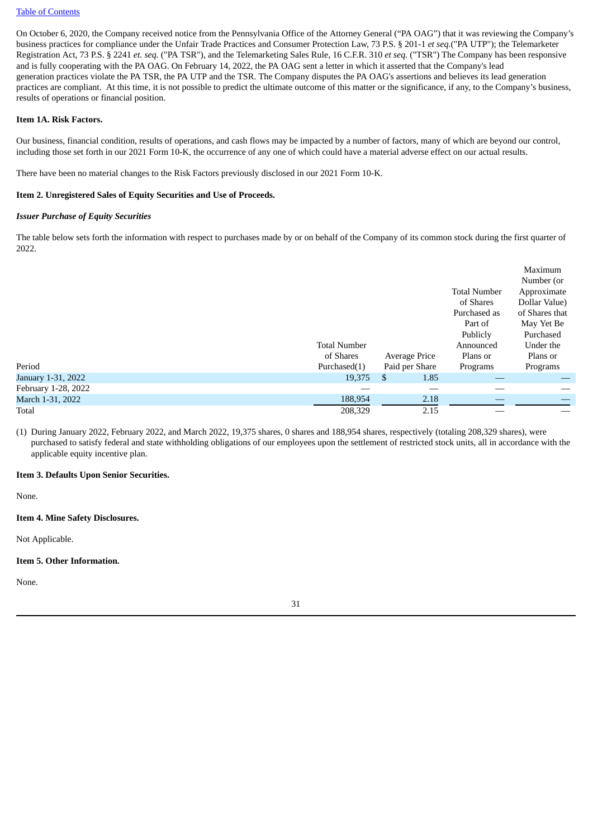#### Table of [Contents](#page-2-0)

On October 6, 2020, the Company received notice from the Pennsylvania Office of the Attorney General ("PA OAG") that it was reviewing the Company's business practices for compliance under the Unfair Trade Practices and Consumer Protection Law, 73 P.S. § 201-1 *et seq.*("PA UTP"); the Telemarketer Registration Act, 73 P.S. § 2241 *et. seq.* ("PA TSR"), and the Telemarketing Sales Rule, 16 C.F.R. 310 *et seq.* ("TSR") The Company has been responsive and is fully cooperating with the PA OAG. On February 14, 2022, the PA OAG sent a letter in which it asserted that the Company's lead generation practices violate the PA TSR, the PA UTP and the TSR. The Company disputes the PA OAG's assertions and believes its lead generation practices are compliant. At this time, it is not possible to predict the ultimate outcome of this matter or the significance, if any, to the Company's business, results of operations or financial position.

#### <span id="page-32-0"></span>**Item 1A. Risk Factors.**

Our business, financial condition, results of operations, and cash flows may be impacted by a number of factors, many of which are beyond our control, including those set forth in our 2021 Form 10-K, the occurrence of any one of which could have a material adverse effect on our actual results.

There have been no material changes to the Risk Factors previously disclosed in our 2021 Form 10-K.

### <span id="page-32-1"></span>**Item 2. Unregistered Sales of Equity Securities and Use of Proceeds.**

#### *Issuer Purchase of Equity Securities*

The table below sets forth the information with respect to purchases made by or on behalf of the Company of its common stock during the first quarter of 2022.

|                     |                     |                |                     | Maximum        |
|---------------------|---------------------|----------------|---------------------|----------------|
|                     |                     |                |                     | Number (or     |
|                     |                     |                | <b>Total Number</b> | Approximate    |
|                     |                     |                | of Shares           | Dollar Value)  |
|                     |                     |                | Purchased as        | of Shares that |
|                     |                     |                | Part of             | May Yet Be     |
|                     |                     |                | Publicly            | Purchased      |
|                     | <b>Total Number</b> |                | Announced           | Under the      |
|                     | of Shares           | Average Price  | Plans or            | Plans or       |
| Period              | Purchased(1)        | Paid per Share | Programs            | Programs       |
| January 1-31, 2022  | 19,375              | \$<br>1.85     |                     |                |
| February 1-28, 2022 |                     |                |                     |                |
| March 1-31, 2022    | 188,954             | 2.18           |                     |                |
| Total               | 208,329             | 2.15           |                     |                |

(1) During January 2022, February 2022, and March 2022, 19,375 shares, 0 shares and 188,954 shares, respectively (totaling 208,329 shares), were purchased to satisfy federal and state withholding obligations of our employees upon the settlement of restricted stock units, all in accordance with the applicable equity incentive plan.

## <span id="page-32-2"></span>**Item 3. Defaults Upon Senior Securities.**

None.

## <span id="page-32-3"></span>**Item 4. Mine Safety Disclosures.**

Not Applicable.

#### <span id="page-32-4"></span>**Item 5. Other Information.**

None.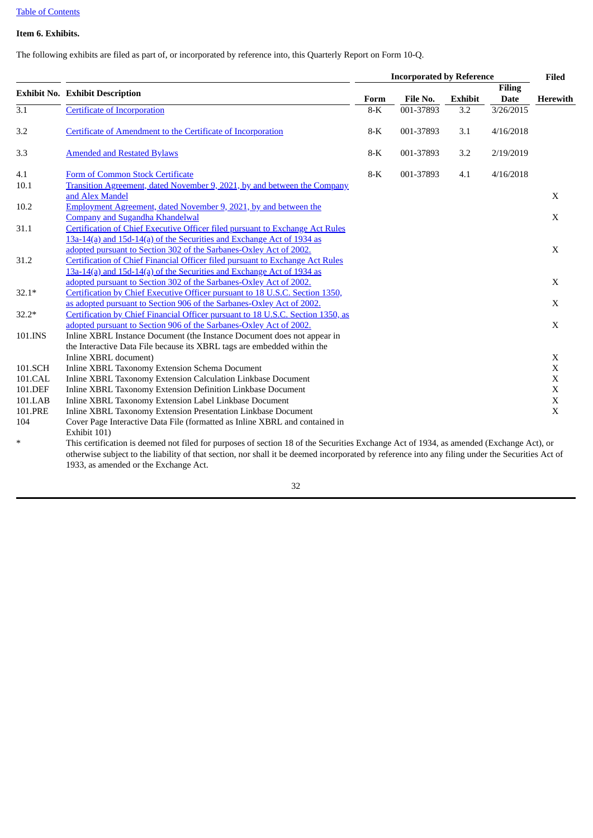## Table of [Contents](#page-2-0)

## <span id="page-33-0"></span>**Item 6. Exhibits.**

The following exhibits are filed as part of, or incorporated by reference into, this Quarterly Report on Form 10-Q.

|                  |                                                                                                                                         | <b>Incorporated by Reference</b> |           |                |                              | Filed                      |
|------------------|-----------------------------------------------------------------------------------------------------------------------------------------|----------------------------------|-----------|----------------|------------------------------|----------------------------|
|                  | <b>Exhibit No. Exhibit Description</b>                                                                                                  | Form                             | File No.  | <b>Exhibit</b> | <b>Filing</b><br><b>Date</b> | <b>Herewith</b>            |
| $\overline{3.1}$ | Certificate of Incorporation                                                                                                            | $8-K$                            | 001-37893 | 3.2            | 3/26/2015                    |                            |
| 3.2              | Certificate of Amendment to the Certificate of Incorporation                                                                            | $8-K$                            | 001-37893 | 3.1            | 4/16/2018                    |                            |
| 3.3              | <b>Amended and Restated Bylaws</b>                                                                                                      | $8-K$                            | 001-37893 | 3.2            | 2/19/2019                    |                            |
| 4.1              | Form of Common Stock Certificate                                                                                                        | $8-K$                            | 001-37893 | 4.1            | 4/16/2018                    |                            |
| 10.1             | Transition Agreement, dated November 9, 2021, by and between the Company                                                                |                                  |           |                |                              |                            |
|                  | and Alex Mandel                                                                                                                         |                                  |           |                |                              | X                          |
| 10.2             | Employment Agreement, dated November 9, 2021, by and between the                                                                        |                                  |           |                |                              |                            |
| 31.1             | <b>Company and Sugandha Khandelwal</b><br>Certification of Chief Executive Officer filed pursuant to Exchange Act Rules                 |                                  |           |                |                              | X                          |
|                  | 13a-14(a) and 15d-14(a) of the Securities and Exchange Act of 1934 as                                                                   |                                  |           |                |                              |                            |
|                  | adopted pursuant to Section 302 of the Sarbanes-Oxley Act of 2002.                                                                      |                                  |           |                |                              |                            |
| 31.2             | Certification of Chief Financial Officer filed pursuant to Exchange Act Rules                                                           |                                  |           |                |                              |                            |
|                  | 13a-14(a) and 15d-14(a) of the Securities and Exchange Act of 1934 as                                                                   |                                  |           |                |                              | $\mathbf X$<br>$\mathbf X$ |
|                  | adopted pursuant to Section 302 of the Sarbanes-Oxley Act of 2002.                                                                      |                                  |           |                |                              |                            |
| $32.1*$          | Certification by Chief Executive Officer pursuant to 18 U.S.C. Section 1350,                                                            |                                  |           |                |                              |                            |
|                  | as adopted pursuant to Section 906 of the Sarbanes-Oxley Act of 2002.                                                                   |                                  |           |                |                              | X                          |
| $32.2*$          | Certification by Chief Financial Officer pursuant to 18 U.S.C. Section 1350, as                                                         |                                  |           |                |                              |                            |
|                  | adopted pursuant to Section 906 of the Sarbanes-Oxley Act of 2002.                                                                      |                                  |           |                |                              | X                          |
| 101.INS          | Inline XBRL Instance Document (the Instance Document does not appear in                                                                 |                                  |           |                |                              |                            |
|                  | the Interactive Data File because its XBRL tags are embedded within the                                                                 |                                  |           |                |                              |                            |
|                  | Inline XBRL document)                                                                                                                   |                                  |           |                |                              | X                          |
| 101.SCH          | Inline XBRL Taxonomy Extension Schema Document                                                                                          |                                  |           |                |                              | $\mathbf X$                |
| 101.CAL          | Inline XBRL Taxonomy Extension Calculation Linkbase Document                                                                            |                                  |           |                |                              | $\mathbf X$                |
| 101.DEF          | Inline XBRL Taxonomy Extension Definition Linkbase Document                                                                             |                                  |           |                |                              | $\mathbf X$                |
| 101.LAB          | Inline XBRL Taxonomy Extension Label Linkbase Document                                                                                  |                                  |           |                |                              | $\mathbf X$                |
| 101.PRE          | Inline XBRL Taxonomy Extension Presentation Linkbase Document                                                                           |                                  |           |                |                              | $\mathbf X$                |
| 104              | Cover Page Interactive Data File (formatted as Inline XBRL and contained in                                                             |                                  |           |                |                              |                            |
|                  | Exhibit 101)                                                                                                                            |                                  |           |                |                              |                            |
| $\ast$           | This certification is deemed not filed for purposes of section 18 of the Securities Exchange Act of 1934, as amended (Exchange Act), or |                                  |           |                |                              |                            |

otherwise subject to the liability of that section, nor shall it be deemed incorporated by reference into any filing under the Securities Act of 1933, as amended or the Exchange Act.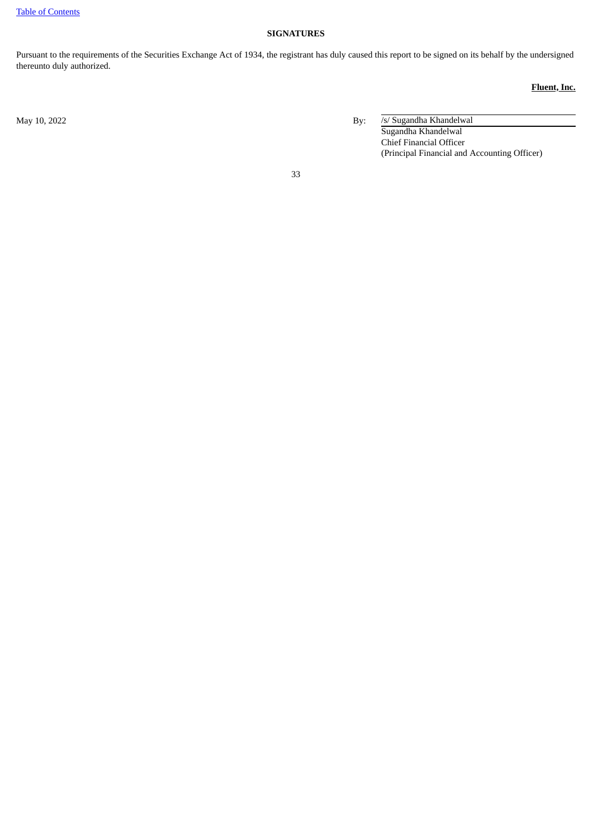## **SIGNATURES**

<span id="page-34-0"></span>Pursuant to the requirements of the Securities Exchange Act of 1934, the registrant has duly caused this report to be signed on its behalf by the undersigned thereunto duly authorized.

## **Fluent, Inc.**

May 10, 2022 By: /s/ Sugandha Khandelwal Sugandha Khandelwal Chief Financial Officer (Principal Financial and Accounting Officer)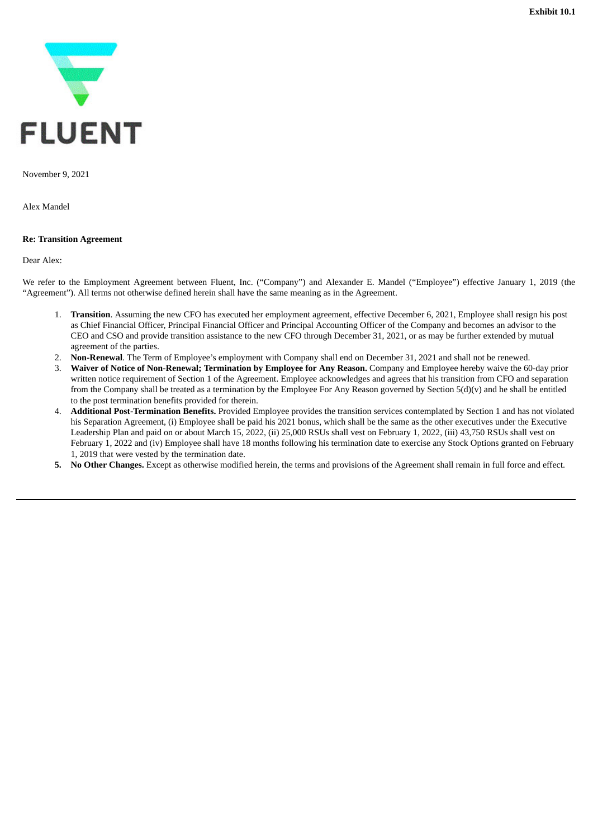<span id="page-35-0"></span>

November 9, 2021

Alex Mandel

## **Re: Transition Agreement**

Dear Alex:

We refer to the Employment Agreement between Fluent, Inc. ("Company") and Alexander E. Mandel ("Employee") effective January 1, 2019 (the "Agreement"). All terms not otherwise defined herein shall have the same meaning as in the Agreement.

- 1. **Transition**. Assuming the new CFO has executed her employment agreement, effective December 6, 2021, Employee shall resign his post as Chief Financial Officer, Principal Financial Officer and Principal Accounting Officer of the Company and becomes an advisor to the CEO and CSO and provide transition assistance to the new CFO through December 31, 2021, or as may be further extended by mutual agreement of the parties.
- 2. **Non-Renewal**. The Term of Employee's employment with Company shall end on December 31, 2021 and shall not be renewed.
- 3. **Waiver of Notice of Non-Renewal; Termination by Employee for Any Reason.** Company and Employee hereby waive the 60-day prior written notice requirement of Section 1 of the Agreement. Employee acknowledges and agrees that his transition from CFO and separation from the Company shall be treated as a termination by the Employee For Any Reason governed by Section 5(d)(v) and he shall be entitled to the post termination benefits provided for therein.
- 4. **Additional Post-Termination Benefits.** Provided Employee provides the transition services contemplated by Section 1 and has not violated his Separation Agreement, (i) Employee shall be paid his 2021 bonus, which shall be the same as the other executives under the Executive Leadership Plan and paid on or about March 15, 2022, (ii) 25,000 RSUs shall vest on February 1, 2022, (iii) 43,750 RSUs shall vest on February 1, 2022 and (iv) Employee shall have 18 months following his termination date to exercise any Stock Options granted on February 1, 2019 that were vested by the termination date.
- **5. No Other Changes.** Except as otherwise modified herein, the terms and provisions of the Agreement shall remain in full force and effect.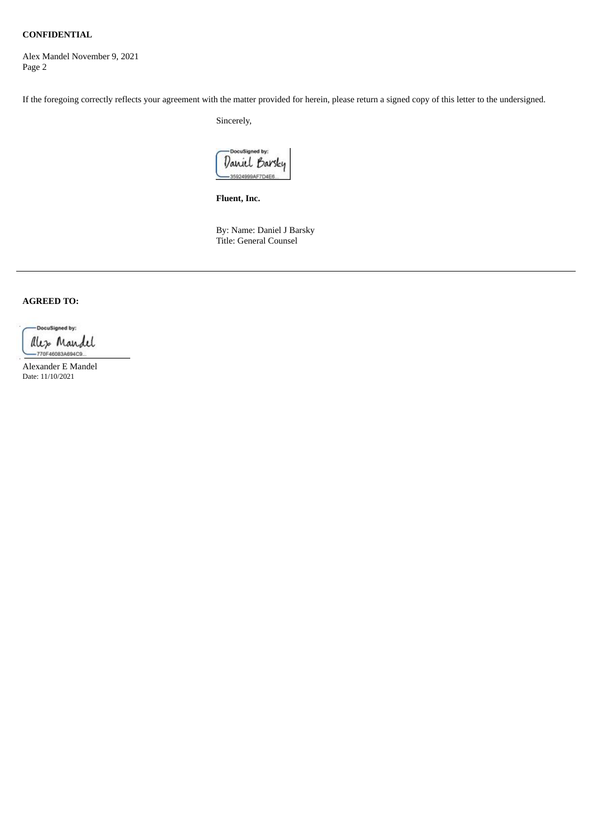## **CONFIDENTIAL**

Alex Mandel November 9, 2021 Page 2

If the foregoing correctly reflects your agreement with the matter provided for herein, please return a signed copy of this letter to the undersigned.

Sincerely,

DocuSigned by: Daniel Barsky 35924999AF7D4E

**Fluent, Inc.**

By: Name: Daniel J Barsky Title: General Counsel

## **AGREED TO:**

-DocuSigned by: ales Mandel 770F46083A694C9

Alexander E Mandel Date: 11/10/2021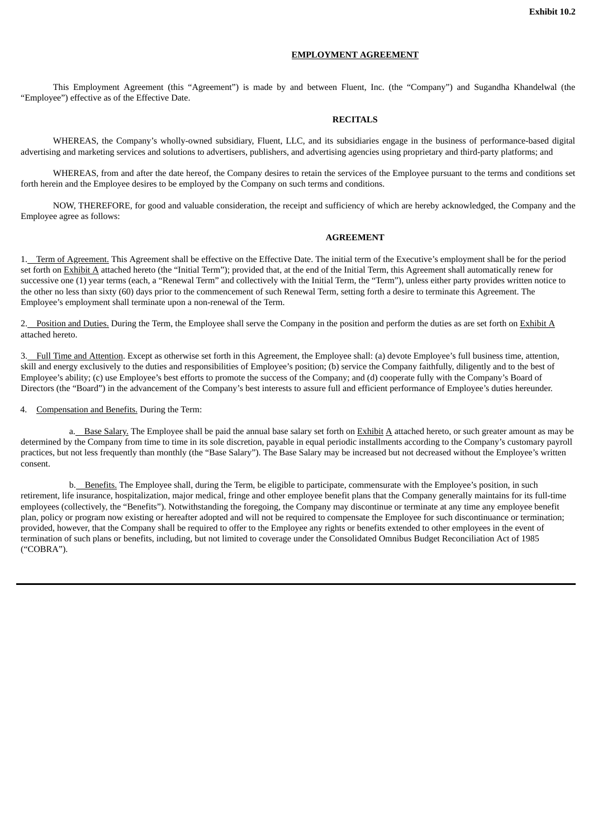#### **EMPLOYMENT AGREEMENT**

<span id="page-37-0"></span>This Employment Agreement (this "Agreement") is made by and between Fluent, Inc. (the "Company") and Sugandha Khandelwal (the "Employee") effective as of the Effective Date.

#### **RECITALS**

WHEREAS, the Company's wholly-owned subsidiary, Fluent, LLC, and its subsidiaries engage in the business of performance-based digital advertising and marketing services and solutions to advertisers, publishers, and advertising agencies using proprietary and third-party platforms; and

WHEREAS, from and after the date hereof, the Company desires to retain the services of the Employee pursuant to the terms and conditions set forth herein and the Employee desires to be employed by the Company on such terms and conditions.

NOW, THEREFORE, for good and valuable consideration, the receipt and sufficiency of which are hereby acknowledged, the Company and the Employee agree as follows:

## **AGREEMENT**

1. Term of Agreement. This Agreement shall be effective on the Effective Date. The initial term of the Executive's employment shall be for the period set forth on Exhibit A attached hereto (the "Initial Term"); provided that, at the end of the Initial Term, this Agreement shall automatically renew for successive one (1) year terms (each, a "Renewal Term" and collectively with the Initial Term, the "Term"), unless either party provides written notice to the other no less than sixty (60) days prior to the commencement of such Renewal Term, setting forth a desire to terminate this Agreement. The Employee's employment shall terminate upon a non-renewal of the Term.

2. Position and Duties. During the Term, the Employee shall serve the Company in the position and perform the duties as are set forth on Exhibit A attached hereto.

3. Full Time and Attention. Except as otherwise set forth in this Agreement, the Employee shall: (a) devote Employee's full business time, attention, skill and energy exclusively to the duties and responsibilities of Employee's position; (b) service the Company faithfully, diligently and to the best of Employee's ability; (c) use Employee's best efforts to promote the success of the Company; and (d) cooperate fully with the Company's Board of Directors (the "Board") in the advancement of the Company's best interests to assure full and efficient performance of Employee's duties hereunder.

4. Compensation and Benefits. During the Term:

a. Base Salary. The Employee shall be paid the annual base salary set forth on Exhibit A attached hereto, or such greater amount as may be determined by the Company from time to time in its sole discretion, payable in equal periodic installments according to the Company's customary payroll practices, but not less frequently than monthly (the "Base Salary"). The Base Salary may be increased but not decreased without the Employee's written consent.

b. Benefits. The Employee shall, during the Term, be eligible to participate, commensurate with the Employee's position, in such retirement, life insurance, hospitalization, major medical, fringe and other employee benefit plans that the Company generally maintains for its full-time employees (collectively, the "Benefits"). Notwithstanding the foregoing, the Company may discontinue or terminate at any time any employee benefit plan, policy or program now existing or hereafter adopted and will not be required to compensate the Employee for such discontinuance or termination; provided, however, that the Company shall be required to offer to the Employee any rights or benefits extended to other employees in the event of termination of such plans or benefits, including, but not limited to coverage under the Consolidated Omnibus Budget Reconciliation Act of 1985 ("COBRA").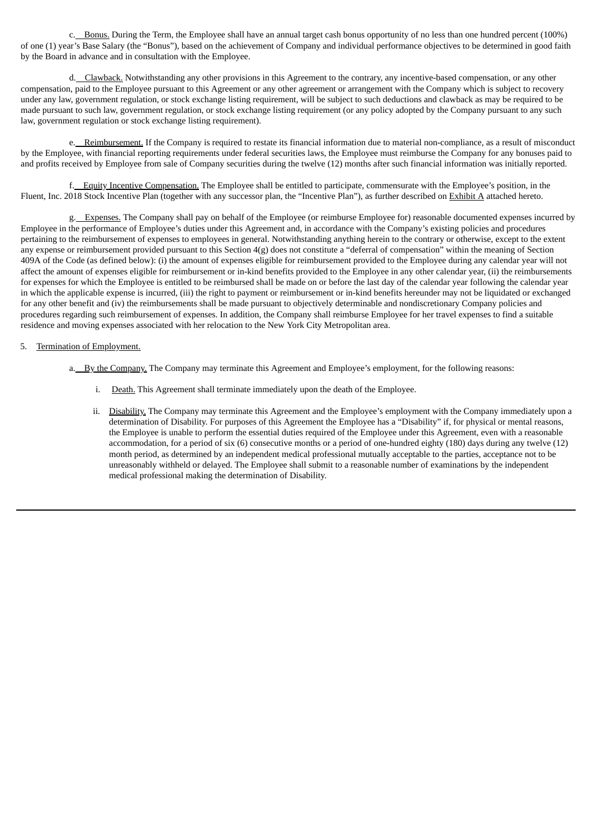c. Bonus. During the Term, the Employee shall have an annual target cash bonus opportunity of no less than one hundred percent (100%) of one (1) year's Base Salary (the "Bonus"), based on the achievement of Company and individual performance objectives to be determined in good faith by the Board in advance and in consultation with the Employee.

d. Clawback. Notwithstanding any other provisions in this Agreement to the contrary, any incentive-based compensation, or any other compensation, paid to the Employee pursuant to this Agreement or any other agreement or arrangement with the Company which is subject to recovery under any law, government regulation, or stock exchange listing requirement, will be subject to such deductions and clawback as may be required to be made pursuant to such law, government regulation, or stock exchange listing requirement (or any policy adopted by the Company pursuant to any such law, government regulation or stock exchange listing requirement).

e. Reimbursement. If the Company is required to restate its financial information due to material non-compliance, as a result of misconduct by the Employee, with financial reporting requirements under federal securities laws, the Employee must reimburse the Company for any bonuses paid to and profits received by Employee from sale of Company securities during the twelve (12) months after such financial information was initially reported.

f. Equity Incentive Compensation. The Employee shall be entitled to participate, commensurate with the Employee's position, in the Fluent, Inc. 2018 Stock Incentive Plan (together with any successor plan, the "Incentive Plan"), as further described on Exhibit A attached hereto.

g. Expenses. The Company shall pay on behalf of the Employee (or reimburse Employee for) reasonable documented expenses incurred by Employee in the performance of Employee's duties under this Agreement and, in accordance with the Company's existing policies and procedures pertaining to the reimbursement of expenses to employees in general. Notwithstanding anything herein to the contrary or otherwise, except to the extent any expense or reimbursement provided pursuant to this Section  $4(g)$  does not constitute a "deferral of compensation" within the meaning of Section 409A of the Code (as defined below): (i) the amount of expenses eligible for reimbursement provided to the Employee during any calendar year will not affect the amount of expenses eligible for reimbursement or in-kind benefits provided to the Employee in any other calendar year, (ii) the reimbursements for expenses for which the Employee is entitled to be reimbursed shall be made on or before the last day of the calendar year following the calendar year in which the applicable expense is incurred, (iii) the right to payment or reimbursement or in-kind benefits hereunder may not be liquidated or exchanged for any other benefit and (iv) the reimbursements shall be made pursuant to objectively determinable and nondiscretionary Company policies and procedures regarding such reimbursement of expenses. In addition, the Company shall reimburse Employee for her travel expenses to find a suitable residence and moving expenses associated with her relocation to the New York City Metropolitan area.

## 5. Termination of Employment.

- a. By the Company. The Company may terminate this Agreement and Employee's employment, for the following reasons:
	- i. Death. This Agreement shall terminate immediately upon the death of the Employee.
	- ii. Disability. The Company may terminate this Agreement and the Employee's employment with the Company immediately upon a determination of Disability. For purposes of this Agreement the Employee has a "Disability" if, for physical or mental reasons, the Employee is unable to perform the essential duties required of the Employee under this Agreement, even with a reasonable accommodation, for a period of six (6) consecutive months or a period of one-hundred eighty (180) days during any twelve (12) month period, as determined by an independent medical professional mutually acceptable to the parties, acceptance not to be unreasonably withheld or delayed. The Employee shall submit to a reasonable number of examinations by the independent medical professional making the determination of Disability.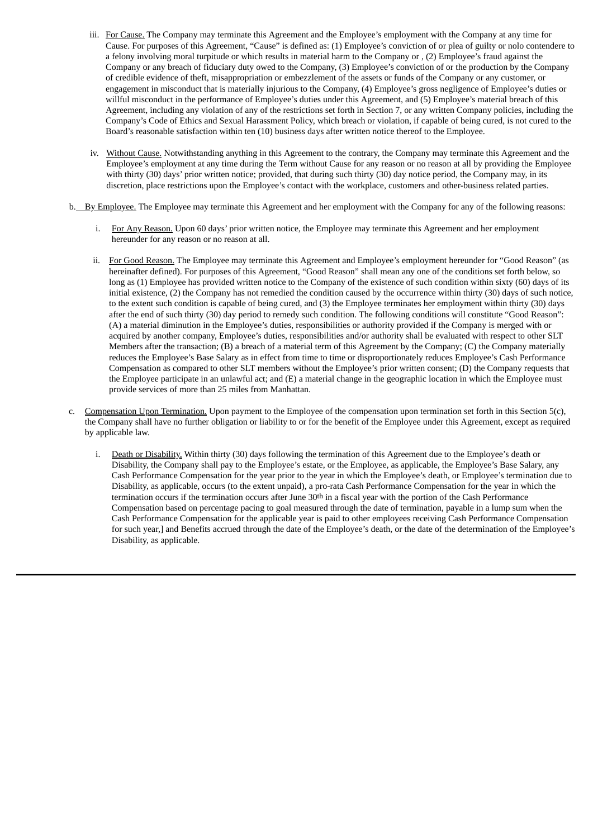- iii. For Cause. The Company may terminate this Agreement and the Employee's employment with the Company at any time for Cause. For purposes of this Agreement, "Cause" is defined as: (1) Employee's conviction of or plea of guilty or nolo contendere to a felony involving moral turpitude or which results in material harm to the Company or , (2) Employee's fraud against the Company or any breach of fiduciary duty owed to the Company, (3) Employee's conviction of or the production by the Company of credible evidence of theft, misappropriation or embezzlement of the assets or funds of the Company or any customer, or engagement in misconduct that is materially injurious to the Company, (4) Employee's gross negligence of Employee's duties or willful misconduct in the performance of Employee's duties under this Agreement, and (5) Employee's material breach of this Agreement, including any violation of any of the restrictions set forth in Section 7, or any written Company policies, including the Company's Code of Ethics and Sexual Harassment Policy, which breach or violation, if capable of being cured, is not cured to the Board's reasonable satisfaction within ten (10) business days after written notice thereof to the Employee.
- iv. Without Cause. Notwithstanding anything in this Agreement to the contrary, the Company may terminate this Agreement and the Employee's employment at any time during the Term without Cause for any reason or no reason at all by providing the Employee with thirty (30) days' prior written notice; provided, that during such thirty (30) day notice period, the Company may, in its discretion, place restrictions upon the Employee's contact with the workplace, customers and other-business related parties.
- b. By Employee. The Employee may terminate this Agreement and her employment with the Company for any of the following reasons:
	- i. For Any Reason. Upon 60 days' prior written notice, the Employee may terminate this Agreement and her employment hereunder for any reason or no reason at all.
	- ii. For Good Reason. The Employee may terminate this Agreement and Employee's employment hereunder for "Good Reason" (as hereinafter defined). For purposes of this Agreement, "Good Reason" shall mean any one of the conditions set forth below, so long as (1) Employee has provided written notice to the Company of the existence of such condition within sixty (60) days of its initial existence, (2) the Company has not remedied the condition caused by the occurrence within thirty (30) days of such notice, to the extent such condition is capable of being cured, and (3) the Employee terminates her employment within thirty (30) days after the end of such thirty (30) day period to remedy such condition. The following conditions will constitute "Good Reason": (A) a material diminution in the Employee's duties, responsibilities or authority provided if the Company is merged with or acquired by another company, Employee's duties, responsibilities and/or authority shall be evaluated with respect to other SLT Members after the transaction; (B) a breach of a material term of this Agreement by the Company; (C) the Company materially reduces the Employee's Base Salary as in effect from time to time or disproportionately reduces Employee's Cash Performance Compensation as compared to other SLT members without the Employee's prior written consent; (D) the Company requests that the Employee participate in an unlawful act; and (E) a material change in the geographic location in which the Employee must provide services of more than 25 miles from Manhattan.
- c. Compensation Upon Termination. Upon payment to the Employee of the compensation upon termination set forth in this Section 5(c), the Company shall have no further obligation or liability to or for the benefit of the Employee under this Agreement, except as required by applicable law.
	- i. Death or Disability. Within thirty (30) days following the termination of this Agreement due to the Employee's death or Disability, the Company shall pay to the Employee's estate, or the Employee, as applicable, the Employee's Base Salary, any Cash Performance Compensation for the year prior to the year in which the Employee's death, or Employee's termination due to Disability, as applicable, occurs (to the extent unpaid), a pro-rata Cash Performance Compensation for the year in which the termination occurs if the termination occurs after June 30th in a fiscal year with the portion of the Cash Performance Compensation based on percentage pacing to goal measured through the date of termination, payable in a lump sum when the Cash Performance Compensation for the applicable year is paid to other employees receiving Cash Performance Compensation for such year,] and Benefits accrued through the date of the Employee's death, or the date of the determination of the Employee's Disability, as applicable.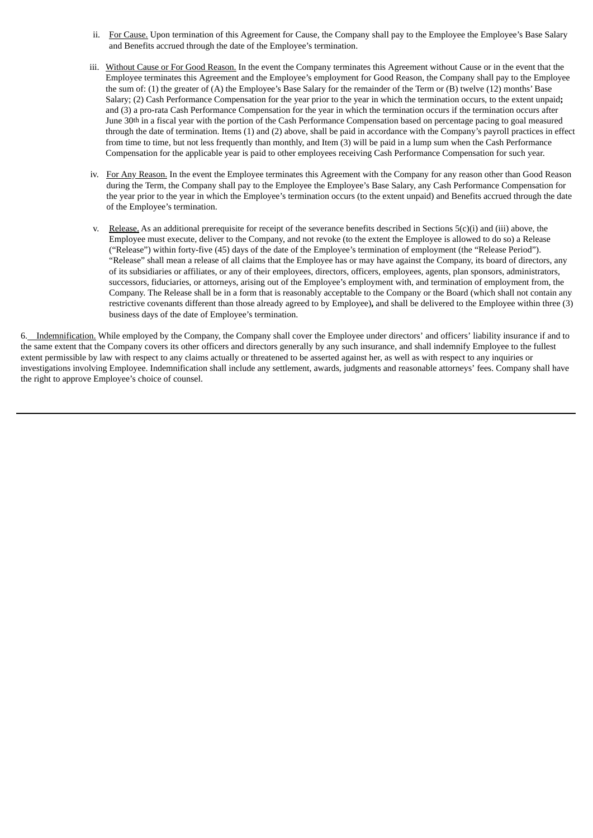- ii. For Cause, Upon termination of this Agreement for Cause, the Company shall pay to the Employee the Employee's Base Salary and Benefits accrued through the date of the Employee's termination.
- iii. Without Cause or For Good Reason. In the event the Company terminates this Agreement without Cause or in the event that the Employee terminates this Agreement and the Employee's employment for Good Reason, the Company shall pay to the Employee the sum of: (1) the greater of (A) the Employee's Base Salary for the remainder of the Term or (B) twelve (12) months' Base Salary; (2) Cash Performance Compensation for the year prior to the year in which the termination occurs, to the extent unpaid**;** and (3) a pro-rata Cash Performance Compensation for the year in which the termination occurs if the termination occurs after June 30th in a fiscal year with the portion of the Cash Performance Compensation based on percentage pacing to goal measured through the date of termination. Items (1) and (2) above, shall be paid in accordance with the Company's payroll practices in effect from time to time, but not less frequently than monthly, and Item (3) will be paid in a lump sum when the Cash Performance Compensation for the applicable year is paid to other employees receiving Cash Performance Compensation for such year.
- iv. For Any Reason. In the event the Employee terminates this Agreement with the Company for any reason other than Good Reason during the Term, the Company shall pay to the Employee the Employee's Base Salary, any Cash Performance Compensation for the year prior to the year in which the Employee's termination occurs (to the extent unpaid) and Benefits accrued through the date of the Employee's termination.
- v. Release. As an additional prerequisite for receipt of the severance benefits described in Sections  $5(c)(i)$  and (iii) above, the Employee must execute, deliver to the Company, and not revoke (to the extent the Employee is allowed to do so) a Release ("Release") within forty-five (45) days of the date of the Employee's termination of employment (the "Release Period"). "Release" shall mean a release of all claims that the Employee has or may have against the Company, its board of directors, any of its subsidiaries or affiliates, or any of their employees, directors, officers, employees, agents, plan sponsors, administrators, successors, fiduciaries, or attorneys, arising out of the Employee's employment with, and termination of employment from, the Company. The Release shall be in a form that is reasonably acceptable to the Company or the Board (which shall not contain any restrictive covenants different than those already agreed to by Employee)**,** and shall be delivered to the Employee within three (3) business days of the date of Employee's termination.

6. Indemnification. While employed by the Company, the Company shall cover the Employee under directors' and officers' liability insurance if and to the same extent that the Company covers its other officers and directors generally by any such insurance, and shall indemnify Employee to the fullest extent permissible by law with respect to any claims actually or threatened to be asserted against her, as well as with respect to any inquiries or investigations involving Employee. Indemnification shall include any settlement, awards, judgments and reasonable attorneys' fees. Company shall have the right to approve Employee's choice of counsel.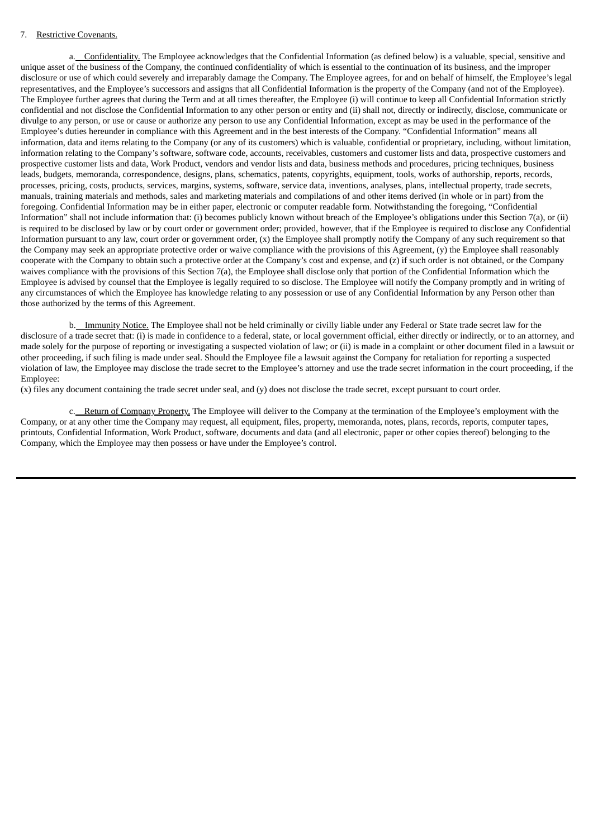## 7. Restrictive Covenants.

a. Confidentiality. The Employee acknowledges that the Confidential Information (as defined below) is a valuable, special, sensitive and unique asset of the business of the Company, the continued confidentiality of which is essential to the continuation of its business, and the improper disclosure or use of which could severely and irreparably damage the Company. The Employee agrees, for and on behalf of himself, the Employee's legal representatives, and the Employee's successors and assigns that all Confidential Information is the property of the Company (and not of the Employee). The Employee further agrees that during the Term and at all times thereafter, the Employee (i) will continue to keep all Confidential Information strictly confidential and not disclose the Confidential Information to any other person or entity and (ii) shall not, directly or indirectly, disclose, communicate or divulge to any person, or use or cause or authorize any person to use any Confidential Information, except as may be used in the performance of the Employee's duties hereunder in compliance with this Agreement and in the best interests of the Company. "Confidential Information" means all information, data and items relating to the Company (or any of its customers) which is valuable, confidential or proprietary, including, without limitation, information relating to the Company's software, software code, accounts, receivables, customers and customer lists and data, prospective customers and prospective customer lists and data, Work Product, vendors and vendor lists and data, business methods and procedures, pricing techniques, business leads, budgets, memoranda, correspondence, designs, plans, schematics, patents, copyrights, equipment, tools, works of authorship, reports, records, processes, pricing, costs, products, services, margins, systems, software, service data, inventions, analyses, plans, intellectual property, trade secrets, manuals, training materials and methods, sales and marketing materials and compilations of and other items derived (in whole or in part) from the foregoing. Confidential Information may be in either paper, electronic or computer readable form. Notwithstanding the foregoing, "Confidential Information" shall not include information that: (i) becomes publicly known without breach of the Employee's obligations under this Section 7(a), or (ii) is required to be disclosed by law or by court order or government order; provided, however, that if the Employee is required to disclose any Confidential Information pursuant to any law, court order or government order, (x) the Employee shall promptly notify the Company of any such requirement so that the Company may seek an appropriate protective order or waive compliance with the provisions of this Agreement, (y) the Employee shall reasonably cooperate with the Company to obtain such a protective order at the Company's cost and expense, and (z) if such order is not obtained, or the Company waives compliance with the provisions of this Section 7(a), the Employee shall disclose only that portion of the Confidential Information which the Employee is advised by counsel that the Employee is legally required to so disclose. The Employee will notify the Company promptly and in writing of any circumstances of which the Employee has knowledge relating to any possession or use of any Confidential Information by any Person other than those authorized by the terms of this Agreement.

b. Immunity Notice. The Employee shall not be held criminally or civilly liable under any Federal or State trade secret law for the disclosure of a trade secret that: (i) is made in confidence to a federal, state, or local government official, either directly or indirectly, or to an attorney, and made solely for the purpose of reporting or investigating a suspected violation of law; or (ii) is made in a complaint or other document filed in a lawsuit or other proceeding, if such filing is made under seal. Should the Employee file a lawsuit against the Company for retaliation for reporting a suspected violation of law, the Employee may disclose the trade secret to the Employee's attorney and use the trade secret information in the court proceeding, if the Employee:

(x) files any document containing the trade secret under seal, and (y) does not disclose the trade secret, except pursuant to court order.

c. Return of Company Property. The Employee will deliver to the Company at the termination of the Employee's employment with the Company, or at any other time the Company may request, all equipment, files, property, memoranda, notes, plans, records, reports, computer tapes, printouts, Confidential Information, Work Product, software, documents and data (and all electronic, paper or other copies thereof) belonging to the Company, which the Employee may then possess or have under the Employee's control.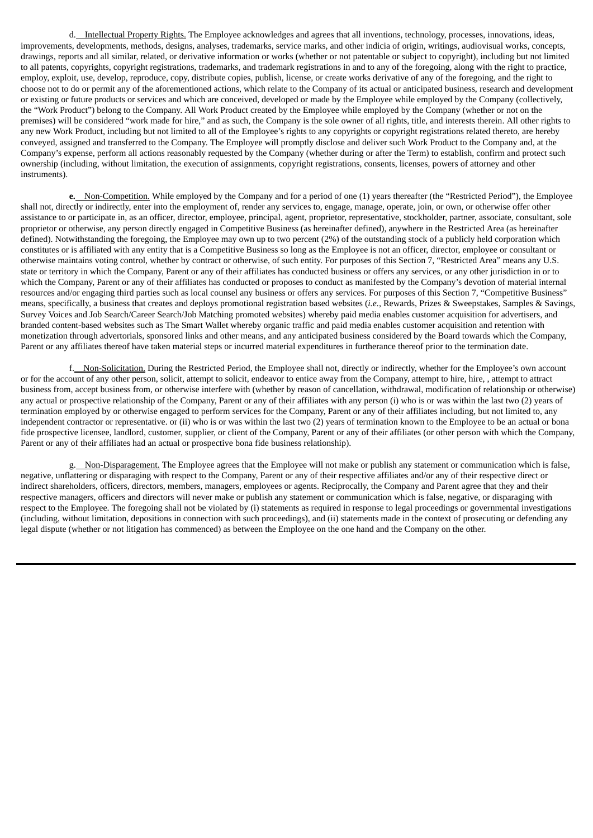d. Intellectual Property Rights. The Employee acknowledges and agrees that all inventions, technology, processes, innovations, ideas, improvements, developments, methods, designs, analyses, trademarks, service marks, and other indicia of origin, writings, audiovisual works, concepts, drawings, reports and all similar, related, or derivative information or works (whether or not patentable or subject to copyright), including but not limited to all patents, copyrights, copyright registrations, trademarks, and trademark registrations in and to any of the foregoing, along with the right to practice, employ, exploit, use, develop, reproduce, copy, distribute copies, publish, license, or create works derivative of any of the foregoing, and the right to choose not to do or permit any of the aforementioned actions, which relate to the Company of its actual or anticipated business, research and development or existing or future products or services and which are conceived, developed or made by the Employee while employed by the Company (collectively, the "Work Product") belong to the Company. All Work Product created by the Employee while employed by the Company (whether or not on the premises) will be considered "work made for hire," and as such, the Company is the sole owner of all rights, title, and interests therein. All other rights to any new Work Product, including but not limited to all of the Employee's rights to any copyrights or copyright registrations related thereto, are hereby conveyed, assigned and transferred to the Company. The Employee will promptly disclose and deliver such Work Product to the Company and, at the Company's expense, perform all actions reasonably requested by the Company (whether during or after the Term) to establish, confirm and protect such ownership (including, without limitation, the execution of assignments, copyright registrations, consents, licenses, powers of attorney and other instruments).

**e.** Non-Competition. While employed by the Company and for a period of one (1) years thereafter (the "Restricted Period"), the Employee shall not, directly or indirectly, enter into the employment of, render any services to, engage, manage, operate, join, or own, or otherwise offer other assistance to or participate in, as an officer, director, employee, principal, agent, proprietor, representative, stockholder, partner, associate, consultant, sole proprietor or otherwise, any person directly engaged in Competitive Business (as hereinafter defined), anywhere in the Restricted Area (as hereinafter defined). Notwithstanding the foregoing, the Employee may own up to two percent (2%) of the outstanding stock of a publicly held corporation which constitutes or is affiliated with any entity that is a Competitive Business so long as the Employee is not an officer, director, employee or consultant or otherwise maintains voting control, whether by contract or otherwise, of such entity. For purposes of this Section 7, "Restricted Area" means any U.S. state or territory in which the Company, Parent or any of their affiliates has conducted business or offers any services, or any other jurisdiction in or to which the Company, Parent or any of their affiliates has conducted or proposes to conduct as manifested by the Company's devotion of material internal resources and/or engaging third parties such as local counsel any business or offers any services. For purposes of this Section 7, "Competitive Business" means, specifically, a business that creates and deploys promotional registration based websites (*i.e.,* Rewards, Prizes & Sweepstakes, Samples & Savings, Survey Voices and Job Search/Career Search/Job Matching promoted websites) whereby paid media enables customer acquisition for advertisers, and branded content-based websites such as The Smart Wallet whereby organic traffic and paid media enables customer acquisition and retention with monetization through advertorials, sponsored links and other means, and any anticipated business considered by the Board towards which the Company, Parent or any affiliates thereof have taken material steps or incurred material expenditures in furtherance thereof prior to the termination date.

f. Non-Solicitation. During the Restricted Period, the Employee shall not, directly or indirectly, whether for the Employee's own account or for the account of any other person, solicit, attempt to solicit, endeavor to entice away from the Company, attempt to hire, hire, , attempt to attract business from, accept business from, or otherwise interfere with (whether by reason of cancellation, withdrawal, modification of relationship or otherwise) any actual or prospective relationship of the Company, Parent or any of their affiliates with any person (i) who is or was within the last two (2) years of termination employed by or otherwise engaged to perform services for the Company, Parent or any of their affiliates including, but not limited to, any independent contractor or representative. or (ii) who is or was within the last two (2) years of termination known to the Employee to be an actual or bona fide prospective licensee, landlord, customer, supplier, or client of the Company, Parent or any of their affiliates (or other person with which the Company, Parent or any of their affiliates had an actual or prospective bona fide business relationship).

g. Non-Disparagement. The Employee agrees that the Employee will not make or publish any statement or communication which is false, negative, unflattering or disparaging with respect to the Company, Parent or any of their respective affiliates and/or any of their respective direct or indirect shareholders, officers, directors, members, managers, employees or agents. Reciprocally, the Company and Parent agree that they and their respective managers, officers and directors will never make or publish any statement or communication which is false, negative, or disparaging with respect to the Employee. The foregoing shall not be violated by (i) statements as required in response to legal proceedings or governmental investigations (including, without limitation, depositions in connection with such proceedings), and (ii) statements made in the context of prosecuting or defending any legal dispute (whether or not litigation has commenced) as between the Employee on the one hand and the Company on the other.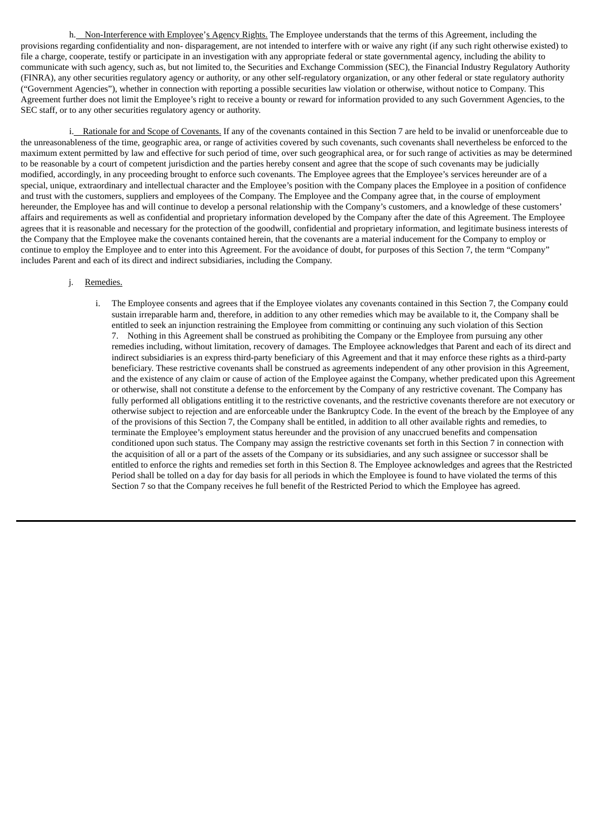h. Non-Interference with Employee's Agency Rights. The Employee understands that the terms of this Agreement, including the provisions regarding confidentiality and non- disparagement, are not intended to interfere with or waive any right (if any such right otherwise existed) to file a charge, cooperate, testify or participate in an investigation with any appropriate federal or state governmental agency, including the ability to communicate with such agency, such as, but not limited to, the Securities and Exchange Commission (SEC), the Financial Industry Regulatory Authority (FINRA), any other securities regulatory agency or authority, or any other self-regulatory organization, or any other federal or state regulatory authority ("Government Agencies"), whether in connection with reporting a possible securities law violation or otherwise, without notice to Company. This Agreement further does not limit the Employee's right to receive a bounty or reward for information provided to any such Government Agencies, to the SEC staff, or to any other securities regulatory agency or authority.

i. Rationale for and Scope of Covenants. If any of the covenants contained in this Section 7 are held to be invalid or unenforceable due to the unreasonableness of the time, geographic area, or range of activities covered by such covenants, such covenants shall nevertheless be enforced to the maximum extent permitted by law and effective for such period of time, over such geographical area, or for such range of activities as may be determined to be reasonable by a court of competent jurisdiction and the parties hereby consent and agree that the scope of such covenants may be judicially modified, accordingly, in any proceeding brought to enforce such covenants. The Employee agrees that the Employee's services hereunder are of a special, unique, extraordinary and intellectual character and the Employee's position with the Company places the Employee in a position of confidence and trust with the customers, suppliers and employees of the Company. The Employee and the Company agree that, in the course of employment hereunder, the Employee has and will continue to develop a personal relationship with the Company's customers, and a knowledge of these customers' affairs and requirements as well as confidential and proprietary information developed by the Company after the date of this Agreement. The Employee agrees that it is reasonable and necessary for the protection of the goodwill, confidential and proprietary information, and legitimate business interests of the Company that the Employee make the covenants contained herein, that the covenants are a material inducement for the Company to employ or continue to employ the Employee and to enter into this Agreement. For the avoidance of doubt, for purposes of this Section 7, the term "Company" includes Parent and each of its direct and indirect subsidiaries, including the Company.

### j. Remedies.

i. The Employee consents and agrees that if the Employee violates any covenants contained in this Section 7, the Company **c**ould sustain irreparable harm and, therefore, in addition to any other remedies which may be available to it, the Company shall be entitled to seek an injunction restraining the Employee from committing or continuing any such violation of this Section 7. Nothing in this Agreement shall be construed as prohibiting the Company or the Employee from pursuing any other remedies including, without limitation, recovery of damages. The Employee acknowledges that Parent and each of its direct and indirect subsidiaries is an express third-party beneficiary of this Agreement and that it may enforce these rights as a third-party beneficiary. These restrictive covenants shall be construed as agreements independent of any other provision in this Agreement, and the existence of any claim or cause of action of the Employee against the Company, whether predicated upon this Agreement or otherwise, shall not constitute a defense to the enforcement by the Company of any restrictive covenant. The Company has fully performed all obligations entitling it to the restrictive covenants, and the restrictive covenants therefore are not executory or otherwise subject to rejection and are enforceable under the Bankruptcy Code. In the event of the breach by the Employee of any of the provisions of this Section 7, the Company shall be entitled, in addition to all other available rights and remedies, to terminate the Employee's employment status hereunder and the provision of any unaccrued benefits and compensation conditioned upon such status. The Company may assign the restrictive covenants set forth in this Section 7 in connection with the acquisition of all or a part of the assets of the Company or its subsidiaries, and any such assignee or successor shall be entitled to enforce the rights and remedies set forth in this Section 8. The Employee acknowledges and agrees that the Restricted Period shall be tolled on a day for day basis for all periods in which the Employee is found to have violated the terms of this Section 7 so that the Company receives he full benefit of the Restricted Period to which the Employee has agreed.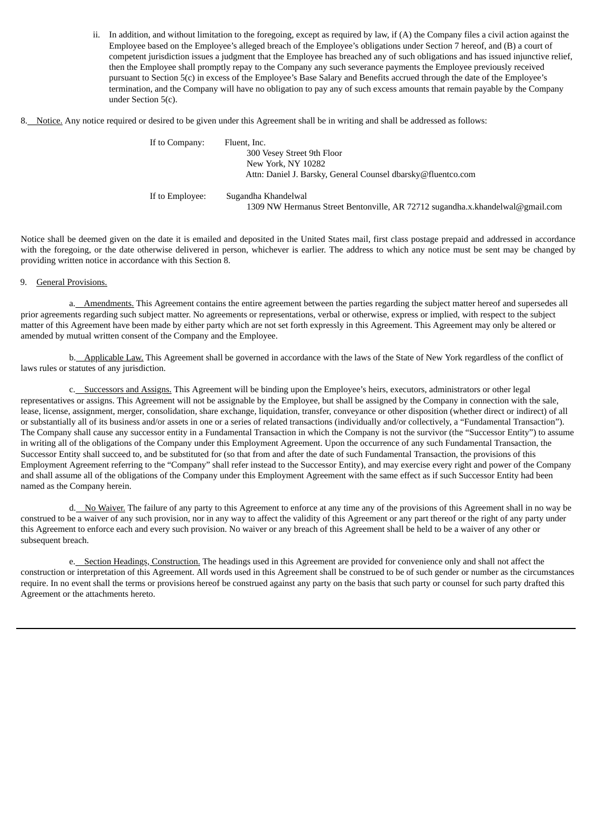ii. In addition, and without limitation to the foregoing, except as required by law, if (A) the Company files a civil action against the Employee based on the Employee's alleged breach of the Employee's obligations under Section 7 hereof, and (B) a court of competent jurisdiction issues a judgment that the Employee has breached any of such obligations and has issued injunctive relief, then the Employee shall promptly repay to the Company any such severance payments the Employee previously received pursuant to Section 5(c) in excess of the Employee's Base Salary and Benefits accrued through the date of the Employee's termination, and the Company will have no obligation to pay any of such excess amounts that remain payable by the Company under Section 5(c).

8. Notice. Any notice required or desired to be given under this Agreement shall be in writing and shall be addressed as follows:

| If to Company:  | Fluent, Inc.<br>300 Vesey Street 9th Floor<br>New York, NY 10282<br>Attn: Daniel J. Barsky, General Counsel dbarsky@fluentco.com |
|-----------------|----------------------------------------------------------------------------------------------------------------------------------|
| If to Employee: | Sugandha Khandelwal<br>1309 NW Hermanus Street Bentonville, AR 72712 sugandha.x.khandelwal@gmail.com                             |

Notice shall be deemed given on the date it is emailed and deposited in the United States mail, first class postage prepaid and addressed in accordance with the foregoing, or the date otherwise delivered in person, whichever is earlier. The address to which any notice must be sent may be changed by providing written notice in accordance with this Section 8.

#### 9. General Provisions.

a. Amendments. This Agreement contains the entire agreement between the parties regarding the subject matter hereof and supersedes all prior agreements regarding such subject matter. No agreements or representations, verbal or otherwise, express or implied, with respect to the subject matter of this Agreement have been made by either party which are not set forth expressly in this Agreement. This Agreement may only be altered or amended by mutual written consent of the Company and the Employee.

b. Applicable Law. This Agreement shall be governed in accordance with the laws of the State of New York regardless of the conflict of laws rules or statutes of any jurisdiction.

c. Successors and Assigns. This Agreement will be binding upon the Employee's heirs, executors, administrators or other legal representatives or assigns. This Agreement will not be assignable by the Employee, but shall be assigned by the Company in connection with the sale, lease, license, assignment, merger, consolidation, share exchange, liquidation, transfer, conveyance or other disposition (whether direct or indirect) of all or substantially all of its business and/or assets in one or a series of related transactions (individually and/or collectively, a "Fundamental Transaction"). The Company shall cause any successor entity in a Fundamental Transaction in which the Company is not the survivor (the "Successor Entity") to assume in writing all of the obligations of the Company under this Employment Agreement. Upon the occurrence of any such Fundamental Transaction, the Successor Entity shall succeed to, and be substituted for (so that from and after the date of such Fundamental Transaction, the provisions of this Employment Agreement referring to the "Company" shall refer instead to the Successor Entity), and may exercise every right and power of the Company and shall assume all of the obligations of the Company under this Employment Agreement with the same effect as if such Successor Entity had been named as the Company herein.

d. No Waiver. The failure of any party to this Agreement to enforce at any time any of the provisions of this Agreement shall in no way be construed to be a waiver of any such provision, nor in any way to affect the validity of this Agreement or any part thereof or the right of any party under this Agreement to enforce each and every such provision. No waiver or any breach of this Agreement shall be held to be a waiver of any other or subsequent breach.

e. Section Headings, Construction. The headings used in this Agreement are provided for convenience only and shall not affect the construction or interpretation of this Agreement. All words used in this Agreement shall be construed to be of such gender or number as the circumstances require. In no event shall the terms or provisions hereof be construed against any party on the basis that such party or counsel for such party drafted this Agreement or the attachments hereto.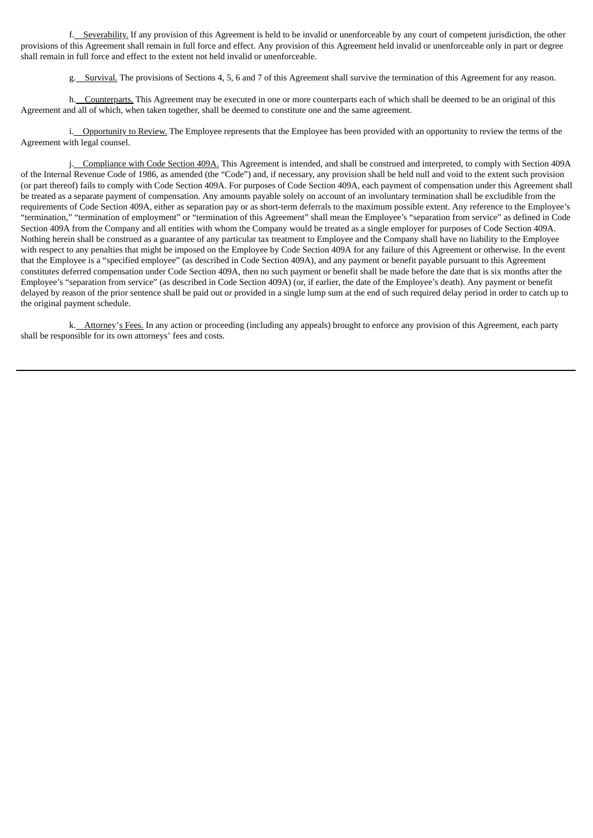f. Severability. If any provision of this Agreement is held to be invalid or unenforceable by any court of competent jurisdiction, the other provisions of this Agreement shall remain in full force and effect. Any provision of this Agreement held invalid or unenforceable only in part or degree shall remain in full force and effect to the extent not held invalid or unenforceable.

g. Survival. The provisions of Sections 4, 5, 6 and 7 of this Agreement shall survive the termination of this Agreement for any reason.

h. Counterparts. This Agreement may be executed in one or more counterparts each of which shall be deemed to be an original of this Agreement and all of which, when taken together, shall be deemed to constitute one and the same agreement.

i. Opportunity to Review. The Employee represents that the Employee has been provided with an opportunity to review the terms of the Agreement with legal counsel.

j. Compliance with Code Section 409A. This Agreement is intended, and shall be construed and interpreted, to comply with Section 409A of the Internal Revenue Code of 1986, as amended (the "Code") and, if necessary, any provision shall be held null and void to the extent such provision (or part thereof) fails to comply with Code Section 409A. For purposes of Code Section 409A, each payment of compensation under this Agreement shall be treated as a separate payment of compensation. Any amounts payable solely on account of an involuntary termination shall be excludible from the requirements of Code Section 409A, either as separation pay or as short-term deferrals to the maximum possible extent. Any reference to the Employee's "termination," "termination of employment" or "termination of this Agreement" shall mean the Employee's "separation from service" as defined in Code Section 409A from the Company and all entities with whom the Company would be treated as a single employer for purposes of Code Section 409A. Nothing herein shall be construed as a guarantee of any particular tax treatment to Employee and the Company shall have no liability to the Employee with respect to any penalties that might be imposed on the Employee by Code Section 409A for any failure of this Agreement or otherwise. In the event that the Employee is a "specified employee" (as described in Code Section 409A), and any payment or benefit payable pursuant to this Agreement constitutes deferred compensation under Code Section 409A, then no such payment or benefit shall be made before the date that is six months after the Employee's "separation from service" (as described in Code Section 409A) (or, if earlier, the date of the Employee's death). Any payment or benefit delayed by reason of the prior sentence shall be paid out or provided in a single lump sum at the end of such required delay period in order to catch up to the original payment schedule.

k. Attorney's Fees. In any action or proceeding (including any appeals) brought to enforce any provision of this Agreement, each party shall be responsible for its own attorneys' fees and costs.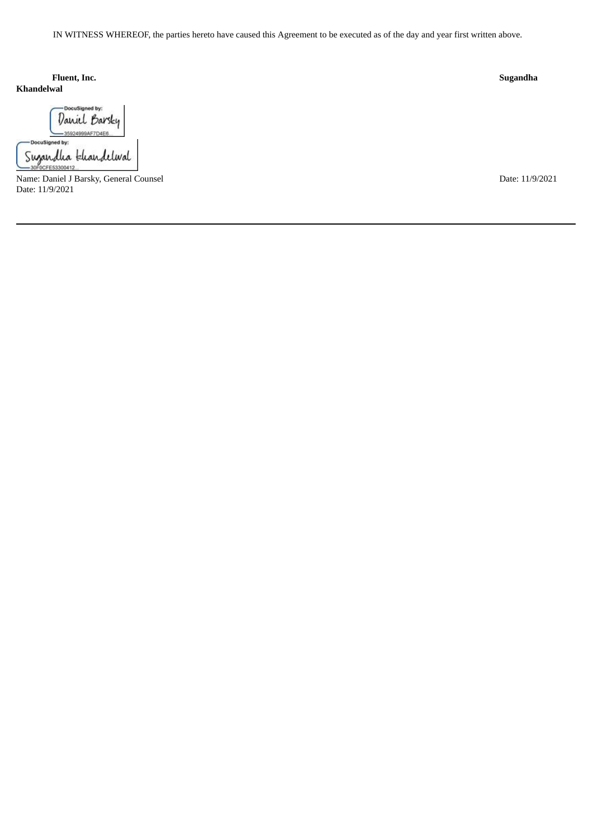IN WITNESS WHEREOF, the parties hereto have caused this Agreement to be executed as of the day and year first written above.

**Khandelwal**

| Daniel Barsky | cuSigned by:<br>Sugandha khandelwal | DocuSigned by: |  |
|---------------|-------------------------------------|----------------|--|
|               |                                     |                |  |
|               |                                     |                |  |
|               |                                     |                |  |
|               |                                     |                |  |

Name: Daniel J Barsky, General Counsel Date: 11/9/2021 Date: 11/9/2021

**Fluent, Inc. Sugandha**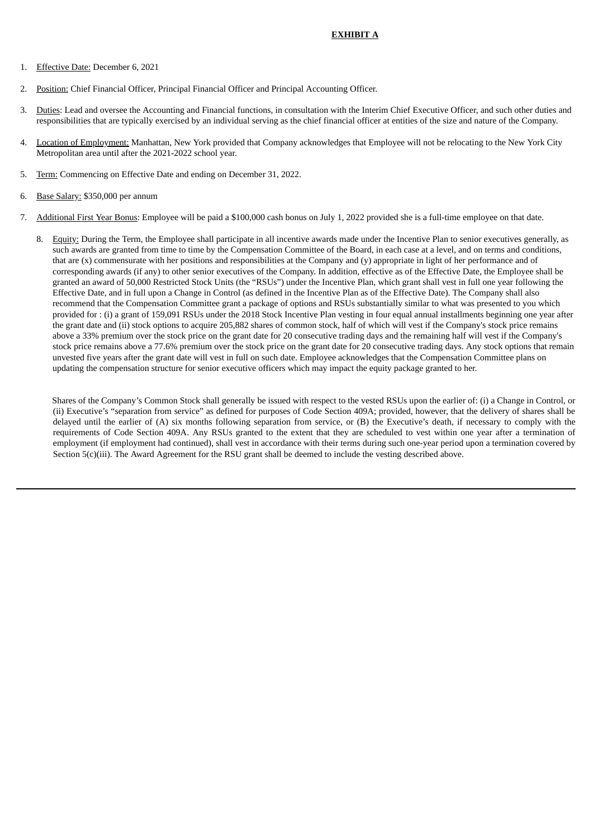## **EXHIBIT A**

- 1. Effective Date: December 6, 2021
- 2. Position: Chief Financial Officer, Principal Financial Officer and Principal Accounting Officer.
- 3. Duties: Lead and oversee the Accounting and Financial functions, in consultation with the Interim Chief Executive Officer, and such other duties and responsibilities that are typically exercised by an individual serving as the chief financial officer at entities of the size and nature of the Company.
- 4. Location of Employment: Manhattan, New York provided that Company acknowledges that Employee will not be relocating to the New York City Metropolitan area until after the 2021-2022 school year.
- 5. Term: Commencing on Effective Date and ending on December 31, 2022.
- 6. Base Salary: \$350,000 per annum
- 7. Additional First Year Bonus: Employee will be paid a \$100,000 cash bonus on July 1, 2022 provided she is a full-time employee on that date.
	- 8. Equity: During the Term, the Employee shall participate in all incentive awards made under the Incentive Plan to senior executives generally, as such awards are granted from time to time by the Compensation Committee of the Board, in each case at a level, and on terms and conditions, that are (x) commensurate with her positions and responsibilities at the Company and (y) appropriate in light of her performance and of corresponding awards (if any) to other senior executives of the Company. In addition, effective as of the Effective Date, the Employee shall be granted an award of 50,000 Restricted Stock Units (the "RSUs") under the Incentive Plan, which grant shall vest in full one year following the Effective Date, and in full upon a Change in Control (as defined in the Incentive Plan as of the Effective Date). The Company shall also recommend that the Compensation Committee grant a package of options and RSUs substantially similar to what was presented to you which provided for : (i) a grant of 159,091 RSUs under the 2018 Stock Incentive Plan vesting in four equal annual installments beginning one year after the grant date and (ii) stock options to acquire 205,882 shares of common stock, half of which will vest if the Company's stock price remains above a 33% premium over the stock price on the grant date for 20 consecutive trading days and the remaining half will vest if the Company's stock price remains above a 77.6% premium over the stock price on the grant date for 20 consecutive trading days. Any stock options that remain unvested five years after the grant date will vest in full on such date. Employee acknowledges that the Compensation Committee plans on updating the compensation structure for senior executive officers which may impact the equity package granted to her.

Shares of the Company's Common Stock shall generally be issued with respect to the vested RSUs upon the earlier of: (i) a Change in Control, or (ii) Executive's "separation from service" as defined for purposes of Code Section 409A; provided, however, that the delivery of shares shall be delayed until the earlier of (A) six months following separation from service, or (B) the Executive's death, if necessary to comply with the requirements of Code Section 409A. Any RSUs granted to the extent that they are scheduled to vest within one year after a termination of employment (if employment had continued), shall vest in accordance with their terms during such one-year period upon a termination covered by Section 5(c)(iii). The Award Agreement for the RSU grant shall be deemed to include the vesting described above.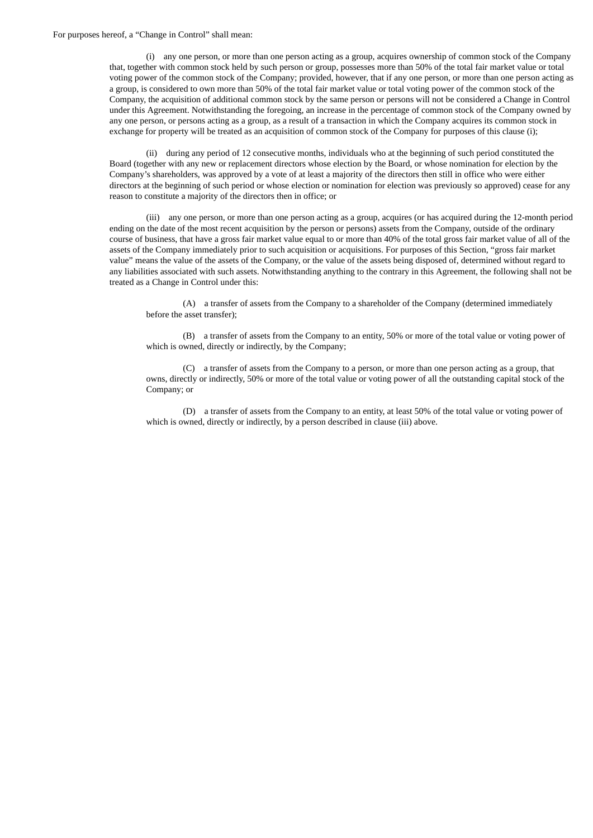#### For purposes hereof, a "Change in Control" shall mean:

(i) any one person, or more than one person acting as a group, acquires ownership of common stock of the Company that, together with common stock held by such person or group, possesses more than 50% of the total fair market value or total voting power of the common stock of the Company; provided, however, that if any one person, or more than one person acting as a group, is considered to own more than 50% of the total fair market value or total voting power of the common stock of the Company, the acquisition of additional common stock by the same person or persons will not be considered a Change in Control under this Agreement. Notwithstanding the foregoing, an increase in the percentage of common stock of the Company owned by any one person, or persons acting as a group, as a result of a transaction in which the Company acquires its common stock in exchange for property will be treated as an acquisition of common stock of the Company for purposes of this clause (i);

(ii) during any period of 12 consecutive months, individuals who at the beginning of such period constituted the Board (together with any new or replacement directors whose election by the Board, or whose nomination for election by the Company's shareholders, was approved by a vote of at least a majority of the directors then still in office who were either directors at the beginning of such period or whose election or nomination for election was previously so approved) cease for any reason to constitute a majority of the directors then in office; or

(iii) any one person, or more than one person acting as a group, acquires (or has acquired during the 12-month period ending on the date of the most recent acquisition by the person or persons) assets from the Company, outside of the ordinary course of business, that have a gross fair market value equal to or more than 40% of the total gross fair market value of all of the assets of the Company immediately prior to such acquisition or acquisitions. For purposes of this Section, "gross fair market value" means the value of the assets of the Company, or the value of the assets being disposed of, determined without regard to any liabilities associated with such assets. Notwithstanding anything to the contrary in this Agreement, the following shall not be treated as a Change in Control under this:

(A) a transfer of assets from the Company to a shareholder of the Company (determined immediately before the asset transfer);

(B) a transfer of assets from the Company to an entity, 50% or more of the total value or voting power of which is owned, directly or indirectly, by the Company;

(C) a transfer of assets from the Company to a person, or more than one person acting as a group, that owns, directly or indirectly, 50% or more of the total value or voting power of all the outstanding capital stock of the Company; or

(D) a transfer of assets from the Company to an entity, at least 50% of the total value or voting power of which is owned, directly or indirectly, by a person described in clause (iii) above.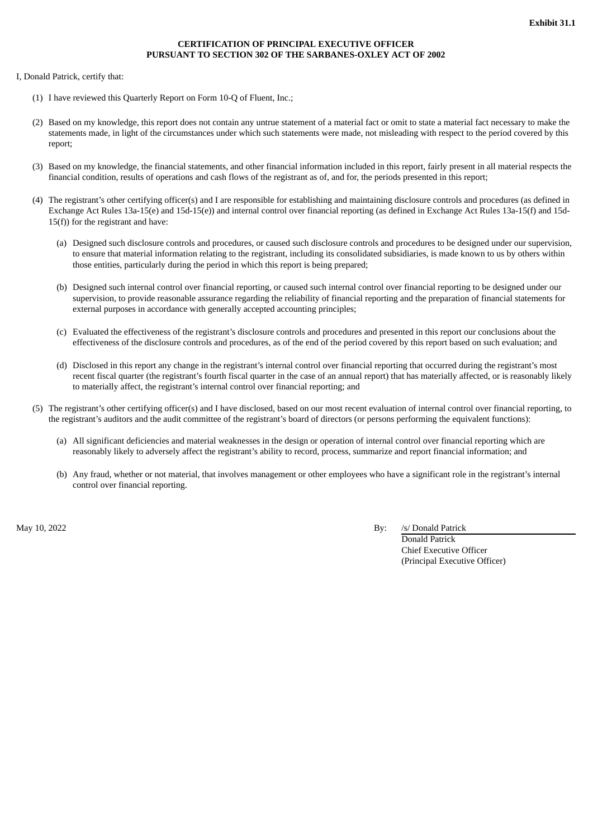## **CERTIFICATION OF PRINCIPAL EXECUTIVE OFFICER PURSUANT TO SECTION 302 OF THE SARBANES-OXLEY ACT OF 2002**

<span id="page-49-0"></span>I, Donald Patrick, certify that:

- (1) I have reviewed this Quarterly Report on Form 10-Q of Fluent, Inc.;
- (2) Based on my knowledge, this report does not contain any untrue statement of a material fact or omit to state a material fact necessary to make the statements made, in light of the circumstances under which such statements were made, not misleading with respect to the period covered by this report;
- (3) Based on my knowledge, the financial statements, and other financial information included in this report, fairly present in all material respects the financial condition, results of operations and cash flows of the registrant as of, and for, the periods presented in this report;
- (4) The registrant's other certifying officer(s) and I are responsible for establishing and maintaining disclosure controls and procedures (as defined in Exchange Act Rules 13a-15(e) and 15d-15(e)) and internal control over financial reporting (as defined in Exchange Act Rules 13a-15(f) and 15d-15(f)) for the registrant and have:
	- (a) Designed such disclosure controls and procedures, or caused such disclosure controls and procedures to be designed under our supervision, to ensure that material information relating to the registrant, including its consolidated subsidiaries, is made known to us by others within those entities, particularly during the period in which this report is being prepared;
	- (b) Designed such internal control over financial reporting, or caused such internal control over financial reporting to be designed under our supervision, to provide reasonable assurance regarding the reliability of financial reporting and the preparation of financial statements for external purposes in accordance with generally accepted accounting principles;
	- (c) Evaluated the effectiveness of the registrant's disclosure controls and procedures and presented in this report our conclusions about the effectiveness of the disclosure controls and procedures, as of the end of the period covered by this report based on such evaluation; and
	- (d) Disclosed in this report any change in the registrant's internal control over financial reporting that occurred during the registrant's most recent fiscal quarter (the registrant's fourth fiscal quarter in the case of an annual report) that has materially affected, or is reasonably likely to materially affect, the registrant's internal control over financial reporting; and
- (5) The registrant's other certifying officer(s) and I have disclosed, based on our most recent evaluation of internal control over financial reporting, to the registrant's auditors and the audit committee of the registrant's board of directors (or persons performing the equivalent functions):
	- (a) All significant deficiencies and material weaknesses in the design or operation of internal control over financial reporting which are reasonably likely to adversely affect the registrant's ability to record, process, summarize and report financial information; and
	- (b) Any fraud, whether or not material, that involves management or other employees who have a significant role in the registrant's internal control over financial reporting.

May 10, 2022 By: /s/ Donald Patrick

Donald Patrick Chief Executive Officer (Principal Executive Officer)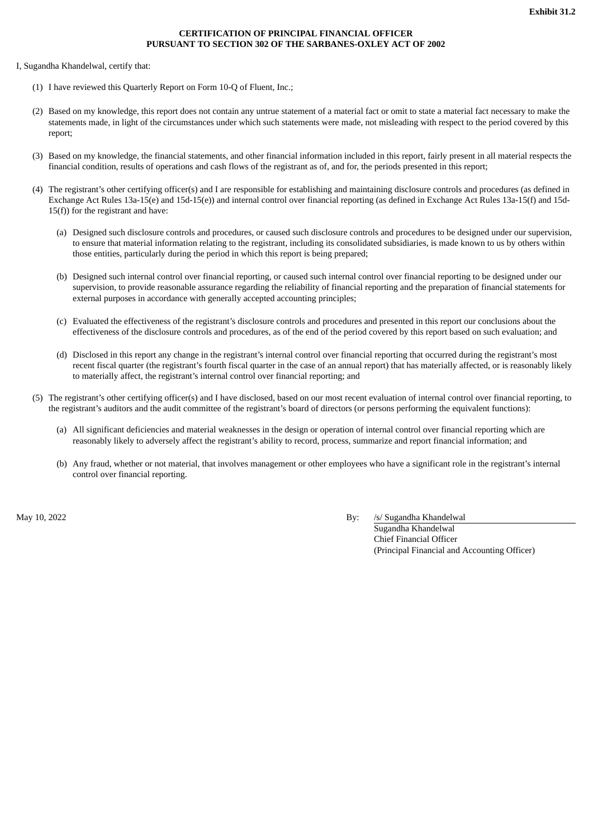## **CERTIFICATION OF PRINCIPAL FINANCIAL OFFICER PURSUANT TO SECTION 302 OF THE SARBANES-OXLEY ACT OF 2002**

<span id="page-50-0"></span>I, Sugandha Khandelwal, certify that:

- (1) I have reviewed this Quarterly Report on Form 10-Q of Fluent, Inc.;
- (2) Based on my knowledge, this report does not contain any untrue statement of a material fact or omit to state a material fact necessary to make the statements made, in light of the circumstances under which such statements were made, not misleading with respect to the period covered by this report;
- (3) Based on my knowledge, the financial statements, and other financial information included in this report, fairly present in all material respects the financial condition, results of operations and cash flows of the registrant as of, and for, the periods presented in this report;
- (4) The registrant's other certifying officer(s) and I are responsible for establishing and maintaining disclosure controls and procedures (as defined in Exchange Act Rules 13a-15(e) and 15d-15(e)) and internal control over financial reporting (as defined in Exchange Act Rules 13a-15(f) and 15d-15(f)) for the registrant and have:
	- (a) Designed such disclosure controls and procedures, or caused such disclosure controls and procedures to be designed under our supervision, to ensure that material information relating to the registrant, including its consolidated subsidiaries, is made known to us by others within those entities, particularly during the period in which this report is being prepared;
	- (b) Designed such internal control over financial reporting, or caused such internal control over financial reporting to be designed under our supervision, to provide reasonable assurance regarding the reliability of financial reporting and the preparation of financial statements for external purposes in accordance with generally accepted accounting principles;
	- (c) Evaluated the effectiveness of the registrant's disclosure controls and procedures and presented in this report our conclusions about the effectiveness of the disclosure controls and procedures, as of the end of the period covered by this report based on such evaluation; and
	- (d) Disclosed in this report any change in the registrant's internal control over financial reporting that occurred during the registrant's most recent fiscal quarter (the registrant's fourth fiscal quarter in the case of an annual report) that has materially affected, or is reasonably likely to materially affect, the registrant's internal control over financial reporting; and
- (5) The registrant's other certifying officer(s) and I have disclosed, based on our most recent evaluation of internal control over financial reporting, to the registrant's auditors and the audit committee of the registrant's board of directors (or persons performing the equivalent functions):
	- (a) All significant deficiencies and material weaknesses in the design or operation of internal control over financial reporting which are reasonably likely to adversely affect the registrant's ability to record, process, summarize and report financial information; and
	- (b) Any fraud, whether or not material, that involves management or other employees who have a significant role in the registrant's internal control over financial reporting.

May 10, 2022 **By:** /s/ Sugandha Khandelwal

Sugandha Khandelwal Chief Financial Officer (Principal Financial and Accounting Officer)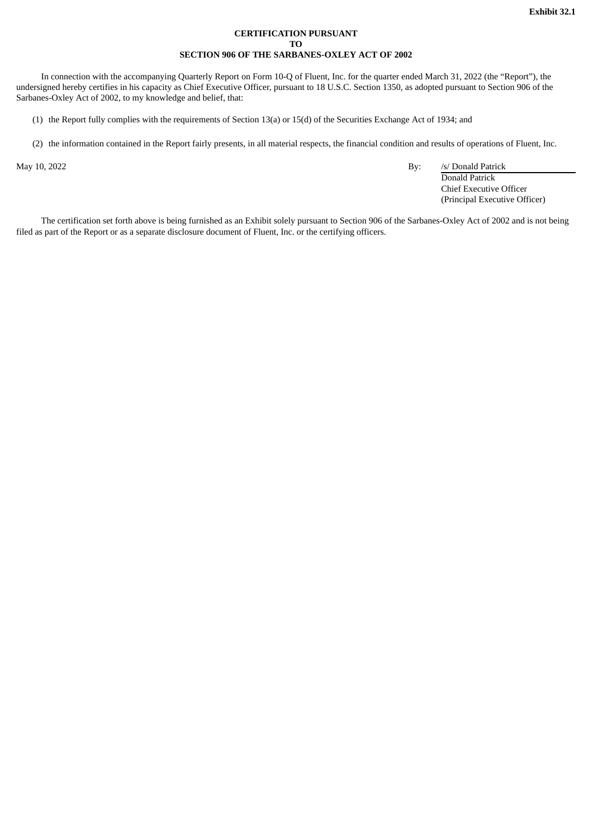### **CERTIFICATION PURSUANT TO SECTION 906 OF THE SARBANES-OXLEY ACT OF 2002**

<span id="page-51-0"></span>In connection with the accompanying Quarterly Report on Form 10-Q of Fluent, Inc. for the quarter ended March 31, 2022 (the "Report"), the undersigned hereby certifies in his capacity as Chief Executive Officer, pursuant to 18 U.S.C. Section 1350, as adopted pursuant to Section 906 of the Sarbanes-Oxley Act of 2002, to my knowledge and belief, that:

(1) the Report fully complies with the requirements of Section 13(a) or 15(d) of the Securities Exchange Act of 1934; and

(2) the information contained in the Report fairly presents, in all material respects, the financial condition and results of operations of Fluent, Inc.

May 10, 2022 **By:** /s/ Donald Patrick

Donald Patrick Chief Executive Officer (Principal Executive Officer)

The certification set forth above is being furnished as an Exhibit solely pursuant to Section 906 of the Sarbanes-Oxley Act of 2002 and is not being filed as part of the Report or as a separate disclosure document of Fluent, Inc. or the certifying officers.